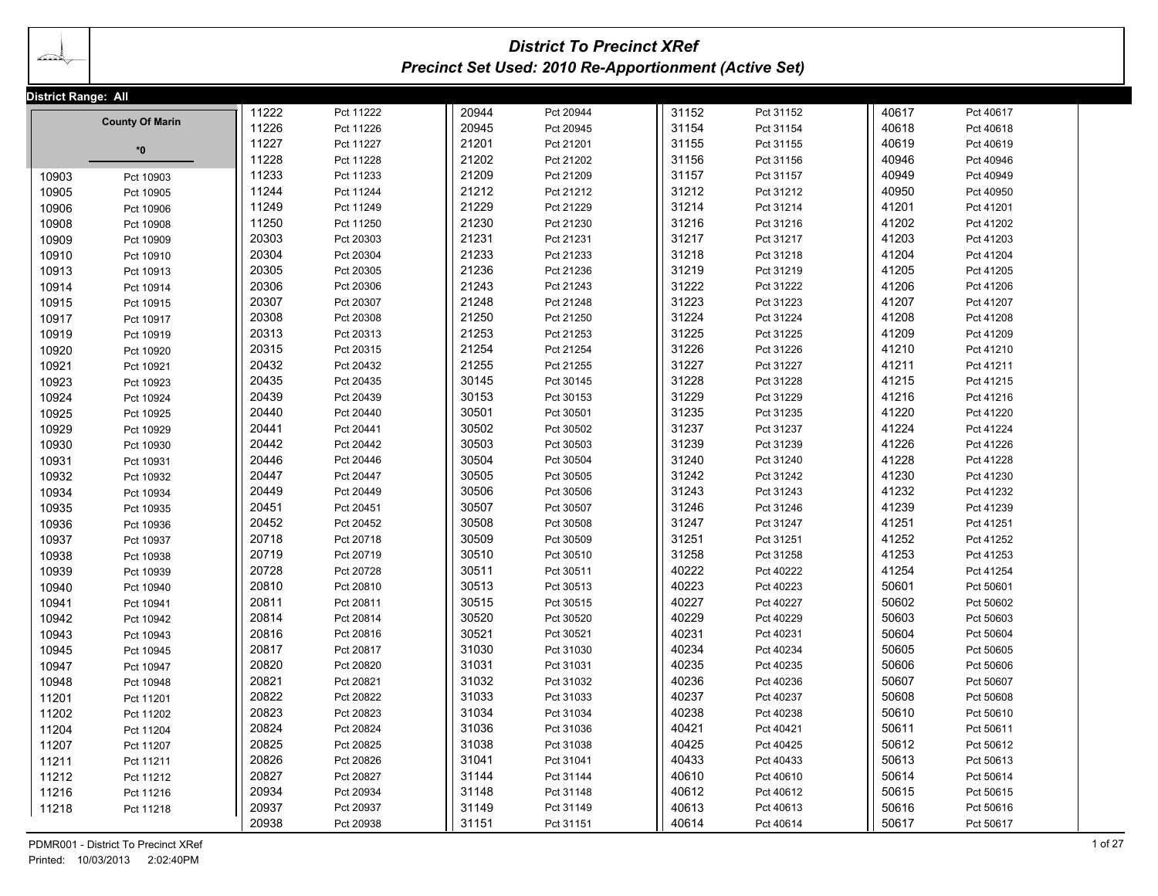## *District To Precinct XRef Precinct Set Used: 2010 Re-Apportionment (Active Set)*

| District Range: All |                                     |       |           |       |           |       |           |       |           |         |
|---------------------|-------------------------------------|-------|-----------|-------|-----------|-------|-----------|-------|-----------|---------|
|                     |                                     | 11222 | Pct 11222 | 20944 | Pct 20944 | 31152 | Pct 31152 | 40617 | Pct 40617 |         |
|                     | <b>County Of Marin</b>              | 11226 | Pct 11226 | 20945 | Pct 20945 | 31154 | Pct 31154 | 40618 | Pct 40618 |         |
|                     | $*0$                                | 11227 | Pct 11227 | 21201 | Pct 21201 | 31155 | Pct 31155 | 40619 | Pct 40619 |         |
|                     |                                     | 11228 | Pct 11228 | 21202 | Pct 21202 | 31156 | Pct 31156 | 40946 | Pct 40946 |         |
| 10903               | Pct 10903                           | 11233 | Pct 11233 | 21209 | Pct 21209 | 31157 | Pct 31157 | 40949 | Pct 40949 |         |
| 10905               | Pct 10905                           | 11244 | Pct 11244 | 21212 | Pct 21212 | 31212 | Pct 31212 | 40950 | Pct 40950 |         |
| 10906               | Pct 10906                           | 11249 | Pct 11249 | 21229 | Pct 21229 | 31214 | Pct 31214 | 41201 | Pct 41201 |         |
| 10908               | Pct 10908                           | 11250 | Pct 11250 | 21230 | Pct 21230 | 31216 | Pct 31216 | 41202 | Pct 41202 |         |
| 10909               | Pct 10909                           | 20303 | Pct 20303 | 21231 | Pct 21231 | 31217 | Pct 31217 | 41203 | Pct 41203 |         |
| 10910               | Pct 10910                           | 20304 | Pct 20304 | 21233 | Pct 21233 | 31218 | Pct 31218 | 41204 | Pct 41204 |         |
| 10913               | Pct 10913                           | 20305 | Pct 20305 | 21236 | Pct 21236 | 31219 | Pct 31219 | 41205 | Pct 41205 |         |
| 10914               | Pct 10914                           | 20306 | Pct 20306 | 21243 | Pct 21243 | 31222 | Pct 31222 | 41206 | Pct 41206 |         |
| 10915               | Pct 10915                           | 20307 | Pct 20307 | 21248 | Pct 21248 | 31223 | Pct 31223 | 41207 | Pct 41207 |         |
| 10917               | Pct 10917                           | 20308 | Pct 20308 | 21250 | Pct 21250 | 31224 | Pct 31224 | 41208 | Pct 41208 |         |
| 10919               | Pct 10919                           | 20313 | Pct 20313 | 21253 | Pct 21253 | 31225 | Pct 31225 | 41209 | Pct 41209 |         |
| 10920               | Pct 10920                           | 20315 | Pct 20315 | 21254 | Pct 21254 | 31226 | Pct 31226 | 41210 | Pct 41210 |         |
| 10921               | Pct 10921                           | 20432 | Pct 20432 | 21255 | Pct 21255 | 31227 | Pct 31227 | 41211 | Pct 41211 |         |
| 10923               | Pct 10923                           | 20435 | Pct 20435 | 30145 | Pct 30145 | 31228 | Pct 31228 | 41215 | Pct 41215 |         |
| 10924               | Pct 10924                           | 20439 | Pct 20439 | 30153 | Pct 30153 | 31229 | Pct 31229 | 41216 | Pct 41216 |         |
| 10925               | Pct 10925                           | 20440 | Pct 20440 | 30501 | Pct 30501 | 31235 | Pct 31235 | 41220 | Pct 41220 |         |
| 10929               | Pct 10929                           | 20441 | Pct 20441 | 30502 | Pct 30502 | 31237 | Pct 31237 | 41224 | Pct 41224 |         |
| 10930               | Pct 10930                           | 20442 | Pct 20442 | 30503 | Pct 30503 | 31239 | Pct 31239 | 41226 | Pct 41226 |         |
| 10931               | Pct 10931                           | 20446 | Pct 20446 | 30504 | Pct 30504 | 31240 | Pct 31240 | 41228 | Pct 41228 |         |
| 10932               | Pct 10932                           | 20447 | Pct 20447 | 30505 | Pct 30505 | 31242 | Pct 31242 | 41230 | Pct 41230 |         |
| 10934               | Pct 10934                           | 20449 | Pct 20449 | 30506 | Pct 30506 | 31243 | Pct 31243 | 41232 | Pct 41232 |         |
| 10935               | Pct 10935                           | 20451 | Pct 20451 | 30507 | Pct 30507 | 31246 | Pct 31246 | 41239 | Pct 41239 |         |
| 10936               | Pct 10936                           | 20452 | Pct 20452 | 30508 | Pct 30508 | 31247 | Pct 31247 | 41251 | Pct 41251 |         |
| 10937               | Pct 10937                           | 20718 | Pct 20718 | 30509 | Pct 30509 | 31251 | Pct 31251 | 41252 | Pct 41252 |         |
| 10938               | Pct 10938                           | 20719 | Pct 20719 | 30510 | Pct 30510 | 31258 | Pct 31258 | 41253 | Pct 41253 |         |
| 10939               | Pct 10939                           | 20728 | Pct 20728 | 30511 | Pct 30511 | 40222 | Pct 40222 | 41254 | Pct 41254 |         |
| 10940               | Pct 10940                           | 20810 | Pct 20810 | 30513 | Pct 30513 | 40223 | Pct 40223 | 50601 | Pct 50601 |         |
| 10941               | Pct 10941                           | 20811 | Pct 20811 | 30515 | Pct 30515 | 40227 | Pct 40227 | 50602 | Pct 50602 |         |
| 10942               | Pct 10942                           | 20814 | Pct 20814 | 30520 | Pct 30520 | 40229 | Pct 40229 | 50603 | Pct 50603 |         |
| 10943               | Pct 10943                           | 20816 | Pct 20816 | 30521 | Pct 30521 | 40231 | Pct 40231 | 50604 | Pct 50604 |         |
| 10945               | Pct 10945                           | 20817 | Pct 20817 | 31030 | Pct 31030 | 40234 | Pct 40234 | 50605 | Pct 50605 |         |
| 10947               | Pct 10947                           | 20820 | Pct 20820 | 31031 | Pct 31031 | 40235 | Pct 40235 | 50606 | Pct 50606 |         |
| 10948               | Pct 10948                           | 20821 | Pct 20821 | 31032 | Pct 31032 | 40236 | Pct 40236 | 50607 | Pct 50607 |         |
| 11201               | Pct 11201                           | 20822 | Pct 20822 | 31033 | Pct 31033 | 40237 | Pct 40237 | 50608 | Pct 50608 |         |
| 11202               | Pct 11202                           | 20823 | Pct 20823 | 31034 | Pct 31034 | 40238 | Pct 40238 | 50610 | Pct 50610 |         |
| 11204               | Pct 11204                           | 20824 | Pct 20824 | 31036 | Pct 31036 | 40421 | Pct 40421 | 50611 | Pct 50611 |         |
| 11207               | Pct 11207                           | 20825 | Pct 20825 | 31038 | Pct 31038 | 40425 | Pct 40425 | 50612 | Pct 50612 |         |
| 11211               | Pct 11211                           | 20826 | Pct 20826 | 31041 | Pct 31041 | 40433 | Pct 40433 | 50613 | Pct 50613 |         |
| 11212               | Pct 11212                           | 20827 | Pct 20827 | 31144 | Pct 31144 | 40610 | Pct 40610 | 50614 | Pct 50614 |         |
| 11216               | Pct 11216                           | 20934 | Pct 20934 | 31148 | Pct 31148 | 40612 | Pct 40612 | 50615 | Pct 50615 |         |
| 11218               | Pct 11218                           | 20937 | Pct 20937 | 31149 | Pct 31149 | 40613 | Pct 40613 | 50616 | Pct 50616 |         |
|                     |                                     | 20938 | Pct 20938 | 31151 | Pct 31151 | 40614 | Pct 40614 | 50617 | Pct 50617 |         |
|                     | PDMR001 - District To Precinct XRef |       |           |       |           |       |           |       |           | 1 of 27 |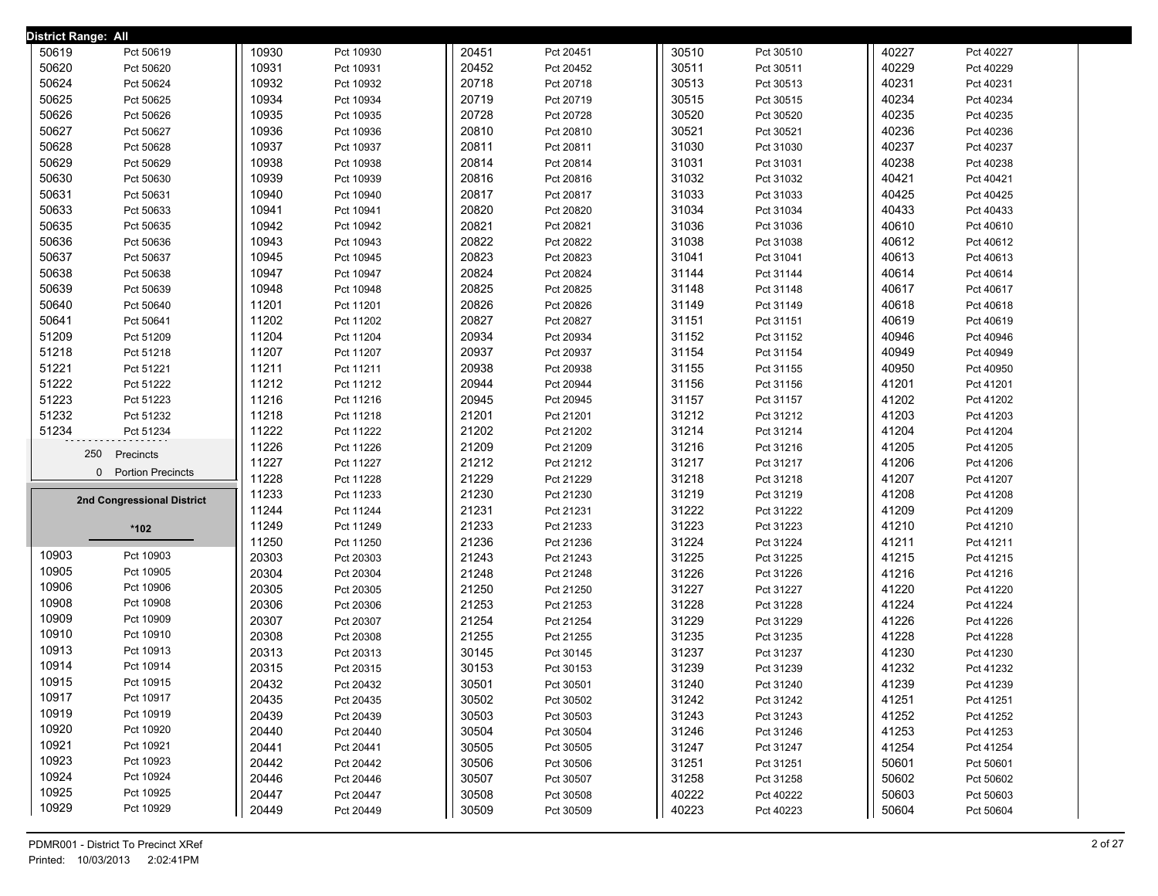| District Range: All |                            |       |           |       |           |       |           |       |           |
|---------------------|----------------------------|-------|-----------|-------|-----------|-------|-----------|-------|-----------|
| 50619               | Pct 50619                  | 10930 | Pct 10930 | 20451 | Pct 20451 | 30510 | Pct 30510 | 40227 | Pct 40227 |
| 50620               | Pct 50620                  | 10931 | Pct 10931 | 20452 | Pct 20452 | 30511 | Pct 30511 | 40229 | Pct 40229 |
| 50624               | Pct 50624                  | 10932 | Pct 10932 | 20718 | Pct 20718 | 30513 | Pct 30513 | 40231 | Pct 40231 |
| 50625               | Pct 50625                  | 10934 | Pct 10934 | 20719 | Pct 20719 | 30515 | Pct 30515 | 40234 | Pct 40234 |
| 50626               | Pct 50626                  | 10935 | Pct 10935 | 20728 | Pct 20728 | 30520 | Pct 30520 | 40235 | Pct 40235 |
| 50627               | Pct 50627                  | 10936 | Pct 10936 | 20810 | Pct 20810 | 30521 | Pct 30521 | 40236 | Pct 40236 |
| 50628               | Pct 50628                  | 10937 | Pct 10937 | 20811 | Pct 20811 | 31030 | Pct 31030 | 40237 | Pct 40237 |
| 50629               | Pct 50629                  | 10938 | Pct 10938 | 20814 | Pct 20814 | 31031 | Pct 31031 | 40238 | Pct 40238 |
| 50630               | Pct 50630                  | 10939 | Pct 10939 | 20816 | Pct 20816 | 31032 | Pct 31032 | 40421 | Pct 40421 |
| 50631               | Pct 50631                  | 10940 | Pct 10940 | 20817 | Pct 20817 | 31033 | Pct 31033 | 40425 | Pct 40425 |
| 50633               | Pct 50633                  | 10941 | Pct 10941 | 20820 | Pct 20820 | 31034 | Pct 31034 | 40433 | Pct 40433 |
| 50635               | Pct 50635                  | 10942 | Pct 10942 | 20821 | Pct 20821 | 31036 | Pct 31036 | 40610 | Pct 40610 |
| 50636               | Pct 50636                  | 10943 | Pct 10943 | 20822 | Pct 20822 | 31038 | Pct 31038 | 40612 | Pct 40612 |
| 50637               | Pct 50637                  | 10945 | Pct 10945 | 20823 | Pct 20823 | 31041 | Pct 31041 | 40613 | Pct 40613 |
| 50638               | Pct 50638                  | 10947 | Pct 10947 | 20824 | Pct 20824 | 31144 | Pct 31144 | 40614 | Pct 40614 |
| 50639               | Pct 50639                  | 10948 | Pct 10948 | 20825 | Pct 20825 | 31148 | Pct 31148 | 40617 | Pct 40617 |
| 50640               | Pct 50640                  | 11201 | Pct 11201 | 20826 | Pct 20826 | 31149 | Pct 31149 | 40618 | Pct 40618 |
| 50641               | Pct 50641                  | 11202 | Pct 11202 | 20827 | Pct 20827 | 31151 | Pct 31151 | 40619 | Pct 40619 |
| 51209               | Pct 51209                  | 11204 | Pct 11204 | 20934 | Pct 20934 | 31152 | Pct 31152 | 40946 | Pct 40946 |
| 51218               | Pct 51218                  | 11207 | Pct 11207 | 20937 | Pct 20937 | 31154 | Pct 31154 | 40949 | Pct 40949 |
| 51221               | Pct 51221                  | 11211 | Pct 11211 | 20938 | Pct 20938 | 31155 | Pct 31155 | 40950 | Pct 40950 |
| 51222               | Pct 51222                  | 11212 | Pct 11212 | 20944 | Pct 20944 | 31156 | Pct 31156 | 41201 | Pct 41201 |
| 51223               | Pct 51223                  | 11216 | Pct 11216 | 20945 | Pct 20945 | 31157 | Pct 31157 | 41202 | Pct 41202 |
| 51232               | Pct 51232                  | 11218 | Pct 11218 | 21201 | Pct 21201 | 31212 | Pct 31212 | 41203 | Pct 41203 |
| 51234               | Pct 51234                  | 11222 | Pct 11222 | 21202 | Pct 21202 | 31214 | Pct 31214 | 41204 | Pct 41204 |
| 250<br>Precincts    |                            | 11226 | Pct 11226 | 21209 | Pct 21209 | 31216 | Pct 31216 | 41205 | Pct 41205 |
|                     |                            | 11227 | Pct 11227 | 21212 | Pct 21212 | 31217 | Pct 31217 | 41206 | Pct 41206 |
|                     | 0 Portion Precincts        | 11228 | Pct 11228 | 21229 | Pct 21229 | 31218 | Pct 31218 | 41207 | Pct 41207 |
|                     | 2nd Congressional District | 11233 | Pct 11233 | 21230 | Pct 21230 | 31219 | Pct 31219 | 41208 | Pct 41208 |
|                     |                            | 11244 | Pct 11244 | 21231 | Pct 21231 | 31222 | Pct 31222 | 41209 | Pct 41209 |
|                     | *102                       | 11249 | Pct 11249 | 21233 | Pct 21233 | 31223 | Pct 31223 | 41210 | Pct 41210 |
|                     |                            | 11250 | Pct 11250 | 21236 | Pct 21236 | 31224 | Pct 31224 | 41211 | Pct 41211 |
| 10903               | Pct 10903                  | 20303 | Pct 20303 | 21243 | Pct 21243 | 31225 | Pct 31225 | 41215 | Pct 41215 |
| 10905               | Pct 10905                  | 20304 | Pct 20304 | 21248 | Pct 21248 | 31226 | Pct 31226 | 41216 | Pct 41216 |
| 10906               | Pct 10906                  | 20305 | Pct 20305 | 21250 | Pct 21250 | 31227 | Pct 31227 | 41220 | Pct 41220 |
| 10908               | Pct 10908                  | 20306 | Pct 20306 | 21253 | Pct 21253 | 31228 | Pct 31228 | 41224 | Pct 41224 |
| 10909               | Pct 10909                  | 20307 | Pct 20307 | 21254 | Pct 21254 | 31229 | Pct 31229 | 41226 | Pct 41226 |
| 10910               | Pct 10910                  | 20308 | Pct 20308 | 21255 | Pct 21255 | 31235 | Pct 31235 | 41228 | Pct 41228 |
| 10913               | Pct 10913                  | 20313 | Pct 20313 | 30145 | Pct 30145 | 31237 | Pct 31237 | 41230 | Pct 41230 |
| 10914               | Pct 10914                  | 20315 | Pct 20315 | 30153 | Pct 30153 | 31239 | Pct 31239 | 41232 | Pct 41232 |
| 10915               | Pct 10915                  | 20432 | Pct 20432 | 30501 | Pct 30501 | 31240 | Pct 31240 | 41239 | Pct 41239 |
| 10917               | Pct 10917                  | 20435 | Pct 20435 | 30502 | Pct 30502 | 31242 | Pct 31242 | 41251 | Pct 41251 |
| 10919               | Pct 10919                  | 20439 | Pct 20439 | 30503 | Pct 30503 | 31243 | Pct 31243 | 41252 | Pct 41252 |
| 10920               | Pct 10920                  | 20440 | Pct 20440 | 30504 | Pct 30504 | 31246 | Pct 31246 | 41253 | Pct 41253 |
| 10921               | Pct 10921                  | 20441 | Pct 20441 | 30505 | Pct 30505 | 31247 | Pct 31247 | 41254 | Pct 41254 |
| 10923               | Pct 10923                  | 20442 | Pct 20442 | 30506 | Pct 30506 | 31251 | Pct 31251 | 50601 | Pct 50601 |
| 10924               | Pct 10924                  | 20446 | Pct 20446 | 30507 | Pct 30507 | 31258 | Pct 31258 | 50602 | Pct 50602 |
| 10925               | Pct 10925                  | 20447 | Pct 20447 | 30508 | Pct 30508 | 40222 | Pct 40222 | 50603 | Pct 50603 |
| 10929               | Pct 10929                  | 20449 | Pct 20449 | 30509 | Pct 30509 | 40223 | Pct 40223 | 50604 | Pct 50604 |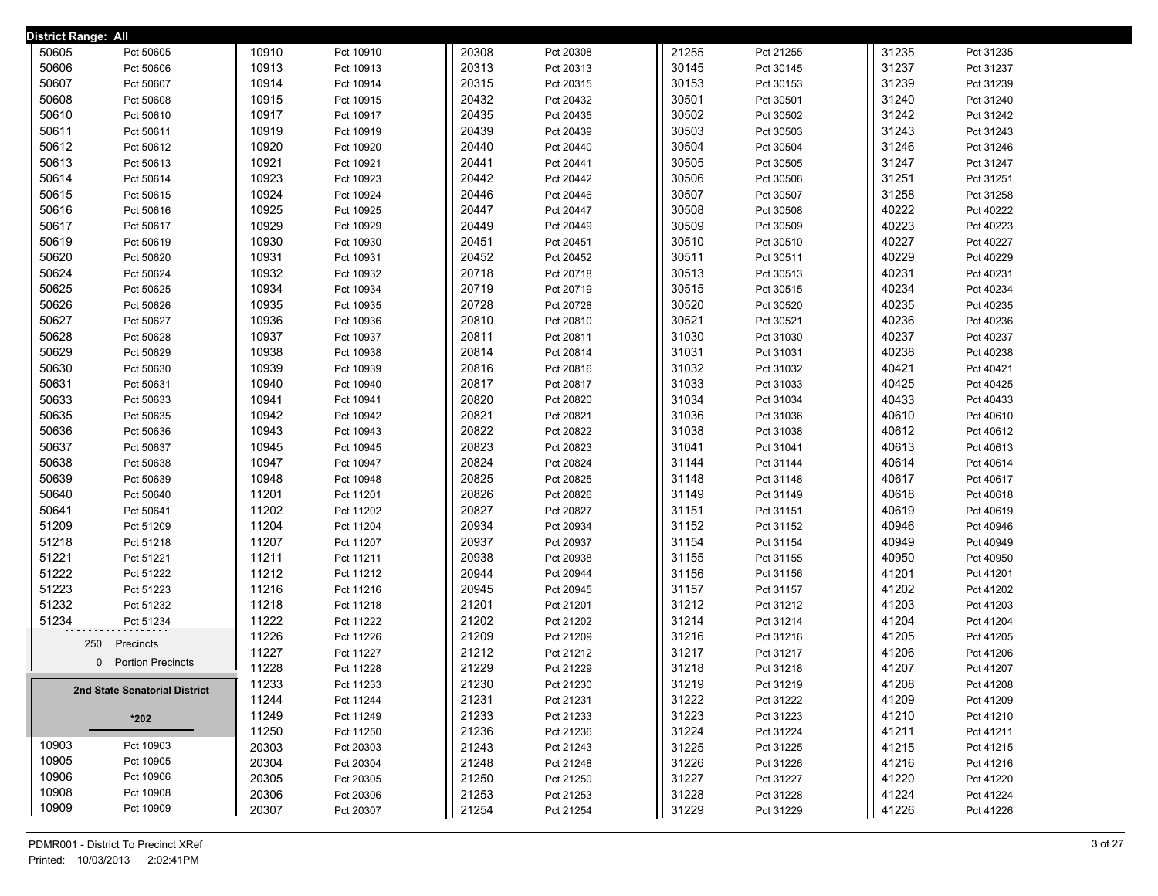| District Range: All |                               |       |           |       |           |       |           |       |           |  |
|---------------------|-------------------------------|-------|-----------|-------|-----------|-------|-----------|-------|-----------|--|
| 50605               | Pct 50605                     | 10910 | Pct 10910 | 20308 | Pct 20308 | 21255 | Pct 21255 | 31235 | Pct 31235 |  |
| 50606               | Pct 50606                     | 10913 | Pct 10913 | 20313 | Pct 20313 | 30145 | Pct 30145 | 31237 | Pct 31237 |  |
| 50607               | Pct 50607                     | 10914 | Pct 10914 | 20315 | Pct 20315 | 30153 | Pct 30153 | 31239 | Pct 31239 |  |
| 50608               | Pct 50608                     | 10915 | Pct 10915 | 20432 | Pct 20432 | 30501 | Pct 30501 | 31240 | Pct 31240 |  |
| 50610               | Pct 50610                     | 10917 | Pct 10917 | 20435 | Pct 20435 | 30502 | Pct 30502 | 31242 | Pct 31242 |  |
| 50611               | Pct 50611                     | 10919 | Pct 10919 | 20439 | Pct 20439 | 30503 | Pct 30503 | 31243 | Pct 31243 |  |
| 50612               | Pct 50612                     | 10920 | Pct 10920 | 20440 | Pct 20440 | 30504 | Pct 30504 | 31246 | Pct 31246 |  |
| 50613               | Pct 50613                     | 10921 | Pct 10921 | 20441 | Pct 20441 | 30505 | Pct 30505 | 31247 | Pct 31247 |  |
| 50614               | Pct 50614                     | 10923 | Pct 10923 | 20442 | Pct 20442 | 30506 | Pct 30506 | 31251 | Pct 31251 |  |
| 50615               | Pct 50615                     | 10924 | Pct 10924 | 20446 | Pct 20446 | 30507 | Pct 30507 | 31258 | Pct 31258 |  |
| 50616               | Pct 50616                     | 10925 | Pct 10925 | 20447 | Pct 20447 | 30508 | Pct 30508 | 40222 | Pct 40222 |  |
| 50617               | Pct 50617                     | 10929 | Pct 10929 | 20449 | Pct 20449 | 30509 | Pct 30509 | 40223 | Pct 40223 |  |
| 50619               | Pct 50619                     | 10930 | Pct 10930 | 20451 | Pct 20451 | 30510 | Pct 30510 | 40227 | Pct 40227 |  |
| 50620               | Pct 50620                     | 10931 | Pct 10931 | 20452 | Pct 20452 | 30511 | Pct 30511 | 40229 | Pct 40229 |  |
| 50624               | Pct 50624                     | 10932 | Pct 10932 | 20718 | Pct 20718 | 30513 | Pct 30513 | 40231 | Pct 40231 |  |
| 50625               | Pct 50625                     | 10934 | Pct 10934 | 20719 | Pct 20719 | 30515 | Pct 30515 | 40234 | Pct 40234 |  |
| 50626               | Pct 50626                     | 10935 | Pct 10935 | 20728 | Pct 20728 | 30520 | Pct 30520 | 40235 | Pct 40235 |  |
| 50627               | Pct 50627                     | 10936 | Pct 10936 | 20810 | Pct 20810 | 30521 | Pct 30521 | 40236 | Pct 40236 |  |
| 50628               | Pct 50628                     | 10937 | Pct 10937 | 20811 | Pct 20811 | 31030 | Pct 31030 | 40237 | Pct 40237 |  |
| 50629               | Pct 50629                     | 10938 | Pct 10938 | 20814 | Pct 20814 | 31031 | Pct 31031 | 40238 | Pct 40238 |  |
| 50630               | Pct 50630                     | 10939 | Pct 10939 | 20816 | Pct 20816 | 31032 | Pct 31032 | 40421 | Pct 40421 |  |
| 50631               | Pct 50631                     | 10940 | Pct 10940 | 20817 | Pct 20817 | 31033 | Pct 31033 | 40425 | Pct 40425 |  |
| 50633               | Pct 50633                     | 10941 | Pct 10941 | 20820 | Pct 20820 | 31034 | Pct 31034 | 40433 | Pct 40433 |  |
| 50635               | Pct 50635                     | 10942 | Pct 10942 | 20821 | Pct 20821 | 31036 | Pct 31036 | 40610 | Pct 40610 |  |
| 50636               | Pct 50636                     | 10943 | Pct 10943 | 20822 | Pct 20822 | 31038 | Pct 31038 | 40612 | Pct 40612 |  |
| 50637               | Pct 50637                     | 10945 | Pct 10945 | 20823 | Pct 20823 | 31041 | Pct 31041 | 40613 | Pct 40613 |  |
| 50638               | Pct 50638                     | 10947 | Pct 10947 | 20824 | Pct 20824 | 31144 | Pct 31144 | 40614 | Pct 40614 |  |
| 50639               | Pct 50639                     | 10948 | Pct 10948 | 20825 | Pct 20825 | 31148 | Pct 31148 | 40617 | Pct 40617 |  |
| 50640               | Pct 50640                     | 11201 | Pct 11201 | 20826 | Pct 20826 | 31149 | Pct 31149 | 40618 | Pct 40618 |  |
| 50641               | Pct 50641                     | 11202 | Pct 11202 | 20827 | Pct 20827 | 31151 | Pct 31151 | 40619 | Pct 40619 |  |
| 51209               | Pct 51209                     | 11204 | Pct 11204 | 20934 | Pct 20934 | 31152 | Pct 31152 | 40946 | Pct 40946 |  |
| 51218               | Pct 51218                     | 11207 | Pct 11207 | 20937 | Pct 20937 | 31154 | Pct 31154 | 40949 | Pct 40949 |  |
| 51221               | Pct 51221                     | 11211 | Pct 11211 | 20938 | Pct 20938 | 31155 | Pct 31155 | 40950 | Pct 40950 |  |
| 51222               | Pct 51222                     | 11212 | Pct 11212 | 20944 | Pct 20944 | 31156 | Pct 31156 | 41201 | Pct 41201 |  |
| 51223               | Pct 51223                     | 11216 | Pct 11216 | 20945 | Pct 20945 | 31157 | Pct 31157 | 41202 | Pct 41202 |  |
| 51232               | Pct 51232                     | 11218 | Pct 11218 | 21201 | Pct 21201 | 31212 | Pct 31212 | 41203 | Pct 41203 |  |
| 51234               | Pct 51234                     | 11222 | Pct 11222 | 21202 | Pct 21202 | 31214 | Pct 31214 | 41204 | Pct 41204 |  |
|                     | 250                           | 11226 | Pct 11226 | 21209 | Pct 21209 | 31216 | Pct 31216 | 41205 | Pct 41205 |  |
|                     | Precincts                     | 11227 | Pct 11227 | 21212 | Pct 21212 | 31217 | Pct 31217 | 41206 | Pct 41206 |  |
|                     | 0 Portion Precincts           | 11228 | Pct 11228 | 21229 | Pct 21229 | 31218 | Pct 31218 | 41207 | Pct 41207 |  |
|                     | 2nd State Senatorial District | 11233 | Pct 11233 | 21230 | Pct 21230 | 31219 | Pct 31219 | 41208 | Pct 41208 |  |
|                     |                               | 11244 | Pct 11244 | 21231 | Pct 21231 | 31222 | Pct 31222 | 41209 | Pct 41209 |  |
|                     | $*202$                        | 11249 | Pct 11249 | 21233 | Pct 21233 | 31223 | Pct 31223 | 41210 | Pct 41210 |  |
|                     |                               | 11250 | Pct 11250 | 21236 | Pct 21236 | 31224 | Pct 31224 | 41211 | Pct 41211 |  |
| 10903               | Pct 10903                     | 20303 | Pct 20303 | 21243 | Pct 21243 | 31225 | Pct 31225 | 41215 | Pct 41215 |  |
| 10905               | Pct 10905                     | 20304 | Pct 20304 | 21248 | Pct 21248 | 31226 | Pct 31226 | 41216 | Pct 41216 |  |
| 10906               | Pct 10906                     | 20305 | Pct 20305 | 21250 | Pct 21250 | 31227 | Pct 31227 | 41220 | Pct 41220 |  |
| 10908               | Pct 10908                     | 20306 | Pct 20306 | 21253 | Pct 21253 | 31228 | Pct 31228 | 41224 | Pct 41224 |  |
| 10909               | Pct 10909                     | 20307 | Pct 20307 | 21254 | Pct 21254 | 31229 | Pct 31229 | 41226 | Pct 41226 |  |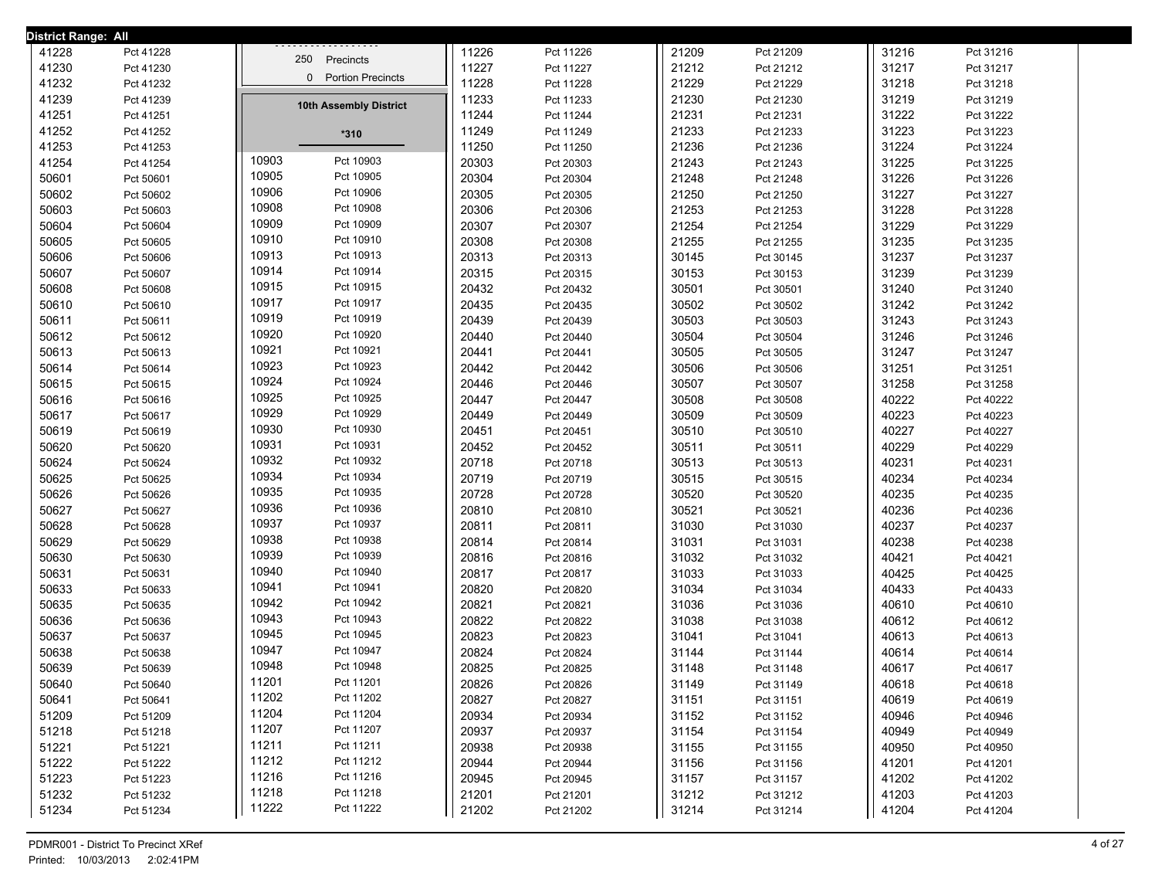| <b>District Range: All</b> |           |                                      |       |           |       |           |       |           |  |
|----------------------------|-----------|--------------------------------------|-------|-----------|-------|-----------|-------|-----------|--|
| 41228                      | Pct 41228 | 250 Precincts                        | 11226 | Pct 11226 | 21209 | Pct 21209 | 31216 | Pct 31216 |  |
| 41230                      | Pct 41230 |                                      | 11227 | Pct 11227 | 21212 | Pct 21212 | 31217 | Pct 31217 |  |
| 41232                      | Pct 41232 | <b>Portion Precincts</b><br>$\Omega$ | 11228 | Pct 11228 | 21229 | Pct 21229 | 31218 | Pct 31218 |  |
| 41239                      | Pct 41239 | 10th Assembly District               | 11233 | Pct 11233 | 21230 | Pct 21230 | 31219 | Pct 31219 |  |
| 41251                      | Pct 41251 |                                      | 11244 | Pct 11244 | 21231 | Pct 21231 | 31222 | Pct 31222 |  |
| 41252                      | Pct 41252 | $*310$                               | 11249 | Pct 11249 | 21233 | Pct 21233 | 31223 | Pct 31223 |  |
| 41253                      | Pct 41253 |                                      | 11250 | Pct 11250 | 21236 | Pct 21236 | 31224 | Pct 31224 |  |
| 41254                      | Pct 41254 | 10903<br>Pct 10903                   | 20303 | Pct 20303 | 21243 | Pct 21243 | 31225 | Pct 31225 |  |
| 50601                      | Pct 50601 | 10905<br>Pct 10905                   | 20304 | Pct 20304 | 21248 | Pct 21248 | 31226 | Pct 31226 |  |
| 50602                      | Pct 50602 | 10906<br>Pct 10906                   | 20305 | Pct 20305 | 21250 | Pct 21250 | 31227 | Pct 31227 |  |
| 50603                      | Pct 50603 | 10908<br>Pct 10908                   | 20306 | Pct 20306 | 21253 | Pct 21253 | 31228 | Pct 31228 |  |
| 50604                      | Pct 50604 | 10909<br>Pct 10909                   | 20307 | Pct 20307 | 21254 | Pct 21254 | 31229 | Pct 31229 |  |
| 50605                      | Pct 50605 | 10910<br>Pct 10910                   | 20308 | Pct 20308 | 21255 | Pct 21255 | 31235 | Pct 31235 |  |
| 50606                      | Pct 50606 | 10913<br>Pct 10913                   | 20313 | Pct 20313 | 30145 | Pct 30145 | 31237 | Pct 31237 |  |
| 50607                      | Pct 50607 | 10914<br>Pct 10914                   | 20315 | Pct 20315 | 30153 | Pct 30153 | 31239 | Pct 31239 |  |
| 50608                      | Pct 50608 | 10915<br>Pct 10915                   | 20432 | Pct 20432 | 30501 | Pct 30501 | 31240 | Pct 31240 |  |
| 50610                      | Pct 50610 | 10917<br>Pct 10917                   | 20435 | Pct 20435 | 30502 | Pct 30502 | 31242 | Pct 31242 |  |
| 50611                      | Pct 50611 | 10919<br>Pct 10919                   | 20439 | Pct 20439 | 30503 | Pct 30503 | 31243 | Pct 31243 |  |
| 50612                      | Pct 50612 | 10920<br>Pct 10920                   | 20440 | Pct 20440 | 30504 | Pct 30504 | 31246 | Pct 31246 |  |
| 50613                      | Pct 50613 | 10921<br>Pct 10921                   | 20441 | Pct 20441 | 30505 | Pct 30505 | 31247 | Pct 31247 |  |
| 50614                      | Pct 50614 | 10923<br>Pct 10923                   | 20442 | Pct 20442 | 30506 | Pct 30506 | 31251 | Pct 31251 |  |
| 50615                      | Pct 50615 | 10924<br>Pct 10924                   | 20446 | Pct 20446 | 30507 | Pct 30507 | 31258 | Pct 31258 |  |
| 50616                      | Pct 50616 | 10925<br>Pct 10925                   | 20447 | Pct 20447 | 30508 | Pct 30508 | 40222 | Pct 40222 |  |
| 50617                      | Pct 50617 | 10929<br>Pct 10929                   | 20449 | Pct 20449 | 30509 | Pct 30509 | 40223 | Pct 40223 |  |
| 50619                      | Pct 50619 | 10930<br>Pct 10930                   | 20451 | Pct 20451 | 30510 | Pct 30510 | 40227 | Pct 40227 |  |
| 50620                      | Pct 50620 | 10931<br>Pct 10931                   | 20452 | Pct 20452 | 30511 | Pct 30511 | 40229 | Pct 40229 |  |
| 50624                      | Pct 50624 | 10932<br>Pct 10932                   | 20718 | Pct 20718 | 30513 | Pct 30513 | 40231 | Pct 40231 |  |
| 50625                      | Pct 50625 | 10934<br>Pct 10934                   | 20719 | Pct 20719 | 30515 | Pct 30515 | 40234 | Pct 40234 |  |
| 50626                      | Pct 50626 | 10935<br>Pct 10935                   | 20728 | Pct 20728 | 30520 | Pct 30520 | 40235 | Pct 40235 |  |
| 50627                      | Pct 50627 | 10936<br>Pct 10936                   | 20810 | Pct 20810 | 30521 | Pct 30521 | 40236 | Pct 40236 |  |
| 50628                      | Pct 50628 | 10937<br>Pct 10937                   | 20811 | Pct 20811 | 31030 | Pct 31030 | 40237 | Pct 40237 |  |
| 50629                      | Pct 50629 | 10938<br>Pct 10938                   | 20814 | Pct 20814 | 31031 | Pct 31031 | 40238 | Pct 40238 |  |
| 50630                      | Pct 50630 | 10939<br>Pct 10939                   | 20816 | Pct 20816 | 31032 | Pct 31032 | 40421 | Pct 40421 |  |
| 50631                      | Pct 50631 | 10940<br>Pct 10940                   | 20817 | Pct 20817 | 31033 | Pct 31033 | 40425 | Pct 40425 |  |
| 50633                      | Pct 50633 | 10941<br>Pct 10941                   | 20820 | Pct 20820 | 31034 | Pct 31034 | 40433 | Pct 40433 |  |
| 50635                      | Pct 50635 | 10942<br>Pct 10942                   | 20821 | Pct 20821 | 31036 | Pct 31036 | 40610 | Pct 40610 |  |
| 50636                      | Pct 50636 | 10943<br>Pct 10943                   | 20822 | Pct 20822 | 31038 | Pct 31038 | 40612 | Pct 40612 |  |
| 50637                      | Pct 50637 | 10945<br>Pct 10945                   | 20823 | Pct 20823 | 31041 | Pct 31041 | 40613 | Pct 40613 |  |
| 50638                      | Pct 50638 | 10947<br>Pct 10947                   | 20824 | Pct 20824 | 31144 | Pct 31144 | 40614 | Pct 40614 |  |
| 50639                      | Pct 50639 | 10948<br>Pct 10948                   | 20825 | Pct 20825 | 31148 | Pct 31148 | 40617 | Pct 40617 |  |
| 50640                      | Pct 50640 | 11201<br>Pct 11201                   | 20826 | Pct 20826 | 31149 | Pct 31149 | 40618 | Pct 40618 |  |
| 50641                      | Pct 50641 | 11202<br>Pct 11202                   | 20827 | Pct 20827 | 31151 | Pct 31151 | 40619 | Pct 40619 |  |
| 51209                      | Pct 51209 | 11204<br>Pct 11204                   | 20934 | Pct 20934 | 31152 | Pct 31152 | 40946 | Pct 40946 |  |
| 51218                      | Pct 51218 | 11207<br>Pct 11207                   | 20937 | Pct 20937 | 31154 | Pct 31154 | 40949 | Pct 40949 |  |
| 51221                      | Pct 51221 | 11211<br>Pct 11211                   | 20938 | Pct 20938 | 31155 | Pct 31155 | 40950 | Pct 40950 |  |
| 51222                      | Pct 51222 | 11212<br>Pct 11212                   | 20944 | Pct 20944 | 31156 | Pct 31156 | 41201 | Pct 41201 |  |
| 51223                      | Pct 51223 | 11216<br>Pct 11216                   | 20945 | Pct 20945 | 31157 | Pct 31157 | 41202 | Pct 41202 |  |
| 51232                      | Pct 51232 | 11218<br>Pct 11218                   | 21201 | Pct 21201 | 31212 | Pct 31212 | 41203 | Pct 41203 |  |
| 51234                      | Pct 51234 | 11222<br>Pct 11222                   | 21202 | Pct 21202 | 31214 | Pct 31214 | 41204 | Pct 41204 |  |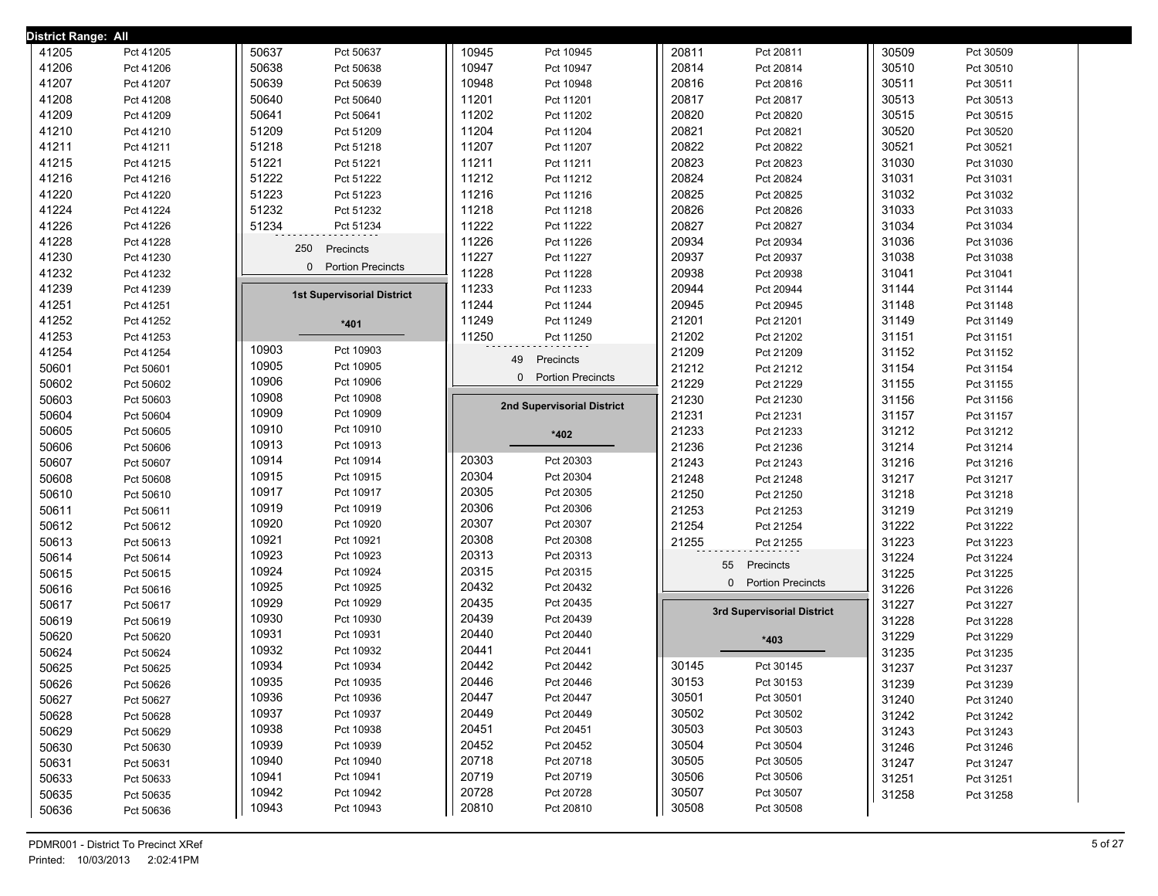| <b>District Range: All</b> |                        |                                          |                                          |                                   |                            |       |           |
|----------------------------|------------------------|------------------------------------------|------------------------------------------|-----------------------------------|----------------------------|-------|-----------|
| 41205                      | Pct 41205              | 50637<br>Pct 50637                       | 10945<br>Pct 10945                       | 20811                             | Pct 20811                  | 30509 | Pct 30509 |
| 41206                      | Pct 41206              | 50638<br>Pct 50638                       | 10947<br>Pct 10947                       | 20814                             | Pct 20814                  | 30510 | Pct 30510 |
| 41207                      | Pct 41207              | 50639<br>Pct 50639                       | 10948<br>Pct 10948                       | 20816                             | Pct 20816                  | 30511 | Pct 30511 |
| 41208                      | Pct 41208              | 50640<br>Pct 50640                       | 11201<br>Pct 11201                       | 20817                             | Pct 20817                  | 30513 | Pct 30513 |
| 41209                      | Pct 41209              | 50641<br>Pct 50641                       | 11202<br>Pct 11202                       | 20820                             | Pct 20820                  | 30515 | Pct 30515 |
| 41210                      | Pct 41210              | 51209<br>Pct 51209                       | 11204<br>Pct 11204                       | 20821                             | Pct 20821                  | 30520 | Pct 30520 |
| 41211                      | Pct 41211              | 51218<br>Pct 51218                       | 11207<br>Pct 11207                       | 20822                             | Pct 20822                  | 30521 | Pct 30521 |
| 41215                      | Pct 41215              | 51221<br>Pct 51221                       | 11211<br>Pct 11211                       | 20823                             | Pct 20823                  | 31030 | Pct 31030 |
| 41216                      | Pct 41216              | 51222<br>Pct 51222                       | 11212<br>Pct 11212                       | 20824                             | Pct 20824                  | 31031 | Pct 31031 |
| 41220                      | Pct 41220              | 51223<br>Pct 51223                       | 11216<br>Pct 11216                       | 20825                             | Pct 20825                  | 31032 | Pct 31032 |
| 41224                      | Pct 41224              | 51232<br>Pct 51232                       | 11218<br>Pct 11218                       | 20826                             | Pct 20826                  | 31033 | Pct 31033 |
| 41226                      | Pct 41226              | 51234<br>Pct 51234                       | 11222<br>Pct 11222                       | 20827                             | Pct 20827                  | 31034 | Pct 31034 |
| 41228                      | Pct 41228              | 250<br>Precincts                         | 11226<br>Pct 11226                       | 20934                             | Pct 20934                  | 31036 | Pct 31036 |
| 41230                      | Pct 41230              |                                          | 11227<br>Pct 11227                       | 20937                             | Pct 20937                  | 31038 | Pct 31038 |
| 41232                      | Pct 41232              | 0 Portion Precincts                      | 11228<br>Pct 11228                       | 20938                             | Pct 20938                  | 31041 | Pct 31041 |
| 41239                      | Pct 41239              | <b>1st Supervisorial District</b>        | 11233<br>Pct 11233                       | 20944                             | Pct 20944                  | 31144 | Pct 31144 |
| 41251                      | Pct 41251              |                                          | 11244<br>Pct 11244                       | 20945                             | Pct 20945                  | 31148 | Pct 31148 |
| 41252                      | Pct 41252              | $*401$                                   | 11249<br>Pct 11249                       | 21201                             | Pct 21201                  | 31149 | Pct 31149 |
| 41253                      | Pct 41253              |                                          | 11250<br>Pct 11250                       | 21202                             | Pct 21202                  | 31151 | Pct 31151 |
| 41254                      | Pct 41254              | 10903<br>Pct 10903                       | 49<br>Precincts                          | 21209                             | Pct 21209                  | 31152 | Pct 31152 |
| 50601                      | Pct 50601              | 10905<br>Pct 10905                       | 0                                        | 21212<br><b>Portion Precincts</b> | Pct 21212                  | 31154 | Pct 31154 |
| 50602                      | Pct 50602              | 10906<br>Pct 10906                       |                                          | 21229                             | Pct 21229                  | 31155 | Pct 31155 |
| 50603                      | Pct 50603              | 10908<br>Pct 10908                       | 2nd Supervisorial District               | 21230                             | Pct 21230                  | 31156 | Pct 31156 |
| 50604                      | Pct 50604              | 10909<br>Pct 10909                       |                                          | 21231                             | Pct 21231                  | 31157 | Pct 31157 |
| 50605                      | Pct 50605              | 10910<br>Pct 10910                       | $*402$                                   | 21233                             | Pct 21233                  | 31212 | Pct 31212 |
| 50606                      | Pct 50606              | 10913<br>Pct 10913                       |                                          | 21236                             | Pct 21236                  | 31214 | Pct 31214 |
| 50607                      | Pct 50607              | 10914<br>Pct 10914                       | 20303<br>Pct 20303                       | 21243                             | Pct 21243                  | 31216 | Pct 31216 |
| 50608                      | Pct 50608              | 10915<br>Pct 10915                       | 20304<br>Pct 20304                       | 21248                             | Pct 21248                  | 31217 | Pct 31217 |
| 50610                      | Pct 50610              | 10917<br>Pct 10917                       | 20305<br>Pct 20305                       | 21250                             | Pct 21250                  | 31218 | Pct 31218 |
| 50611                      | Pct 50611              | 10919<br>Pct 10919                       | 20306<br>Pct 20306                       | 21253                             | Pct 21253                  | 31219 | Pct 31219 |
| 50612                      | Pct 50612              | 10920<br>Pct 10920                       | 20307<br>Pct 20307                       | 21254                             | Pct 21254                  | 31222 | Pct 31222 |
| 50613                      | Pct 50613              | 10921<br>Pct 10921                       | 20308<br>Pct 20308                       | 21255                             | Pct 21255                  | 31223 | Pct 31223 |
| 50614                      | Pct 50614              | 10923<br>Pct 10923                       | 20313<br>Pct 20313                       |                                   | 55<br>Precincts            | 31224 | Pct 31224 |
| 50615                      | Pct 50615              | 10924<br>Pct 10924                       | 20315<br>Pct 20315                       |                                   | 0 Portion Precincts        | 31225 | Pct 31225 |
| 50616                      | Pct 50616              | 10925<br>Pct 10925                       | 20432<br>Pct 20432                       |                                   |                            | 31226 | Pct 31226 |
| 50617                      | Pct 50617              | 10929<br>Pct 10929                       | 20435<br>Pct 20435                       |                                   | 3rd Supervisorial District | 31227 | Pct 31227 |
| 50619                      | Pct 50619              | 10930<br>Pct 10930                       | 20439<br>Pct 20439                       |                                   |                            | 31228 | Pct 31228 |
| 50620                      | Pct 50620              | 10931<br>Pct 10931                       | 20440<br>Pct 20440                       |                                   | $*403$                     | 31229 | Pct 31229 |
| 50624                      | Pct 50624              | 10932<br>Pct 10932                       | 20441<br>Pct 20441                       |                                   |                            | 31235 | Pct 31235 |
| 50625                      | Pct 50625              | 10934<br>Pct 10934                       | 20442<br>Pct 20442                       | 30145                             | Pct 30145                  | 31237 | Pct 31237 |
|                            |                        | 10935<br>Pct 10935                       | 20446<br>Pct 20446                       | 30153<br>30501                    | Pct 30153                  | 31239 | Pct 31239 |
| 50626                      | Pct 50626              |                                          |                                          |                                   | Pct 30501                  |       | Pct 31240 |
| 50627                      | Pct 50627              | 10936<br>Pct 10936                       | 20447<br>Pct 20447                       |                                   |                            | 31240 |           |
| 50628                      | Pct 50628              | 10937<br>Pct 10937                       | 20449<br>Pct 20449                       | 30502                             | Pct 30502                  | 31242 | Pct 31242 |
| 50629                      | Pct 50629              | 10938<br>Pct 10938                       | 20451<br>Pct 20451                       | 30503                             | Pct 30503                  | 31243 | Pct 31243 |
| 50630                      | Pct 50630              | 10939<br>Pct 10939                       | 20452<br>Pct 20452                       | 30504                             | Pct 30504                  | 31246 | Pct 31246 |
| 50631                      | Pct 50631              | 10940<br>Pct 10940                       | 20718<br>Pct 20718                       | 30505                             | Pct 30505                  | 31247 | Pct 31247 |
| 50633                      | Pct 50633              | 10941<br>Pct 10941                       | 20719<br>Pct 20719                       | 30506                             | Pct 30506                  | 31251 | Pct 31251 |
| 50635<br>50636             | Pct 50635<br>Pct 50636 | 10942<br>Pct 10942<br>10943<br>Pct 10943 | 20728<br>Pct 20728<br>20810<br>Pct 20810 | 30507<br>30508                    | Pct 30507<br>Pct 30508     | 31258 | Pct 31258 |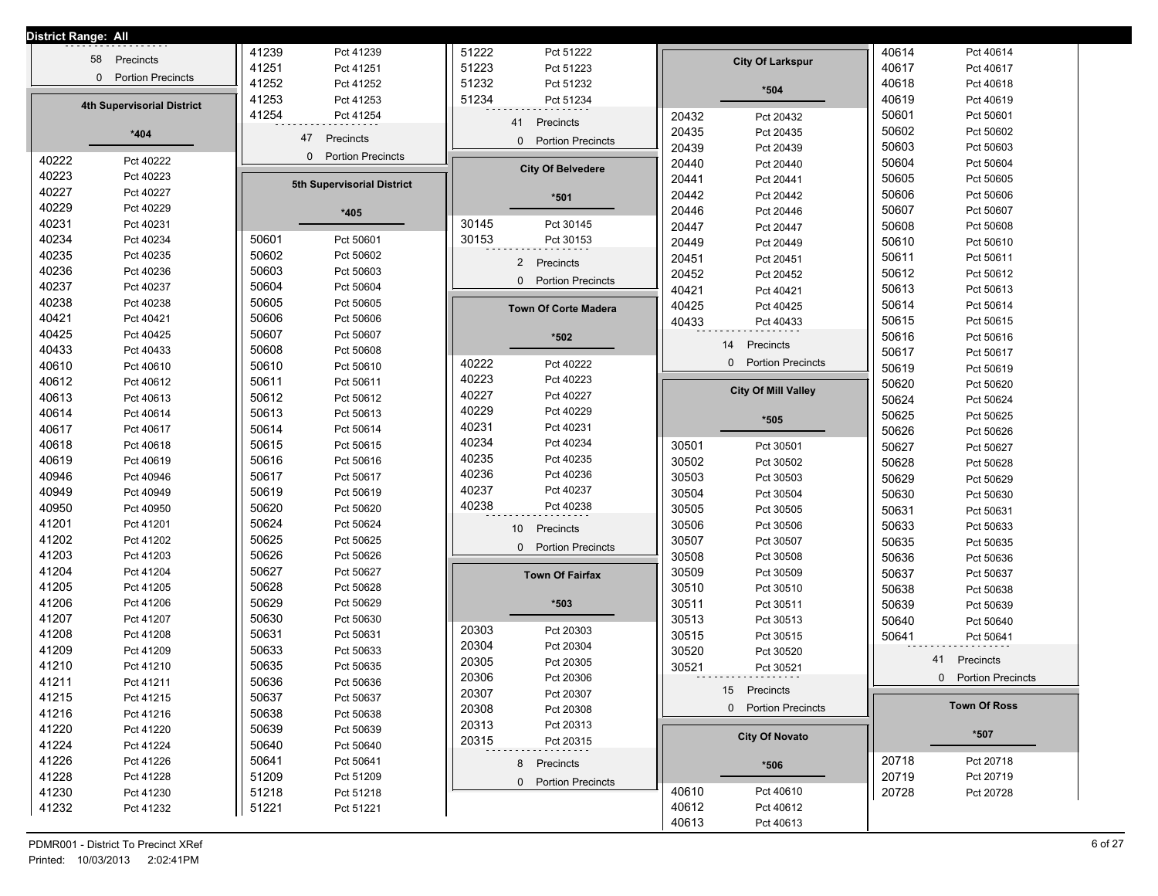| <b>District Range: All</b> |                                   |       |                                      |                |                              |                |                                      |       |                     |
|----------------------------|-----------------------------------|-------|--------------------------------------|----------------|------------------------------|----------------|--------------------------------------|-------|---------------------|
|                            | Precincts<br>58                   | 41239 | Pct 41239                            | 51222          | Pct 51222                    |                | <b>City Of Larkspur</b>              | 40614 | Pct 40614           |
|                            | 0 Portion Precincts               | 41251 | Pct 41251                            | 51223          | Pct 51223                    |                |                                      | 40617 | Pct 40617           |
|                            |                                   | 41252 | Pct 41252                            | 51232          | Pct 51232                    |                | $*504$                               | 40618 | Pct 40618           |
|                            | <b>4th Supervisorial District</b> | 41253 | Pct 41253                            | 51234          | Pct 51234                    |                |                                      | 40619 | Pct 40619           |
|                            |                                   | 41254 | Pct 41254                            |                | 41 Precincts                 | 20432          | Pct 20432                            | 50601 | Pct 50601           |
|                            | $*404$                            |       | 47<br>Precincts                      |                | 0 Portion Precincts          | 20435          | Pct 20435                            | 50602 | Pct 50602           |
|                            |                                   |       | <b>Portion Precincts</b><br>$\Omega$ |                |                              | 20439          | Pct 20439                            | 50603 | Pct 50603           |
| 40222                      | Pct 40222                         |       |                                      |                | <b>City Of Belvedere</b>     | 20440          | Pct 20440                            | 50604 | Pct 50604           |
| 40223                      | Pct 40223                         |       | 5th Supervisorial District           |                |                              | 20441          | Pct 20441                            | 50605 | Pct 50605           |
| 40227                      | Pct 40227                         |       |                                      |                | *501                         | 20442          | Pct 20442                            | 50606 | Pct 50606           |
| 40229                      | Pct 40229                         |       | *405                                 |                |                              | 20446          | Pct 20446                            | 50607 | Pct 50607           |
| 40231                      | Pct 40231                         |       |                                      | 30145          | Pct 30145                    | 20447          | Pct 20447                            | 50608 | Pct 50608           |
| 40234                      | Pct 40234                         | 50601 | Pct 50601                            | 30153          | Pct 30153                    | 20449          | Pct 20449                            | 50610 | Pct 50610           |
| 40235                      | Pct 40235                         | 50602 | Pct 50602                            |                | 2 Precincts                  | 20451          | Pct 20451                            | 50611 | Pct 50611           |
| 40236                      | Pct 40236                         | 50603 | Pct 50603                            |                | 0 Portion Precincts          | 20452          | Pct 20452                            | 50612 | Pct 50612           |
| 40237                      | Pct 40237                         | 50604 | Pct 50604                            |                |                              | 40421          | Pct 40421                            | 50613 | Pct 50613           |
| 40238                      | Pct 40238                         | 50605 | Pct 50605                            |                | <b>Town Of Corte Madera</b>  | 40425          | Pct 40425                            | 50614 | Pct 50614           |
| 40421                      | Pct 40421                         | 50606 | Pct 50606                            |                |                              | 40433          | Pct 40433                            | 50615 | Pct 50615           |
| 40425                      | Pct 40425                         | 50607 | Pct 50607                            |                | *502                         |                | Precincts<br>14                      | 50616 | Pct 50616           |
| 40433                      | Pct 40433                         | 50608 | Pct 50608                            |                |                              |                | $\Omega$<br><b>Portion Precincts</b> | 50617 | Pct 50617           |
| 40610                      | Pct 40610                         | 50610 | Pct 50610                            | 40222          | Pct 40222                    |                |                                      | 50619 | Pct 50619           |
| 40612                      | Pct 40612                         | 50611 | Pct 50611                            | 40223<br>40227 | Pct 40223<br>Pct 40227       |                | <b>City Of Mill Valley</b>           | 50620 | Pct 50620           |
| 40613                      | Pct 40613                         | 50612 | Pct 50612                            | 40229          | Pct 40229                    |                |                                      | 50624 | Pct 50624           |
| 40614                      | Pct 40614                         | 50613 | Pct 50613                            | 40231          | Pct 40231                    |                | *505                                 | 50625 | Pct 50625           |
| 40617                      | Pct 40617                         | 50614 | Pct 50614                            | 40234          | Pct 40234                    |                |                                      | 50626 | Pct 50626           |
| 40618                      | Pct 40618                         | 50615 | Pct 50615                            | 40235          | Pct 40235                    | 30501          | Pct 30501                            | 50627 | Pct 50627           |
| 40619                      | Pct 40619                         | 50616 | Pct 50616                            | 40236          | Pct 40236                    | 30502          | Pct 30502                            | 50628 | Pct 50628           |
| 40946                      | Pct 40946                         | 50617 | Pct 50617                            | 40237          | Pct 40237                    | 30503          | Pct 30503                            | 50629 | Pct 50629           |
| 40949                      | Pct 40949                         | 50619 | Pct 50619                            | 40238          |                              | 30504          | Pct 30504                            | 50630 | Pct 50630           |
| 40950                      | Pct 40950                         | 50620 | Pct 50620                            |                | Pct 40238                    | 30505          | Pct 30505                            | 50631 | Pct 50631           |
| 41201                      | Pct 41201                         | 50624 | Pct 50624                            |                | 10 <sup>1</sup><br>Precincts | 30506          | Pct 30506                            | 50633 | Pct 50633           |
| 41202                      | Pct 41202                         | 50625 | Pct 50625                            |                | 0 Portion Precincts          | 30507          | Pct 30507                            | 50635 | Pct 50635           |
| 41203                      | Pct 41203                         | 50626 | Pct 50626                            |                |                              | 30508          | Pct 30508                            | 50636 | Pct 50636           |
| 41204                      | Pct 41204                         | 50627 | Pct 50627                            |                | <b>Town Of Fairfax</b>       | 30509          | Pct 30509                            | 50637 | Pct 50637           |
| 41205                      | Pct 41205                         | 50628 | Pct 50628                            |                |                              | 30510          | Pct 30510                            | 50638 | Pct 50638           |
| 41206                      | Pct 41206                         | 50629 | Pct 50629                            |                | $*503$                       | 30511          | Pct 30511                            | 50639 | Pct 50639           |
| 41207                      | Pct 41207                         | 50630 | Pct 50630                            | 20303          | Pct 20303                    | 30513          | Pct 30513                            | 50640 | Pct 50640           |
| 41208                      | Pct 41208                         | 50631 | Pct 50631                            | 20304          | Pct 20304                    | 30515          | Pct 30515                            | 50641 | Pct 50641           |
| 41209                      | Pct 41209                         | 50633 | Pct 50633                            | 20305          | Pct 20305                    | 30520          | Pct 30520                            | 41    | Precincts           |
| 41210                      | Pct 41210                         | 50635 | Pct 50635                            | 20306          | Pct 20306                    | 30521          | Pct 30521                            |       | 0 Portion Precincts |
| 41211                      | Pct 41211                         | 50636 | Pct 50636                            | 20307          | Pct 20307                    |                | 15 Precincts                         |       |                     |
| 41215                      | Pct 41215                         | 50637 | Pct 50637                            | 20308          | Pct 20308                    |                | 0 Portion Precincts                  |       | <b>Town Of Ross</b> |
| 41216                      | Pct 41216                         | 50638 | Pct 50638                            | 20313          | Pct 20313                    |                |                                      |       |                     |
| 41220                      | Pct 41220                         | 50639 | Pct 50639                            | 20315          | Pct 20315                    |                | <b>City Of Novato</b>                |       | *507                |
| 41224                      | Pct 41224                         | 50640 | Pct 50640                            |                |                              |                |                                      |       |                     |
| 41226                      | Pct 41226                         | 50641 | Pct 50641                            |                | 8 Precincts                  |                | $*506$                               | 20718 | Pct 20718           |
| 41228                      | Pct 41228                         | 51209 | Pct 51209                            |                | 0 Portion Precincts          |                |                                      | 20719 | Pct 20719           |
| 41230                      | Pct 41230                         | 51218 | Pct 51218                            |                |                              | 40610<br>40612 | Pct 40610<br>Pct 40612               | 20728 | Pct 20728           |
| 41232                      | Pct 41232                         | 51221 | Pct 51221                            |                |                              | 40613          |                                      |       |                     |
|                            |                                   |       |                                      |                |                              |                | Pct 40613                            |       |                     |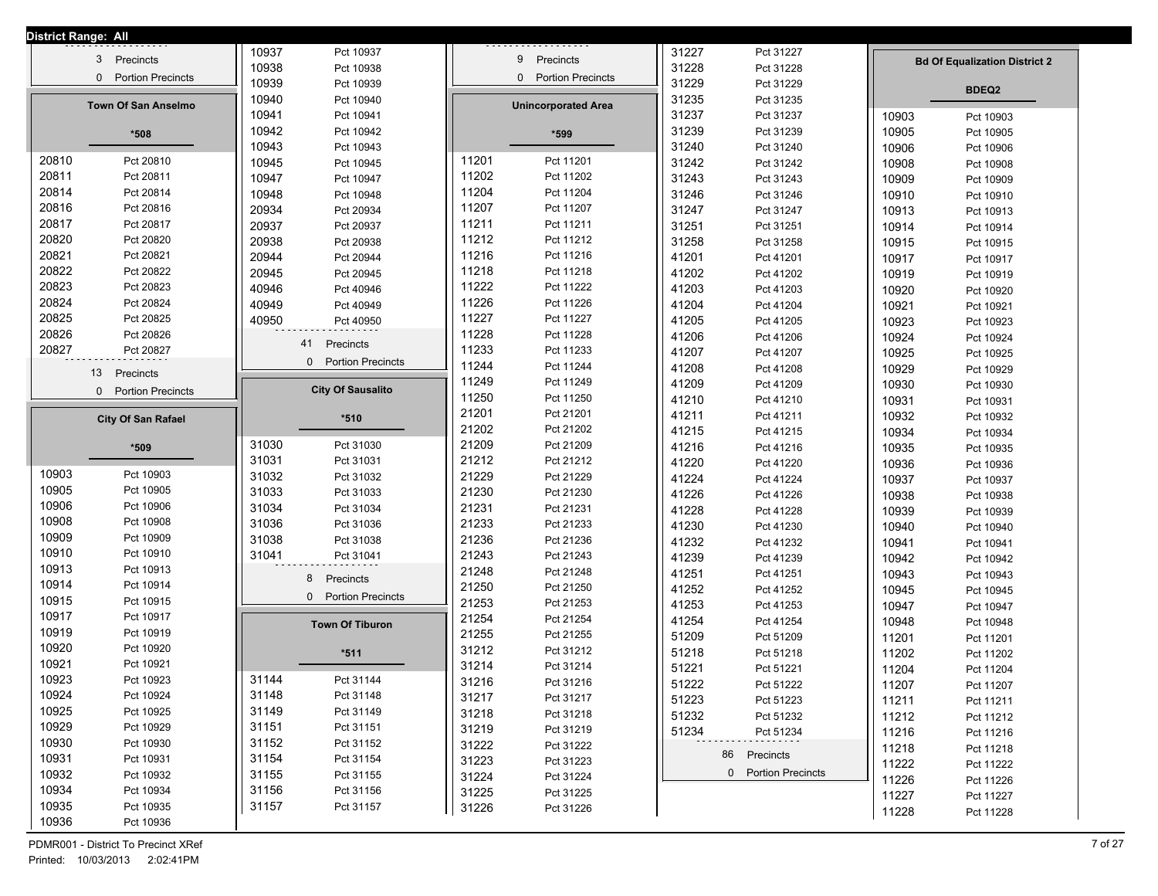| District Range: All |                                      |          |                          |       |                            |       |                     |       |                                      |
|---------------------|--------------------------------------|----------|--------------------------|-------|----------------------------|-------|---------------------|-------|--------------------------------------|
|                     | 3 Precincts                          | 10937    | Pct 10937                |       | 9 Precincts                | 31227 | Pct 31227           |       |                                      |
|                     | <b>Portion Precincts</b><br>$\Omega$ | 10938    | Pct 10938                |       | 0 Portion Precincts        | 31228 | Pct 31228           |       | <b>Bd Of Equalization District 2</b> |
|                     |                                      | 10939    | Pct 10939                |       |                            | 31229 | Pct 31229           |       | <b>BDEQ2</b>                         |
|                     | <b>Town Of San Anselmo</b>           | 10940    | Pct 10940                |       | <b>Unincorporated Area</b> | 31235 | Pct 31235           |       |                                      |
|                     |                                      | 10941    | Pct 10941                |       |                            | 31237 | Pct 31237           | 10903 | Pct 10903                            |
|                     | *508                                 | 10942    | Pct 10942                |       | *599                       | 31239 | Pct 31239           | 10905 | Pct 10905                            |
|                     |                                      | 10943    | Pct 10943                |       |                            | 31240 | Pct 31240           | 10906 | Pct 10906                            |
| 20810               | Pct 20810                            | 10945    | Pct 10945                | 11201 | Pct 11201                  | 31242 | Pct 31242           | 10908 | Pct 10908                            |
| 20811               | Pct 20811                            | 10947    | Pct 10947                | 11202 | Pct 11202                  | 31243 | Pct 31243           | 10909 | Pct 10909                            |
| 20814               | Pct 20814                            | 10948    | Pct 10948                | 11204 | Pct 11204                  | 31246 | Pct 31246           | 10910 | Pct 10910                            |
| 20816               | Pct 20816                            | 20934    | Pct 20934                | 11207 | Pct 11207                  | 31247 | Pct 31247           | 10913 | Pct 10913                            |
| 20817               | Pct 20817                            | 20937    | Pct 20937                | 11211 | Pct 11211                  | 31251 | Pct 31251           | 10914 | Pct 10914                            |
| 20820               | Pct 20820                            | 20938    | Pct 20938                | 11212 | Pct 11212                  | 31258 | Pct 31258           | 10915 | Pct 10915                            |
| 20821               | Pct 20821                            | 20944    | Pct 20944                | 11216 | Pct 11216                  | 41201 | Pct 41201           | 10917 | Pct 10917                            |
| 20822               | Pct 20822                            | 20945    | Pct 20945                | 11218 | Pct 11218                  | 41202 | Pct 41202           | 10919 | Pct 10919                            |
| 20823               | Pct 20823                            | 40946    | Pct 40946                | 11222 | Pct 11222                  | 41203 | Pct 41203           | 10920 | Pct 10920                            |
| 20824               | Pct 20824                            | 40949    | Pct 40949                | 11226 | Pct 11226                  | 41204 | Pct 41204           | 10921 | Pct 10921                            |
| 20825               | Pct 20825                            | 40950    | Pct 40950                | 11227 | Pct 11227                  | 41205 | Pct 41205           | 10923 | Pct 10923                            |
| 20826               | Pct 20826                            | 41       | Precincts                | 11228 | Pct 11228                  | 41206 | Pct 41206           | 10924 | Pct 10924                            |
| 20827               | Pct 20827                            | $\Omega$ | <b>Portion Precincts</b> | 11233 | Pct 11233                  | 41207 | Pct 41207           | 10925 | Pct 10925                            |
|                     | 13<br>Precincts                      |          |                          | 11244 | Pct 11244                  | 41208 | Pct 41208           | 10929 | Pct 10929                            |
|                     | 0 Portion Precincts                  |          | <b>City Of Sausalito</b> | 11249 | Pct 11249                  | 41209 | Pct 41209           | 10930 | Pct 10930                            |
|                     |                                      |          |                          | 11250 | Pct 11250                  | 41210 | Pct 41210           | 10931 | Pct 10931                            |
|                     | <b>City Of San Rafael</b>            |          | *510                     | 21201 | Pct 21201                  | 41211 | Pct 41211           | 10932 | Pct 10932                            |
|                     |                                      |          |                          | 21202 | Pct 21202                  | 41215 | Pct 41215           | 10934 | Pct 10934                            |
|                     | *509                                 | 31030    | Pct 31030                | 21209 | Pct 21209                  | 41216 | Pct 41216           | 10935 | Pct 10935                            |
|                     |                                      | 31031    | Pct 31031                | 21212 | Pct 21212                  | 41220 | Pct 41220           | 10936 | Pct 10936                            |
| 10903               | Pct 10903                            | 31032    | Pct 31032                | 21229 | Pct 21229                  | 41224 | Pct 41224           | 10937 | Pct 10937                            |
| 10905               | Pct 10905                            | 31033    | Pct 31033                | 21230 | Pct 21230                  | 41226 | Pct 41226           | 10938 | Pct 10938                            |
| 10906               | Pct 10906                            | 31034    | Pct 31034                | 21231 | Pct 21231                  | 41228 | Pct 41228           | 10939 | Pct 10939                            |
| 10908               | Pct 10908                            | 31036    | Pct 31036                | 21233 | Pct 21233                  | 41230 | Pct 41230           | 10940 | Pct 10940                            |
| 10909               | Pct 10909                            | 31038    | Pct 31038                | 21236 | Pct 21236                  | 41232 | Pct 41232           | 10941 | Pct 10941                            |
| 10910               | Pct 10910                            | 31041    | Pct 31041                | 21243 | Pct 21243                  | 41239 | Pct 41239           | 10942 | Pct 10942                            |
| 10913               | Pct 10913                            | 8        | Precincts                | 21248 | Pct 21248                  | 41251 | Pct 41251           | 10943 | Pct 10943                            |
| 10914               | Pct 10914                            |          | 0 Portion Precincts      | 21250 | Pct 21250                  | 41252 | Pct 41252           | 10945 | Pct 10945                            |
| 10915               | Pct 10915                            |          |                          | 21253 | Pct 21253                  | 41253 | Pct 41253           | 10947 | Pct 10947                            |
| 10917               | Pct 10917                            |          | <b>Town Of Tiburon</b>   | 21254 | Pct 21254                  | 41254 | Pct 41254           | 10948 | Pct 10948                            |
| 10919<br>10920      | Pct 10919                            |          |                          | 21255 | Pct 21255                  | 51209 | Pct 51209           | 11201 | Pct 11201                            |
|                     | Pct 10920                            |          | $*511$                   | 31212 | Pct 31212                  | 51218 | Pct 51218           | 11202 | Pct 11202                            |
| 10921<br>10923      | Pct 10921                            |          |                          | 31214 | Pct 31214                  | 51221 | Pct 51221           | 11204 | Pct 11204                            |
|                     | Pct 10923                            | 31144    | Pct 31144                | 31216 | Pct 31216                  | 51222 | Pct 51222           | 11207 | Pct 11207                            |
| 10924               | Pct 10924                            | 31148    | Pct 31148                | 31217 | Pct 31217                  | 51223 | Pct 51223           | 11211 | Pct 11211                            |
| 10925               | Pct 10925                            | 31149    | Pct 31149                | 31218 | Pct 31218                  | 51232 | Pct 51232           | 11212 | Pct 11212                            |
| 10929               | Pct 10929                            | 31151    | Pct 31151                | 31219 | Pct 31219                  | 51234 | Pct 51234           | 11216 | Pct 11216                            |
| 10930               | Pct 10930                            | 31152    | Pct 31152                | 31222 | Pct 31222                  |       | 86 Precincts        | 11218 | Pct 11218                            |
| 10931               | Pct 10931                            | 31154    | Pct 31154                | 31223 | Pct 31223                  |       | 0 Portion Precincts | 11222 | Pct 11222                            |
| 10932               | Pct 10932                            | 31155    | Pct 31155                | 31224 | Pct 31224                  |       |                     | 11226 | Pct 11226                            |
| 10934               | Pct 10934                            | 31156    | Pct 31156                | 31225 | Pct 31225                  |       |                     | 11227 | Pct 11227                            |
| 10935               | Pct 10935                            | 31157    | Pct 31157                | 31226 | Pct 31226                  |       |                     | 11228 | Pct 11228                            |
| 10936               | Pct 10936                            |          |                          |       |                            |       |                     |       |                                      |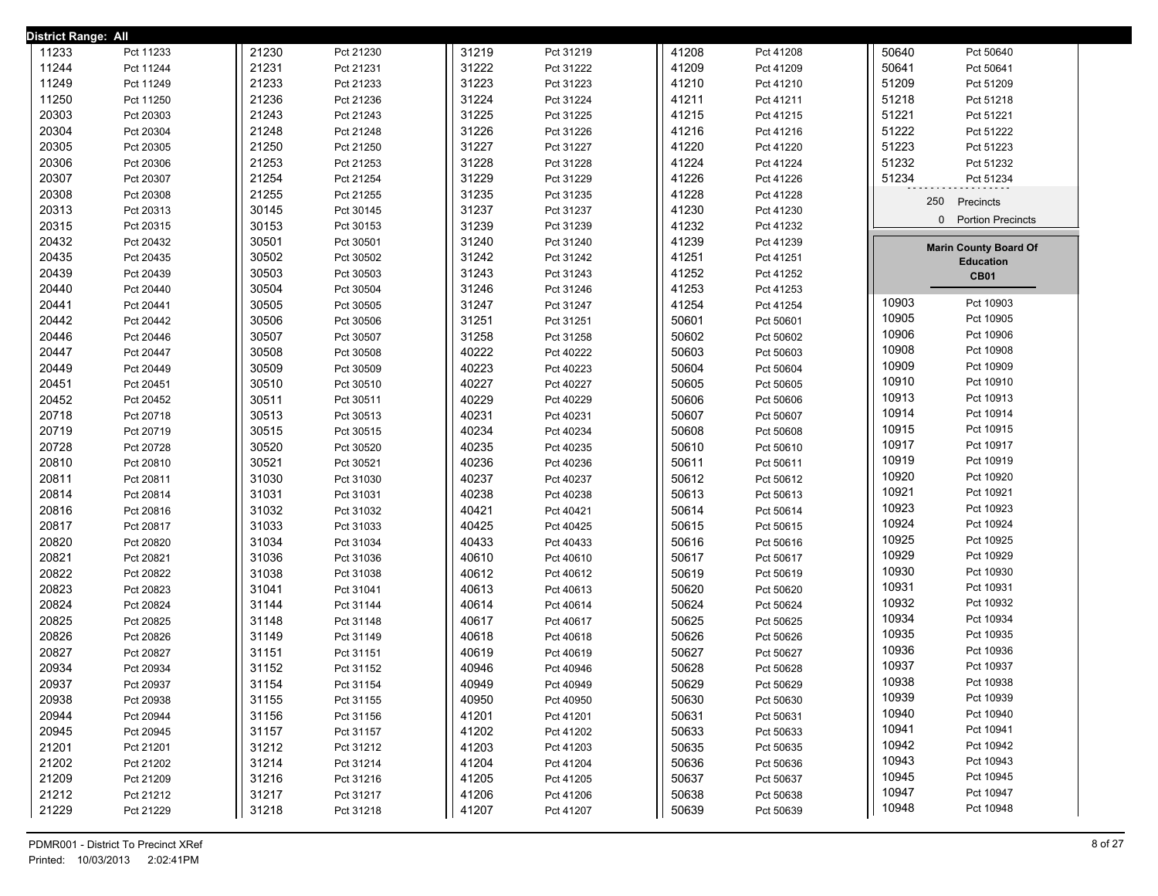| District Range: All |           |       |           |       |           |       |           |       |                                          |  |
|---------------------|-----------|-------|-----------|-------|-----------|-------|-----------|-------|------------------------------------------|--|
| 11233               | Pct 11233 | 21230 | Pct 21230 | 31219 | Pct 31219 | 41208 | Pct 41208 | 50640 | Pct 50640                                |  |
| 11244               | Pct 11244 | 21231 | Pct 21231 | 31222 | Pct 31222 | 41209 | Pct 41209 | 50641 | Pct 50641                                |  |
| 11249               | Pct 11249 | 21233 | Pct 21233 | 31223 | Pct 31223 | 41210 | Pct 41210 | 51209 | Pct 51209                                |  |
| 11250               | Pct 11250 | 21236 | Pct 21236 | 31224 | Pct 31224 | 41211 | Pct 41211 | 51218 | Pct 51218                                |  |
| 20303               | Pct 20303 | 21243 | Pct 21243 | 31225 | Pct 31225 | 41215 | Pct 41215 | 51221 | Pct 51221                                |  |
| 20304               | Pct 20304 | 21248 | Pct 21248 | 31226 | Pct 31226 | 41216 | Pct 41216 | 51222 | Pct 51222                                |  |
| 20305               | Pct 20305 | 21250 | Pct 21250 | 31227 | Pct 31227 | 41220 | Pct 41220 | 51223 | Pct 51223                                |  |
| 20306               | Pct 20306 | 21253 | Pct 21253 | 31228 | Pct 31228 | 41224 | Pct 41224 | 51232 | Pct 51232                                |  |
| 20307               | Pct 20307 | 21254 | Pct 21254 | 31229 | Pct 31229 | 41226 | Pct 41226 | 51234 | Pct 51234                                |  |
| 20308               | Pct 20308 | 21255 | Pct 21255 | 31235 | Pct 31235 | 41228 | Pct 41228 |       |                                          |  |
| 20313               | Pct 20313 | 30145 | Pct 30145 | 31237 | Pct 31237 | 41230 | Pct 41230 |       | 250<br>Precincts                         |  |
| 20315               | Pct 20315 | 30153 | Pct 30153 | 31239 | Pct 31239 | 41232 | Pct 41232 |       | <b>Portion Precincts</b><br>$\mathbf{0}$ |  |
| 20432               | Pct 20432 | 30501 | Pct 30501 | 31240 | Pct 31240 | 41239 | Pct 41239 |       | <b>Marin County Board Of</b>             |  |
| 20435               | Pct 20435 | 30502 | Pct 30502 | 31242 | Pct 31242 | 41251 | Pct 41251 |       | <b>Education</b>                         |  |
| 20439               | Pct 20439 | 30503 | Pct 30503 | 31243 | Pct 31243 | 41252 | Pct 41252 |       | <b>CB01</b>                              |  |
| 20440               | Pct 20440 | 30504 | Pct 30504 | 31246 | Pct 31246 | 41253 | Pct 41253 |       |                                          |  |
| 20441               | Pct 20441 | 30505 | Pct 30505 | 31247 | Pct 31247 | 41254 | Pct 41254 | 10903 | Pct 10903                                |  |
| 20442               | Pct 20442 | 30506 | Pct 30506 | 31251 | Pct 31251 | 50601 | Pct 50601 | 10905 | Pct 10905                                |  |
| 20446               | Pct 20446 | 30507 | Pct 30507 | 31258 | Pct 31258 | 50602 | Pct 50602 | 10906 | Pct 10906                                |  |
| 20447               | Pct 20447 | 30508 | Pct 30508 | 40222 | Pct 40222 | 50603 | Pct 50603 | 10908 | Pct 10908                                |  |
| 20449               | Pct 20449 | 30509 | Pct 30509 | 40223 | Pct 40223 | 50604 | Pct 50604 | 10909 | Pct 10909                                |  |
| 20451               | Pct 20451 | 30510 | Pct 30510 | 40227 | Pct 40227 | 50605 | Pct 50605 | 10910 | Pct 10910                                |  |
| 20452               | Pct 20452 | 30511 | Pct 30511 | 40229 | Pct 40229 | 50606 | Pct 50606 | 10913 | Pct 10913                                |  |
| 20718               | Pct 20718 | 30513 | Pct 30513 | 40231 | Pct 40231 | 50607 | Pct 50607 | 10914 | Pct 10914                                |  |
| 20719               | Pct 20719 | 30515 | Pct 30515 | 40234 | Pct 40234 | 50608 | Pct 50608 | 10915 | Pct 10915                                |  |
| 20728               | Pct 20728 | 30520 | Pct 30520 | 40235 | Pct 40235 | 50610 | Pct 50610 | 10917 | Pct 10917                                |  |
| 20810               | Pct 20810 | 30521 | Pct 30521 | 40236 | Pct 40236 | 50611 | Pct 50611 | 10919 | Pct 10919                                |  |
| 20811               | Pct 20811 | 31030 | Pct 31030 | 40237 | Pct 40237 | 50612 | Pct 50612 | 10920 | Pct 10920                                |  |
| 20814               | Pct 20814 | 31031 | Pct 31031 | 40238 | Pct 40238 | 50613 | Pct 50613 | 10921 | Pct 10921                                |  |
| 20816               | Pct 20816 | 31032 | Pct 31032 | 40421 | Pct 40421 | 50614 | Pct 50614 | 10923 | Pct 10923                                |  |
| 20817               | Pct 20817 | 31033 | Pct 31033 | 40425 | Pct 40425 | 50615 | Pct 50615 | 10924 | Pct 10924                                |  |
| 20820               | Pct 20820 | 31034 | Pct 31034 | 40433 | Pct 40433 | 50616 | Pct 50616 | 10925 | Pct 10925                                |  |
| 20821               | Pct 20821 | 31036 | Pct 31036 | 40610 | Pct 40610 | 50617 | Pct 50617 | 10929 | Pct 10929                                |  |
| 20822               | Pct 20822 | 31038 | Pct 31038 | 40612 | Pct 40612 | 50619 | Pct 50619 | 10930 | Pct 10930                                |  |
| 20823               | Pct 20823 | 31041 | Pct 31041 | 40613 | Pct 40613 | 50620 | Pct 50620 | 10931 | Pct 10931                                |  |
| 20824               | Pct 20824 | 31144 | Pct 31144 | 40614 | Pct 40614 | 50624 | Pct 50624 | 10932 | Pct 10932                                |  |
| 20825               | Pct 20825 | 31148 | Pct 31148 | 40617 | Pct 40617 | 50625 | Pct 50625 | 10934 | Pct 10934                                |  |
| 20826               | Pct 20826 | 31149 | Pct 31149 | 40618 | Pct 40618 | 50626 | Pct 50626 | 10935 | Pct 10935                                |  |
| 20827               | Pct 20827 | 31151 | Pct 31151 | 40619 | Pct 40619 | 50627 | Pct 50627 | 10936 | Pct 10936                                |  |
| 20934               | Pct 20934 | 31152 | Pct 31152 | 40946 | Pct 40946 | 50628 | Pct 50628 | 10937 | Pct 10937                                |  |
| 20937               | Pct 20937 | 31154 | Pct 31154 | 40949 | Pct 40949 | 50629 | Pct 50629 | 10938 | Pct 10938                                |  |
| 20938               | Pct 20938 | 31155 | Pct 31155 | 40950 | Pct 40950 | 50630 | Pct 50630 | 10939 | Pct 10939                                |  |
| 20944               | Pct 20944 | 31156 | Pct 31156 | 41201 | Pct 41201 | 50631 | Pct 50631 | 10940 | Pct 10940                                |  |
| 20945               | Pct 20945 | 31157 | Pct 31157 | 41202 | Pct 41202 | 50633 | Pct 50633 | 10941 | Pct 10941                                |  |
| 21201               | Pct 21201 | 31212 | Pct 31212 | 41203 | Pct 41203 | 50635 | Pct 50635 | 10942 | Pct 10942                                |  |
| 21202               | Pct 21202 | 31214 | Pct 31214 | 41204 | Pct 41204 | 50636 | Pct 50636 | 10943 | Pct 10943                                |  |
| 21209               | Pct 21209 | 31216 | Pct 31216 | 41205 | Pct 41205 | 50637 | Pct 50637 | 10945 | Pct 10945                                |  |
| 21212               | Pct 21212 | 31217 | Pct 31217 | 41206 | Pct 41206 | 50638 | Pct 50638 | 10947 | Pct 10947                                |  |
| 21229               | Pct 21229 | 31218 | Pct 31218 | 41207 | Pct 41207 | 50639 | Pct 50639 | 10948 | Pct 10948                                |  |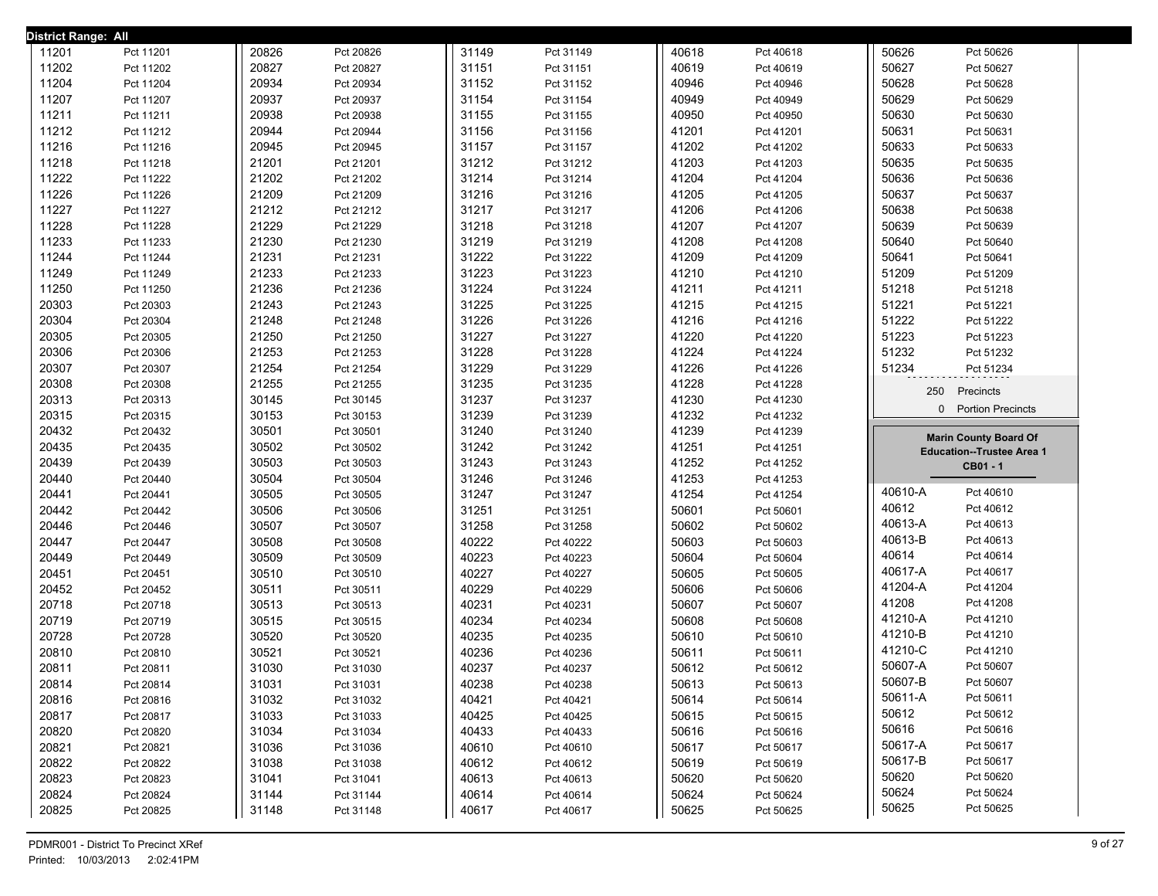| <b>District Range: All</b> |                        |                |           |                |                        |                |                        |                |                                              |
|----------------------------|------------------------|----------------|-----------|----------------|------------------------|----------------|------------------------|----------------|----------------------------------------------|
| 11201                      | Pct 11201              | 20826          | Pct 20826 | 31149          | Pct 31149              | 40618          | Pct 40618              | 50626          | Pct 50626                                    |
| 11202                      | Pct 11202              | 20827          | Pct 20827 | 31151          | Pct 31151              | 40619          | Pct 40619              | 50627          | Pct 50627                                    |
| 11204                      | Pct 11204              | 20934          | Pct 20934 | 31152          | Pct 31152              | 40946          | Pct 40946              | 50628          | Pct 50628                                    |
| 11207                      | Pct 11207              | 20937          | Pct 20937 | 31154          | Pct 31154              | 40949          | Pct 40949              | 50629          | Pct 50629                                    |
| 11211                      | Pct 11211              | 20938          | Pct 20938 | 31155          | Pct 31155              | 40950          | Pct 40950              | 50630          | Pct 50630                                    |
| 11212                      | Pct 11212              | 20944          | Pct 20944 | 31156          | Pct 31156              | 41201          | Pct 41201              | 50631          | Pct 50631                                    |
| 11216                      | Pct 11216              | 20945          | Pct 20945 | 31157          | Pct 31157              | 41202          | Pct 41202              | 50633          | Pct 50633                                    |
| 11218                      | Pct 11218              | 21201          | Pct 21201 | 31212          | Pct 31212              | 41203          | Pct 41203              | 50635          | Pct 50635                                    |
| 11222                      | Pct 11222              | 21202          | Pct 21202 | 31214          | Pct 31214              | 41204          | Pct 41204              | 50636          | Pct 50636                                    |
| 11226                      | Pct 11226              | 21209          | Pct 21209 | 31216          | Pct 31216              | 41205          | Pct 41205              | 50637          | Pct 50637                                    |
| 11227                      | Pct 11227              | 21212          | Pct 21212 | 31217          | Pct 31217              | 41206          | Pct 41206              | 50638          | Pct 50638                                    |
| 11228                      | Pct 11228              | 21229          | Pct 21229 | 31218          | Pct 31218              | 41207          | Pct 41207              | 50639          | Pct 50639                                    |
| 11233                      | Pct 11233              | 21230          | Pct 21230 | 31219          | Pct 31219              | 41208          | Pct 41208              | 50640          | Pct 50640                                    |
| 11244                      | Pct 11244              | 21231          | Pct 21231 | 31222          | Pct 31222              | 41209          | Pct 41209              | 50641          | Pct 50641                                    |
| 11249                      | Pct 11249              | 21233          | Pct 21233 | 31223          | Pct 31223              | 41210          | Pct 41210              | 51209          | Pct 51209                                    |
| 11250                      | Pct 11250              | 21236          | Pct 21236 | 31224          | Pct 31224              | 41211          | Pct 41211              | 51218          | Pct 51218                                    |
| 20303                      | Pct 20303              | 21243          | Pct 21243 | 31225          | Pct 31225              | 41215          | Pct 41215              | 51221          | Pct 51221                                    |
| 20304                      | Pct 20304              | 21248          | Pct 21248 | 31226          | Pct 31226              | 41216          | Pct 41216              | 51222          | Pct 51222                                    |
| 20305                      | Pct 20305              | 21250          | Pct 21250 | 31227          | Pct 31227              | 41220          | Pct 41220              | 51223          | Pct 51223                                    |
| 20306                      | Pct 20306              | 21253          | Pct 21253 | 31228          | Pct 31228              | 41224          | Pct 41224              | 51232          | Pct 51232                                    |
| 20307                      | Pct 20307              | 21254          | Pct 21254 | 31229          | Pct 31229              | 41226          | Pct 41226              | 51234          | Pct 51234                                    |
| 20308                      | Pct 20308              | 21255          | Pct 21255 | 31235          | Pct 31235              | 41228          | Pct 41228              | 250            |                                              |
| 20313                      | Pct 20313              | 30145          | Pct 30145 | 31237          | Pct 31237              | 41230          | Pct 41230              |                | Precincts                                    |
| 20315                      | Pct 20315              | 30153          | Pct 30153 | 31239          | Pct 31239              | 41232          | Pct 41232              |                | 0 Portion Precincts                          |
|                            |                        |                |           |                |                        |                |                        |                |                                              |
| 20432                      | Pct 20432              | 30501          | Pct 30501 | 31240          | Pct 31240              | 41239          | Pct 41239              |                |                                              |
| 20435                      | Pct 20435              | 30502          | Pct 30502 | 31242          | Pct 31242              | 41251          | Pct 41251              |                | <b>Marin County Board Of</b>                 |
| 20439                      | Pct 20439              | 30503          | Pct 30503 | 31243          | Pct 31243              | 41252          | Pct 41252              |                | <b>Education--Trustee Area 1</b><br>CB01 - 1 |
| 20440                      | Pct 20440              | 30504          | Pct 30504 | 31246          | Pct 31246              | 41253          | Pct 41253              |                |                                              |
| 20441                      | Pct 20441              | 30505          | Pct 30505 | 31247          | Pct 31247              | 41254          | Pct 41254              | 40610-A        | Pct 40610                                    |
| 20442                      | Pct 20442              | 30506          | Pct 30506 | 31251          | Pct 31251              | 50601          | Pct 50601              | 40612          | Pct 40612                                    |
| 20446                      | Pct 20446              | 30507          | Pct 30507 | 31258          | Pct 31258              | 50602          | Pct 50602              | 40613-A        | Pct 40613                                    |
| 20447                      | Pct 20447              | 30508          | Pct 30508 | 40222          | Pct 40222              | 50603          | Pct 50603              | 40613-B        | Pct 40613                                    |
| 20449                      | Pct 20449              | 30509          | Pct 30509 | 40223          | Pct 40223              | 50604          | Pct 50604              | 40614          | Pct 40614                                    |
| 20451                      | Pct 20451              | 30510          | Pct 30510 | 40227          | Pct 40227              | 50605          | Pct 50605              | 40617-A        | Pct 40617                                    |
| 20452                      | Pct 20452              | 30511          | Pct 30511 | 40229          | Pct 40229              | 50606          | Pct 50606              | 41204-A        | Pct 41204                                    |
| 20718                      | Pct 20718              | 30513          | Pct 30513 | 40231          | Pct 40231              | 50607          | Pct 50607              | 41208          | Pct 41208                                    |
| 20719                      | Pct 20719              | 30515          | Pct 30515 | 40234          | Pct 40234              | 50608          | Pct 50608              | 41210-A        | Pct 41210                                    |
| 20728                      | Pct 20728              | 30520          | Pct 30520 | 40235          | Pct 40235              | 50610          | Pct 50610              | 41210-B        | Pct 41210                                    |
| 20810                      | Pct 20810              | 30521          | Pct 30521 | 40236          | Pct 40236              | 50611          | Pct 50611              | 41210-C        | Pct 41210                                    |
| 20811                      | Pct 20811              | 31030          | Pct 31030 | 40237          | Pct 40237              | 50612          | Pct 50612              | 50607-A        | Pct 50607                                    |
| 20814                      | Pct 20814              | 31031          | Pct 31031 | 40238          | Pct 40238              | 50613          | Pct 50613              | 50607-B        | Pct 50607                                    |
| 20816                      | Pct 20816              | 31032          | Pct 31032 | 40421          | Pct 40421              | 50614          | Pct 50614              | 50611-A        | Pct 50611                                    |
| 20817                      | Pct 20817              | 31033          | Pct 31033 | 40425          | Pct 40425              | 50615          | Pct 50615              | 50612          | Pct 50612                                    |
| 20820                      | Pct 20820              | 31034          | Pct 31034 | 40433          | Pct 40433              | 50616          | Pct 50616              | 50616          | Pct 50616                                    |
| 20821                      | Pct 20821              | 31036          | Pct 31036 | 40610          | Pct 40610              | 50617          | Pct 50617              | 50617-A        | Pct 50617                                    |
| 20822                      | Pct 20822              | 31038          | Pct 31038 | 40612          | Pct 40612              | 50619          | Pct 50619              | 50617-B        | Pct 50617                                    |
| 20823                      | Pct 20823              | 31041          | Pct 31041 | 40613          | Pct 40613              | 50620          | Pct 50620              | 50620          | Pct 50620                                    |
| 20824<br>20825             | Pct 20824<br>Pct 20825 | 31144<br>31148 | Pct 31144 | 40614<br>40617 | Pct 40614<br>Pct 40617 | 50624<br>50625 | Pct 50624<br>Pct 50625 | 50624<br>50625 | Pct 50624<br>Pct 50625                       |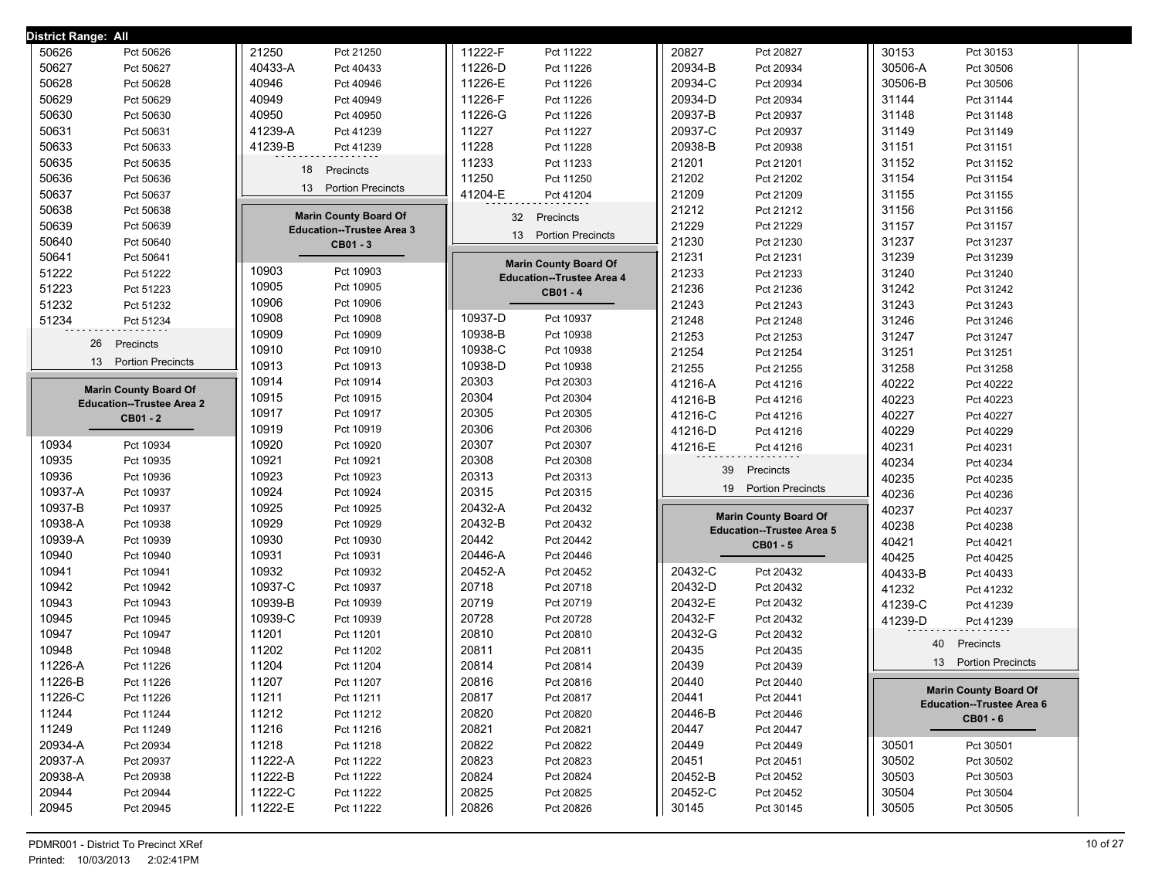| District Range: All              |                                  |                                  |                                  |                                              |
|----------------------------------|----------------------------------|----------------------------------|----------------------------------|----------------------------------------------|
| 50626                            | 21250                            | 11222-F                          | 20827                            | 30153                                        |
| Pct 50626                        | Pct 21250                        | Pct 11222                        | Pct 20827                        | Pct 30153                                    |
| 50627                            | 40433-A                          | 11226-D                          | 20934-B                          | 30506-A                                      |
| Pct 50627                        | Pct 40433                        | Pct 11226                        | Pct 20934                        | Pct 30506                                    |
| 50628                            | 40946                            | 11226-E                          | 20934-C                          | 30506-B                                      |
| Pct 50628                        | Pct 40946                        | Pct 11226                        | Pct 20934                        | Pct 30506                                    |
| 50629                            | 40949                            | 11226-F                          | 20934-D                          | 31144                                        |
| Pct 50629                        | Pct 40949                        | Pct 11226                        | Pct 20934                        | Pct 31144                                    |
| 50630                            | 40950                            | 11226-G                          | 20937-B                          | 31148                                        |
| Pct 50630                        | Pct 40950                        | Pct 11226                        | Pct 20937                        | Pct 31148                                    |
| 50631                            | 41239-A                          | 11227                            | 20937-C                          | 31149                                        |
| Pct 50631                        | Pct 41239                        | Pct 11227                        | Pct 20937                        | Pct 31149                                    |
| 50633                            | 41239-B                          | 11228                            | 20938-B                          | 31151                                        |
| Pct 50633                        | Pct 41239                        | Pct 11228                        | Pct 20938                        | Pct 31151                                    |
| 50635                            | 18                               | 11233                            | 21201                            | 31152                                        |
| Pct 50635                        | Precincts                        | Pct 11233                        | Pct 21201                        | Pct 31152                                    |
| 50636                            |                                  | 11250                            | 21202                            | 31154                                        |
| Pct 50636                        |                                  | Pct 11250                        | Pct 21202                        | Pct 31154                                    |
| 50637                            | <b>Portion Precincts</b>         | 41204-E                          | 21209                            | 31155                                        |
| Pct 50637                        | 13                               | Pct 41204                        | Pct 21209                        | Pct 31155                                    |
| 50638                            | <b>Marin County Board Of</b>     | 32                               | 21212                            | 31156                                        |
| Pct 50638                        |                                  | Precincts                        | Pct 21212                        | Pct 31156                                    |
| 50639<br>Pct 50639               | <b>Education--Trustee Area 3</b> | 13                               | 21229<br>Pct 21229               | 31157<br>Pct 31157                           |
| 50640<br>Pct 50640               | CB01 - 3                         | <b>Portion Precincts</b>         | 21230<br>Pct 21230               | 31237<br>Pct 31237                           |
| 50641<br>Pct 50641               |                                  | <b>Marin County Board Of</b>     | 21231<br>Pct 21231               | 31239<br>Pct 31239                           |
| 51222                            | 10903                            | <b>Education--Trustee Area 4</b> | 21233                            | 31240                                        |
| Pct 51222                        | Pct 10903                        |                                  | Pct 21233                        | Pct 31240                                    |
| 51223                            | 10905                            | CB01 - 4                         | 21236                            | 31242                                        |
| Pct 51223                        | Pct 10905                        |                                  | Pct 21236                        | Pct 31242                                    |
| 51232                            | 10906                            |                                  | 21243                            | 31243                                        |
| Pct 51232                        | Pct 10906                        |                                  | Pct 21243                        | Pct 31243                                    |
| 51234                            | 10908                            | 10937-D                          | 21248                            | 31246                                        |
| Pct 51234                        | Pct 10908                        | Pct 10937                        | Pct 21248                        | Pct 31246                                    |
| 26                               | 10909                            | 10938-B                          | 21253                            | 31247                                        |
| Precincts                        | Pct 10909                        | Pct 10938                        | Pct 21253                        | Pct 31247                                    |
| <b>Portion Precincts</b>         | 10910                            | 10938-C                          | 21254                            | 31251                                        |
|                                  | Pct 10910                        | Pct 10938                        | Pct 21254                        | Pct 31251                                    |
| 13                               | 10913                            | 10938-D                          | 21255                            | 31258                                        |
|                                  | Pct 10913                        | Pct 10938                        | Pct 21255                        | Pct 31258                                    |
| <b>Marin County Board Of</b>     | 10914                            | 20303                            | 41216-A                          | 40222                                        |
|                                  | Pct 10914                        | Pct 20303                        | Pct 41216                        | Pct 40222                                    |
| <b>Education--Trustee Area 2</b> | 10915                            | 20304                            | 41216-B                          | 40223                                        |
|                                  | Pct 10915                        | Pct 20304                        | Pct 41216                        | Pct 40223                                    |
| <b>CB01 - 2</b>                  | 10917                            | 20305                            | 41216-C                          | 40227                                        |
|                                  | Pct 10917                        | Pct 20305                        | Pct 41216                        | Pct 40227                                    |
|                                  | 10919                            | 20306                            | 41216-D                          | 40229                                        |
|                                  | Pct 10919                        | Pct 20306                        | Pct 41216                        | Pct 40229                                    |
| 10934                            | 10920                            | 20307                            | 41216-E                          | 40231                                        |
| Pct 10934                        | Pct 10920                        | Pct 20307                        | Pct 41216                        | Pct 40231                                    |
| 10935                            | 10921                            | 20308                            | 39                               | 40234                                        |
| Pct 10935                        | Pct 10921                        | Pct 20308                        | Precincts                        | Pct 40234                                    |
| 10936                            | 10923                            | 20313                            | <b>Portion Precincts</b>         | 40235                                        |
| Pct 10936                        | Pct 10923                        | Pct 20313                        | 19                               | Pct 40235                                    |
| 10937-A                          | 10924                            | 20315                            |                                  | 40236                                        |
| Pct 10937                        | Pct 10924                        | Pct 20315                        |                                  | Pct 40236                                    |
| 10937-B                          | 10925                            | 20432-A                          | <b>Marin County Board Of</b>     | 40237                                        |
| Pct 10937                        | Pct 10925                        | Pct 20432                        |                                  | Pct 40237                                    |
| 10938-A                          | 10929                            | 20432-B                          | <b>Education--Trustee Area 5</b> | 40238                                        |
| Pct 10938                        | Pct 10929                        | Pct 20432                        |                                  | Pct 40238                                    |
| 10939-A                          | 10930                            | 20442                            | CB01 - 5                         | 40421                                        |
| Pct 10939                        | Pct 10930                        | Pct 20442                        |                                  | Pct 40421                                    |
| 10940                            | 10931                            | 20446-A                          |                                  | 40425                                        |
| Pct 10940                        | Pct 10931                        | Pct 20446                        |                                  | Pct 40425                                    |
| 10941                            | 10932                            | 20452-A                          | 20432-C                          | 40433-B                                      |
| Pct 10941                        | Pct 10932                        | Pct 20452                        | Pct 20432                        | Pct 40433                                    |
| 10942                            | 10937-C                          | 20718                            | 20432-D                          | 41232                                        |
| Pct 10942                        | Pct 10937                        | Pct 20718                        | Pct 20432                        | Pct 41232                                    |
| 10943                            | 10939-B                          | 20719                            | 20432-E                          | 41239-C                                      |
| Pct 10943                        | Pct 10939                        | Pct 20719                        | Pct 20432                        | Pct 41239                                    |
| 10945<br>Pct 10945<br>10947      | 10939-C<br>Pct 10939<br>11201    | 20728<br>Pct 20728<br>20810      | 20432-F<br>Pct 20432<br>20432-G  | 41239-D<br>Pct 41239                         |
| Pct 10947<br>10948               | Pct 11201<br>11202               | Pct 20810                        | Pct 20432                        | 40<br>Precincts                              |
| Pct 10948<br>11226-A             | Pct 11202<br>11204               | 20811<br>Pct 20811<br>20814      | 20435<br>Pct 20435<br>20439      | <b>Portion Precincts</b><br>13 <sup>13</sup> |
| Pct 11226                        | Pct 11204                        | Pct 20814                        | Pct 20439                        |                                              |
| 11226-B                          | 11207                            | 20816                            | 20440                            | <b>Marin County Board Of</b>                 |
| Pct 11226                        | Pct 11207                        | Pct 20816                        | Pct 20440                        |                                              |
| 11226-C                          | 11211                            | 20817                            | 20441                            | <b>Education--Trustee Area 6</b>             |
| Pct 11226                        | Pct 11211                        | Pct 20817                        | Pct 20441                        |                                              |
| 11244                            | 11212                            | 20820                            | 20446-B                          |                                              |
| Pct 11244<br>11249               | Pct 11212<br>11216               | Pct 20820<br>20821               | Pct 20446                        | CB01 - 6                                     |
| Pct 11249                        | Pct 11216                        | Pct 20821                        | 20447<br>Pct 20447               |                                              |
| 20934-A                          | 11218                            | 20822                            | 20449                            | 30501                                        |
| Pct 20934                        | Pct 11218                        | Pct 20822                        | Pct 20449                        | Pct 30501                                    |
| 20937-A<br>Pct 20937<br>20938-A  | 11222-A<br>Pct 11222             | 20823<br>Pct 20823               | 20451<br>Pct 20451               | 30502<br>Pct 30502                           |
| Pct 20938                        | 11222-B                          | 20824                            | 20452-B                          | 30503                                        |
|                                  | Pct 11222                        | Pct 20824                        | Pct 20452                        | Pct 30503                                    |
| 20944                            | 11222-C                          | 20825                            | 20452-C                          | 30504                                        |
| Pct 20944                        | Pct 11222                        | Pct 20825                        | Pct 20452                        | Pct 30504                                    |
| 20945                            | 11222-E                          | 20826                            | 30145                            | 30505                                        |
| Pct 20945                        | Pct 11222                        | Pct 20826                        | Pct 30145                        | Pct 30505                                    |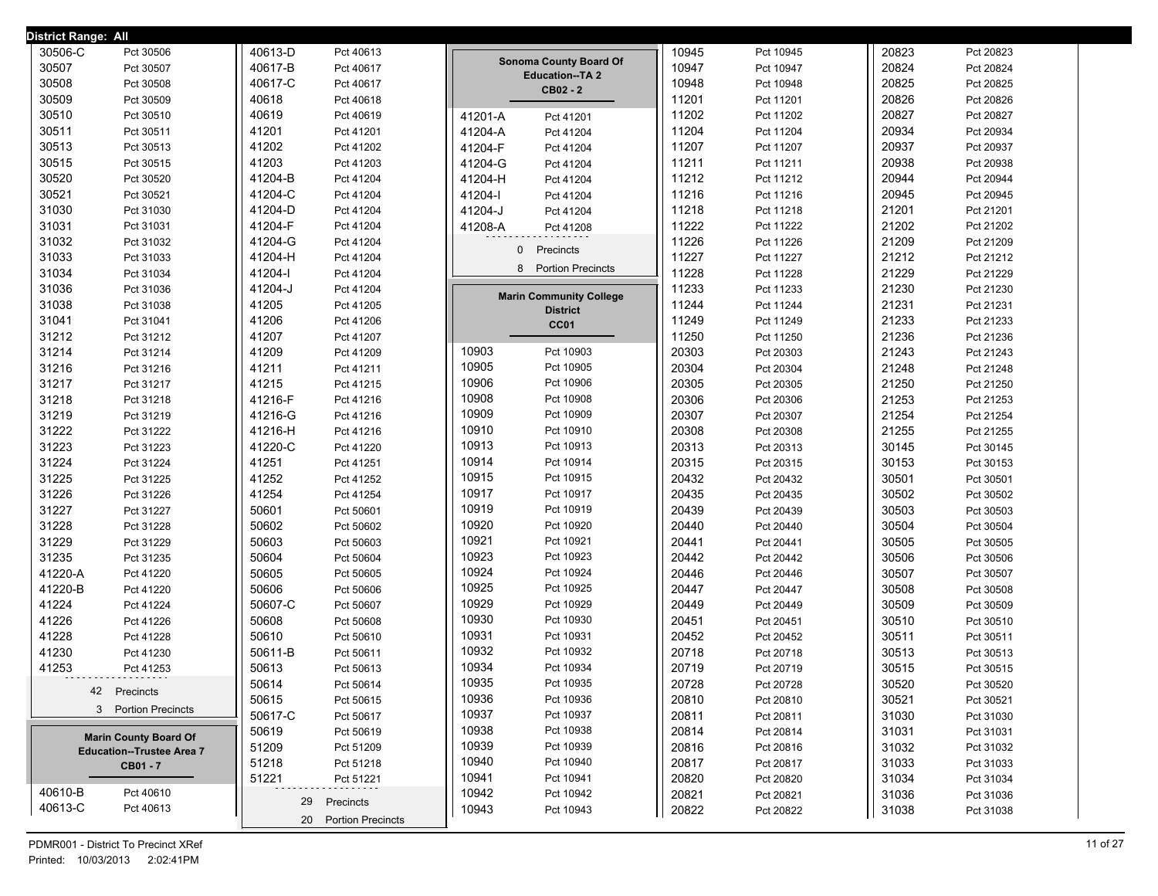| District Range: All              |                      |                                                 |       |           |       |           |
|----------------------------------|----------------------|-------------------------------------------------|-------|-----------|-------|-----------|
| 30506-C<br>Pct 30506             | 40613-D<br>Pct 40613 |                                                 | 10945 | Pct 10945 | 20823 | Pct 20823 |
| 30507<br>Pct 30507               | 40617-B<br>Pct 40617 | Sonoma County Board Of<br><b>Education--TA2</b> | 10947 | Pct 10947 | 20824 | Pct 20824 |
| 30508<br>Pct 30508               | 40617-C<br>Pct 40617 | CB02 - 2                                        | 10948 | Pct 10948 | 20825 | Pct 20825 |
| 30509<br>Pct 30509               | 40618<br>Pct 40618   |                                                 | 11201 | Pct 11201 | 20826 | Pct 20826 |
| 30510<br>Pct 30510               | 40619<br>Pct 40619   | 41201-A<br>Pct 41201                            | 11202 | Pct 11202 | 20827 | Pct 20827 |
| 30511<br>Pct 30511               | 41201<br>Pct 41201   | 41204-A<br>Pct 41204                            | 11204 | Pct 11204 | 20934 | Pct 20934 |
| 30513<br>Pct 30513               | 41202<br>Pct 41202   | 41204-F<br>Pct 41204                            | 11207 | Pct 11207 | 20937 | Pct 20937 |
| 30515<br>Pct 30515               | 41203<br>Pct 41203   | 41204-G<br>Pct 41204                            | 11211 | Pct 11211 | 20938 | Pct 20938 |
| 30520<br>Pct 30520               | 41204-B<br>Pct 41204 | 41204-H<br>Pct 41204                            | 11212 | Pct 11212 | 20944 | Pct 20944 |
| 30521<br>Pct 30521               | 41204-C<br>Pct 41204 | 41204-l<br>Pct 41204                            | 11216 | Pct 11216 | 20945 | Pct 20945 |
| 31030<br>Pct 31030               | 41204-D<br>Pct 41204 | 41204-J<br>Pct 41204                            | 11218 | Pct 11218 | 21201 | Pct 21201 |
| 31031<br>Pct 31031               | 41204-F<br>Pct 41204 | 41208-A<br>Pct 41208                            | 11222 | Pct 11222 | 21202 | Pct 21202 |
| 31032<br>Pct 31032               | 41204-G<br>Pct 41204 | Precincts<br>$\mathbf{0}$                       | 11226 | Pct 11226 | 21209 | Pct 21209 |
| 31033<br>Pct 31033               | 41204-H<br>Pct 41204 |                                                 | 11227 | Pct 11227 | 21212 | Pct 21212 |
| 31034<br>Pct 31034               | 41204-l<br>Pct 41204 | 8 Portion Precincts                             | 11228 | Pct 11228 | 21229 | Pct 21229 |
| 31036<br>Pct 31036               | 41204-J<br>Pct 41204 | <b>Marin Community College</b>                  | 11233 | Pct 11233 | 21230 | Pct 21230 |
| 31038<br>Pct 31038               | 41205<br>Pct 41205   | <b>District</b>                                 | 11244 | Pct 11244 | 21231 | Pct 21231 |
| 31041<br>Pct 31041               | 41206<br>Pct 41206   | CC01                                            | 11249 | Pct 11249 | 21233 | Pct 21233 |
| 31212<br>Pct 31212               | 41207<br>Pct 41207   |                                                 | 11250 | Pct 11250 | 21236 | Pct 21236 |
| 31214<br>Pct 31214               | 41209<br>Pct 41209   | 10903<br>Pct 10903                              | 20303 | Pct 20303 | 21243 | Pct 21243 |
| 31216<br>Pct 31216               | 41211<br>Pct 41211   | 10905<br>Pct 10905                              | 20304 | Pct 20304 | 21248 | Pct 21248 |
| 31217<br>Pct 31217               | 41215<br>Pct 41215   | 10906<br>Pct 10906                              | 20305 | Pct 20305 | 21250 | Pct 21250 |
| 31218<br>Pct 31218               | 41216-F<br>Pct 41216 | 10908<br>Pct 10908                              | 20306 | Pct 20306 | 21253 | Pct 21253 |
| 31219<br>Pct 31219               | 41216-G<br>Pct 41216 | 10909<br>Pct 10909                              | 20307 | Pct 20307 | 21254 | Pct 21254 |
| 31222<br>Pct 31222               | 41216-H<br>Pct 41216 | 10910<br>Pct 10910                              | 20308 | Pct 20308 | 21255 | Pct 21255 |
| 31223<br>Pct 31223               | 41220-C<br>Pct 41220 | 10913<br>Pct 10913                              | 20313 | Pct 20313 | 30145 | Pct 30145 |
| 31224<br>Pct 31224               | 41251<br>Pct 41251   | 10914<br>Pct 10914                              | 20315 | Pct 20315 | 30153 | Pct 30153 |
| 31225<br>Pct 31225               | 41252<br>Pct 41252   | 10915<br>Pct 10915                              | 20432 | Pct 20432 | 30501 | Pct 30501 |
| 31226<br>Pct 31226               | 41254<br>Pct 41254   | 10917<br>Pct 10917                              | 20435 | Pct 20435 | 30502 | Pct 30502 |
| 31227<br>Pct 31227               | 50601<br>Pct 50601   | 10919<br>Pct 10919                              | 20439 | Pct 20439 | 30503 | Pct 30503 |
| 31228<br>Pct 31228               | 50602<br>Pct 50602   | 10920<br>Pct 10920                              | 20440 | Pct 20440 | 30504 | Pct 30504 |
| 31229<br>Pct 31229               | 50603<br>Pct 50603   | 10921<br>Pct 10921                              | 20441 | Pct 20441 | 30505 | Pct 30505 |
| 31235<br>Pct 31235               | 50604<br>Pct 50604   | 10923<br>Pct 10923                              | 20442 | Pct 20442 | 30506 | Pct 30506 |
| 41220-A<br>Pct 41220             | 50605<br>Pct 50605   | 10924<br>Pct 10924                              | 20446 | Pct 20446 | 30507 | Pct 30507 |
| 41220-B<br>Pct 41220             | 50606<br>Pct 50606   | 10925<br>Pct 10925                              | 20447 | Pct 20447 | 30508 | Pct 30508 |
| 41224<br>Pct 41224               | 50607-C<br>Pct 50607 | 10929<br>Pct 10929                              | 20449 | Pct 20449 | 30509 | Pct 30509 |
| 41226<br>Pct 41226               | 50608<br>Pct 50608   | 10930<br>Pct 10930                              | 20451 | Pct 20451 | 30510 | Pct 30510 |
| 41228<br>Pct 41228               | 50610<br>Pct 50610   | 10931<br>Pct 10931                              | 20452 | Pct 20452 | 30511 | Pct 30511 |
| 41230<br>Pct 41230               | 50611-B<br>Pct 50611 | 10932<br>Pct 10932                              | 20718 | Pct 20718 | 30513 | Pct 30513 |
| 41253<br>Pct 41253               | 50613<br>Pct 50613   | 10934<br>Pct 10934                              | 20719 | Pct 20719 | 30515 | Pct 30515 |
| 42 Precincts                     | 50614<br>Pct 50614   | 10935<br>Pct 10935                              | 20728 | Pct 20728 | 30520 | Pct 30520 |
|                                  | 50615<br>Pct 50615   | 10936<br>Pct 10936                              | 20810 | Pct 20810 | 30521 | Pct 30521 |
| 3 Portion Precincts              | 50617-C<br>Pct 50617 | 10937<br>Pct 10937                              | 20811 | Pct 20811 | 31030 | Pct 31030 |
| <b>Marin County Board Of</b>     | 50619<br>Pct 50619   | 10938<br>Pct 10938                              | 20814 | Pct 20814 | 31031 | Pct 31031 |
| <b>Education--Trustee Area 7</b> | 51209<br>Pct 51209   | 10939<br>Pct 10939                              | 20816 | Pct 20816 | 31032 | Pct 31032 |
| CB01 - 7                         | 51218<br>Pct 51218   | 10940<br>Pct 10940                              | 20817 | Pct 20817 | 31033 | Pct 31033 |
|                                  | 51221<br>Pct 51221   | 10941<br>Pct 10941                              | 20820 | Pct 20820 | 31034 | Pct 31034 |
| 40610-B<br>Pct 40610             | 29<br>Precincts      | 10942<br>Pct 10942                              | 20821 | Pct 20821 | 31036 | Pct 31036 |
| 40613-C<br>Pct 40613             | 20 Portion Precincts | 10943<br>Pct 10943                              | 20822 | Pct 20822 | 31038 | Pct 31038 |
|                                  |                      |                                                 |       |           |       |           |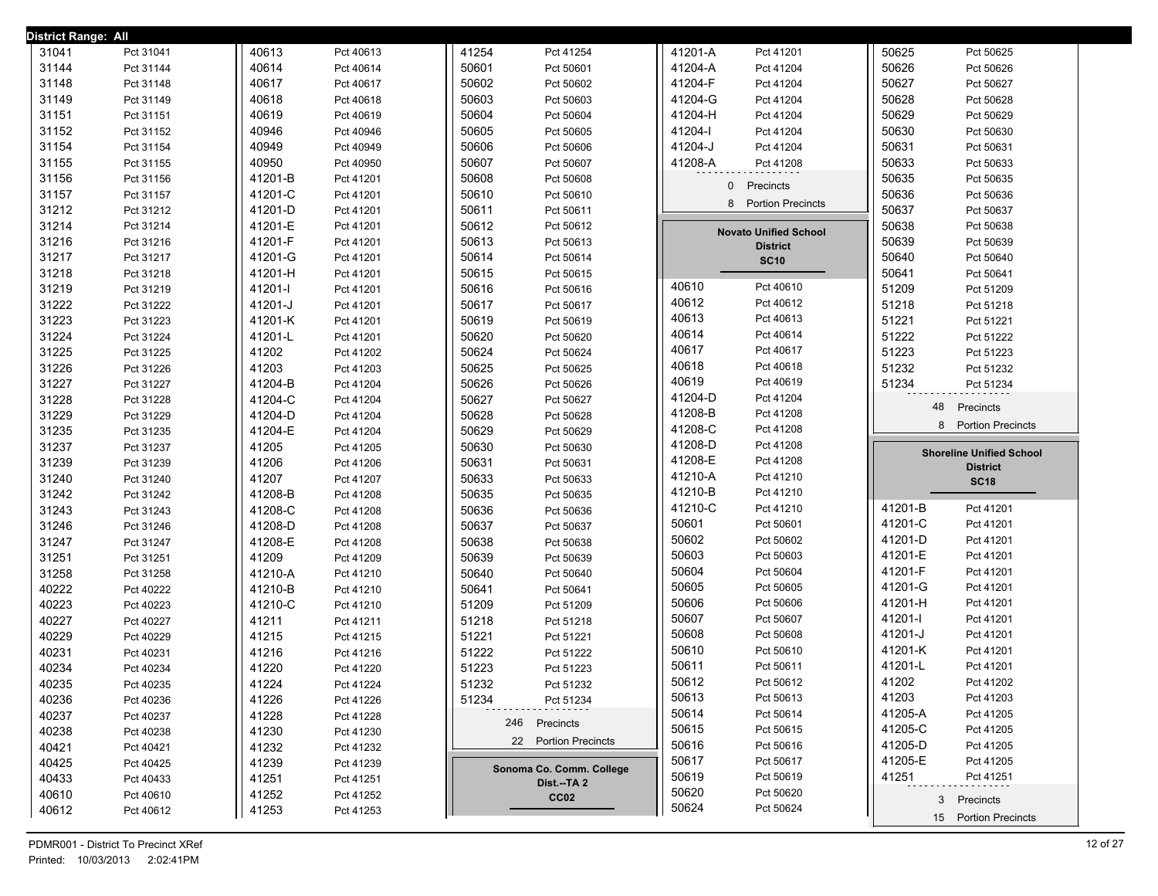| 31041<br>40613<br>41254<br>41201-A<br>50625<br>Pct 31041<br>Pct 41201<br>Pct 40613<br>Pct 41254<br>Pct 50625<br>31144<br>40614<br>50601<br>50626<br>Pct 31144<br>Pct 50601<br>41204-A<br>Pct 41204<br>Pct 50626<br>Pct 40614<br>31148<br>40617<br>50602<br>41204-F<br>50627<br>Pct 50627<br>Pct 31148<br>Pct 40617<br>Pct 50602<br>Pct 41204<br>50603<br>41204-G<br>50628<br>31149<br>40618<br>Pct 50603<br>Pct 50628<br>Pct 31149<br>Pct 40618<br>Pct 41204<br>31151<br>50604<br>50629<br>40619<br>Pct 50604<br>41204-H<br>Pct 50629<br>Pct 31151<br>Pct 40619<br>Pct 41204<br>31152<br>40946<br>50605<br>50630<br>41204-l<br>Pct 31152<br>Pct 40946<br>Pct 50605<br>Pct 41204<br>Pct 50630<br>31154<br>40949<br>50606<br>41204-J<br>50631<br>Pct 50631<br>Pct 31154<br>Pct 40949<br>Pct 50606<br>Pct 41204<br>31155<br>40950<br>50607<br>50633<br>41208-A<br>Pct 31155<br>Pct 40950<br>Pct 50607<br>Pct 50633<br>Pct 41208<br>31156<br>50608<br>50635<br>41201-B<br>Pct 31156<br>Pct 41201<br>Pct 50608<br>Pct 50635<br>0<br>Precincts<br>31157<br>50610<br>50636<br>Pct 31157<br>41201-C<br>Pct 50610<br>Pct 50636<br>Pct 41201<br>8<br><b>Portion Precincts</b><br>31212<br>50611<br>50637<br>41201-D<br>Pct 31212<br>Pct 41201<br>Pct 50611<br>Pct 50637<br>31214<br>Pct 31214<br>41201-E<br>50612<br>Pct 50612<br>50638<br>Pct 50638<br>Pct 41201<br><b>Novato Unified School</b><br>31216<br>41201-F<br>50613<br>50639<br>Pct 31216<br>Pct 41201<br>Pct 50613<br>Pct 50639<br><b>District</b><br>31217<br>50614<br>41201-G<br>50640<br>Pct 31217<br>Pct 41201<br>Pct 50614<br>Pct 50640<br><b>SC10</b><br>31218<br>50615<br>Pct 31218<br>41201-H<br>Pct 50615<br>50641<br>Pct 41201<br>Pct 50641<br>40610<br>Pct 40610<br>31219<br>50616<br>51209<br>41201-l<br>Pct 51209<br>Pct 31219<br>Pct 41201<br>Pct 50616<br>40612<br>Pct 40612<br>31222<br>Pct 31222<br>41201-J<br>50617<br>Pct 50617<br>51218<br>Pct 51218<br>Pct 41201<br>40613<br>Pct 40613<br>31223<br>50619<br>51221<br>41201-K<br>Pct 31223<br>Pct 41201<br>Pct 50619<br>Pct 51221<br>40614<br>Pct 40614<br>31224<br>50620<br>51222<br>41201-L<br>Pct 31224<br>Pct 41201<br>Pct 50620<br>Pct 51222<br>40617<br>Pct 40617<br>31225<br>50624<br>51223<br>41202<br>Pct 50624<br>Pct 51223<br>Pct 31225<br>Pct 41202<br>40618<br>Pct 40618<br>31226<br>41203<br>50625<br>51232<br>Pct 41203<br>Pct 50625<br>Pct 31226<br>Pct 51232<br>40619<br>Pct 40619<br>31227<br>50626<br>Pct 31227<br>41204-B<br>Pct 50626<br>51234<br>Pct 41204<br>Pct 51234<br>41204-D<br>Pct 41204<br>31228<br>50627<br>41204-C<br>Pct 31228<br>Pct 41204<br>Pct 50627<br>48<br>Precincts<br>41208-B<br>Pct 41208<br>31229<br>50628<br>41204-D<br>Pct 50628<br>Pct 31229<br>Pct 41204<br><b>Portion Precincts</b><br>8<br>41208-C<br>Pct 41208<br>31235<br>50629<br>41204-E<br>Pct 50629<br>Pct 31235<br>Pct 41204<br>41208-D<br>Pct 41208<br>31237<br>50630<br>41205<br>Pct 31237<br>Pct 41205<br>Pct 50630<br><b>Shoreline Unified School</b><br>41208-E<br>Pct 41208<br>31239<br>41206<br>50631<br>Pct 31239<br>Pct 41206<br>Pct 50631<br><b>District</b><br>41210-A<br>Pct 41210<br>31240<br>41207<br>50633<br>Pct 31240<br>Pct 41207<br>Pct 50633<br><b>SC18</b><br>41210-B<br>Pct 41210<br>31242<br>50635<br>41208-B<br>Pct 50635<br>Pct 31242<br>Pct 41208<br>41210-C<br>41201-B<br>Pct 41210<br>Pct 41201<br>31243<br>50636<br>Pct 31243<br>41208-C<br>Pct 41208<br>Pct 50636<br>50601<br>41201-C<br>Pct 50601<br>Pct 41201<br>31246<br>41208-D<br>50637<br>Pct 31246<br>Pct 41208<br>Pct 50637<br>50602<br>41201-D<br>Pct 41201<br>Pct 50602<br>31247<br>41208-E<br>50638<br>Pct 31247<br>Pct 41208<br>Pct 50638<br>50603<br>41201-E<br>Pct 50603<br>Pct 41201<br>31251<br>50639<br>41209<br>Pct 31251<br>Pct 41209<br>Pct 50639<br>50604<br>41201-F<br>Pct 50604<br>Pct 41201<br>31258<br>50640<br>41210-A<br>Pct 50640<br>Pct 31258<br>Pct 41210<br>50605<br>41201-G<br>Pct 50605<br>Pct 41201<br>40222<br>50641<br>Pct 40222<br>41210-B<br>Pct 50641<br>Pct 41210<br>50606<br>41201-H<br>Pct 50606<br>Pct 41201<br>40223<br>41210-C<br>51209<br>Pct 40223<br>Pct 41210<br>Pct 51209<br>50607<br>41201-l<br>Pct 50607<br>Pct 41201<br>40227<br>41211<br>51218<br>Pct 51218<br>Pct 40227<br>Pct 41211<br>50608<br>41201-J<br>Pct 50608<br>Pct 41201<br>40229<br>51221<br>41215<br>Pct 40229<br>Pct 41215<br>Pct 51221<br>50610<br>41201-K<br>Pct 50610<br>Pct 41201<br>40231<br>51222<br>41216<br>Pct 40231<br>Pct 41216<br>Pct 51222<br>50611<br>41201-L<br>Pct 50611<br>Pct 41201<br>40234<br>51223<br>41220<br>Pct 51223<br>Pct 40234<br>Pct 41220<br>50612<br>41202<br>Pct 50612<br>Pct 41202<br>41224<br>51232<br>40235<br>Pct 40235<br>Pct 41224<br>Pct 51232<br>50613<br>Pct 50613<br>41203<br>Pct 41203<br>40236<br>41226<br>51234<br>Pct 40236<br>Pct 41226<br>Pct 51234<br>50614<br>41205-A<br>Pct 50614<br>Pct 41205<br>40237<br>41228<br>Pct 40237<br>Pct 41228<br>246 Precincts<br>50615<br>41205-C<br>Pct 50615<br>Pct 41205<br>40238<br>41230<br>Pct 40238<br>Pct 41230<br>22 Portion Precincts<br>50616<br>41205-D<br>Pct 50616<br>Pct 41205<br>40421<br>41232<br>Pct 40421<br>Pct 41232<br>50617<br>41205-E<br>Pct 50617<br>Pct 41205<br>40425<br>41239<br>Pct 40425<br>Pct 41239<br>Sonoma Co. Comm. College<br>50619<br>41251<br>Pct 50619<br>Pct 41251<br>40433<br>41251<br>Pct 40433<br>Pct 41251<br>Dist.--TA 2<br>50620<br>Pct 50620<br>40610<br>41252<br>Pct 40610<br>Pct 41252<br>CC <sub>02</sub><br>3 Precincts<br>50624<br>Pct 50624<br>41253<br>40612<br>Pct 40612<br>Pct 41253 | District Range: All |  |  |  |  |
|-----------------------------------------------------------------------------------------------------------------------------------------------------------------------------------------------------------------------------------------------------------------------------------------------------------------------------------------------------------------------------------------------------------------------------------------------------------------------------------------------------------------------------------------------------------------------------------------------------------------------------------------------------------------------------------------------------------------------------------------------------------------------------------------------------------------------------------------------------------------------------------------------------------------------------------------------------------------------------------------------------------------------------------------------------------------------------------------------------------------------------------------------------------------------------------------------------------------------------------------------------------------------------------------------------------------------------------------------------------------------------------------------------------------------------------------------------------------------------------------------------------------------------------------------------------------------------------------------------------------------------------------------------------------------------------------------------------------------------------------------------------------------------------------------------------------------------------------------------------------------------------------------------------------------------------------------------------------------------------------------------------------------------------------------------------------------------------------------------------------------------------------------------------------------------------------------------------------------------------------------------------------------------------------------------------------------------------------------------------------------------------------------------------------------------------------------------------------------------------------------------------------------------------------------------------------------------------------------------------------------------------------------------------------------------------------------------------------------------------------------------------------------------------------------------------------------------------------------------------------------------------------------------------------------------------------------------------------------------------------------------------------------------------------------------------------------------------------------------------------------------------------------------------------------------------------------------------------------------------------------------------------------------------------------------------------------------------------------------------------------------------------------------------------------------------------------------------------------------------------------------------------------------------------------------------------------------------------------------------------------------------------------------------------------------------------------------------------------------------------------------------------------------------------------------------------------------------------------------------------------------------------------------------------------------------------------------------------------------------------------------------------------------------------------------------------------------------------------------------------------------------------------------------------------------------------------------------------------------------------------------------------------------------------------------------------------------------------------------------------------------------------------------------------------------------------------------------------------------------------------------------------------------------------------------------------------------------------------------------------------------------------------------------------------------------------------------------------------------------------------------------------------------------------------------------------------------------------------------------------------------------------------------------------------------------------------------------------------------------------------------------------------------------------------------------------------------------------------------------------------------------------------------------------------------------------------------------------------------------------------------------------------------------------------------------------------------------------------------------------------------------------------------------------------------------------------------------------------------------------------------------------------------------------------------------------|---------------------|--|--|--|--|
|                                                                                                                                                                                                                                                                                                                                                                                                                                                                                                                                                                                                                                                                                                                                                                                                                                                                                                                                                                                                                                                                                                                                                                                                                                                                                                                                                                                                                                                                                                                                                                                                                                                                                                                                                                                                                                                                                                                                                                                                                                                                                                                                                                                                                                                                                                                                                                                                                                                                                                                                                                                                                                                                                                                                                                                                                                                                                                                                                                                                                                                                                                                                                                                                                                                                                                                                                                                                                                                                                                                                                                                                                                                                                                                                                                                                                                                                                                                                                                                                                                                                                                                                                                                                                                                                                                                                                                                                                                                                                                                                                                                                                                                                                                                                                                                                                                                                                                                                                                                                                                                                                                                                                                                                                                                                                                                                                                                                                                                                                                                                                                 |                     |  |  |  |  |
|                                                                                                                                                                                                                                                                                                                                                                                                                                                                                                                                                                                                                                                                                                                                                                                                                                                                                                                                                                                                                                                                                                                                                                                                                                                                                                                                                                                                                                                                                                                                                                                                                                                                                                                                                                                                                                                                                                                                                                                                                                                                                                                                                                                                                                                                                                                                                                                                                                                                                                                                                                                                                                                                                                                                                                                                                                                                                                                                                                                                                                                                                                                                                                                                                                                                                                                                                                                                                                                                                                                                                                                                                                                                                                                                                                                                                                                                                                                                                                                                                                                                                                                                                                                                                                                                                                                                                                                                                                                                                                                                                                                                                                                                                                                                                                                                                                                                                                                                                                                                                                                                                                                                                                                                                                                                                                                                                                                                                                                                                                                                                                 |                     |  |  |  |  |
|                                                                                                                                                                                                                                                                                                                                                                                                                                                                                                                                                                                                                                                                                                                                                                                                                                                                                                                                                                                                                                                                                                                                                                                                                                                                                                                                                                                                                                                                                                                                                                                                                                                                                                                                                                                                                                                                                                                                                                                                                                                                                                                                                                                                                                                                                                                                                                                                                                                                                                                                                                                                                                                                                                                                                                                                                                                                                                                                                                                                                                                                                                                                                                                                                                                                                                                                                                                                                                                                                                                                                                                                                                                                                                                                                                                                                                                                                                                                                                                                                                                                                                                                                                                                                                                                                                                                                                                                                                                                                                                                                                                                                                                                                                                                                                                                                                                                                                                                                                                                                                                                                                                                                                                                                                                                                                                                                                                                                                                                                                                                                                 |                     |  |  |  |  |
|                                                                                                                                                                                                                                                                                                                                                                                                                                                                                                                                                                                                                                                                                                                                                                                                                                                                                                                                                                                                                                                                                                                                                                                                                                                                                                                                                                                                                                                                                                                                                                                                                                                                                                                                                                                                                                                                                                                                                                                                                                                                                                                                                                                                                                                                                                                                                                                                                                                                                                                                                                                                                                                                                                                                                                                                                                                                                                                                                                                                                                                                                                                                                                                                                                                                                                                                                                                                                                                                                                                                                                                                                                                                                                                                                                                                                                                                                                                                                                                                                                                                                                                                                                                                                                                                                                                                                                                                                                                                                                                                                                                                                                                                                                                                                                                                                                                                                                                                                                                                                                                                                                                                                                                                                                                                                                                                                                                                                                                                                                                                                                 |                     |  |  |  |  |
|                                                                                                                                                                                                                                                                                                                                                                                                                                                                                                                                                                                                                                                                                                                                                                                                                                                                                                                                                                                                                                                                                                                                                                                                                                                                                                                                                                                                                                                                                                                                                                                                                                                                                                                                                                                                                                                                                                                                                                                                                                                                                                                                                                                                                                                                                                                                                                                                                                                                                                                                                                                                                                                                                                                                                                                                                                                                                                                                                                                                                                                                                                                                                                                                                                                                                                                                                                                                                                                                                                                                                                                                                                                                                                                                                                                                                                                                                                                                                                                                                                                                                                                                                                                                                                                                                                                                                                                                                                                                                                                                                                                                                                                                                                                                                                                                                                                                                                                                                                                                                                                                                                                                                                                                                                                                                                                                                                                                                                                                                                                                                                 |                     |  |  |  |  |
|                                                                                                                                                                                                                                                                                                                                                                                                                                                                                                                                                                                                                                                                                                                                                                                                                                                                                                                                                                                                                                                                                                                                                                                                                                                                                                                                                                                                                                                                                                                                                                                                                                                                                                                                                                                                                                                                                                                                                                                                                                                                                                                                                                                                                                                                                                                                                                                                                                                                                                                                                                                                                                                                                                                                                                                                                                                                                                                                                                                                                                                                                                                                                                                                                                                                                                                                                                                                                                                                                                                                                                                                                                                                                                                                                                                                                                                                                                                                                                                                                                                                                                                                                                                                                                                                                                                                                                                                                                                                                                                                                                                                                                                                                                                                                                                                                                                                                                                                                                                                                                                                                                                                                                                                                                                                                                                                                                                                                                                                                                                                                                 |                     |  |  |  |  |
|                                                                                                                                                                                                                                                                                                                                                                                                                                                                                                                                                                                                                                                                                                                                                                                                                                                                                                                                                                                                                                                                                                                                                                                                                                                                                                                                                                                                                                                                                                                                                                                                                                                                                                                                                                                                                                                                                                                                                                                                                                                                                                                                                                                                                                                                                                                                                                                                                                                                                                                                                                                                                                                                                                                                                                                                                                                                                                                                                                                                                                                                                                                                                                                                                                                                                                                                                                                                                                                                                                                                                                                                                                                                                                                                                                                                                                                                                                                                                                                                                                                                                                                                                                                                                                                                                                                                                                                                                                                                                                                                                                                                                                                                                                                                                                                                                                                                                                                                                                                                                                                                                                                                                                                                                                                                                                                                                                                                                                                                                                                                                                 |                     |  |  |  |  |
|                                                                                                                                                                                                                                                                                                                                                                                                                                                                                                                                                                                                                                                                                                                                                                                                                                                                                                                                                                                                                                                                                                                                                                                                                                                                                                                                                                                                                                                                                                                                                                                                                                                                                                                                                                                                                                                                                                                                                                                                                                                                                                                                                                                                                                                                                                                                                                                                                                                                                                                                                                                                                                                                                                                                                                                                                                                                                                                                                                                                                                                                                                                                                                                                                                                                                                                                                                                                                                                                                                                                                                                                                                                                                                                                                                                                                                                                                                                                                                                                                                                                                                                                                                                                                                                                                                                                                                                                                                                                                                                                                                                                                                                                                                                                                                                                                                                                                                                                                                                                                                                                                                                                                                                                                                                                                                                                                                                                                                                                                                                                                                 |                     |  |  |  |  |
|                                                                                                                                                                                                                                                                                                                                                                                                                                                                                                                                                                                                                                                                                                                                                                                                                                                                                                                                                                                                                                                                                                                                                                                                                                                                                                                                                                                                                                                                                                                                                                                                                                                                                                                                                                                                                                                                                                                                                                                                                                                                                                                                                                                                                                                                                                                                                                                                                                                                                                                                                                                                                                                                                                                                                                                                                                                                                                                                                                                                                                                                                                                                                                                                                                                                                                                                                                                                                                                                                                                                                                                                                                                                                                                                                                                                                                                                                                                                                                                                                                                                                                                                                                                                                                                                                                                                                                                                                                                                                                                                                                                                                                                                                                                                                                                                                                                                                                                                                                                                                                                                                                                                                                                                                                                                                                                                                                                                                                                                                                                                                                 |                     |  |  |  |  |
|                                                                                                                                                                                                                                                                                                                                                                                                                                                                                                                                                                                                                                                                                                                                                                                                                                                                                                                                                                                                                                                                                                                                                                                                                                                                                                                                                                                                                                                                                                                                                                                                                                                                                                                                                                                                                                                                                                                                                                                                                                                                                                                                                                                                                                                                                                                                                                                                                                                                                                                                                                                                                                                                                                                                                                                                                                                                                                                                                                                                                                                                                                                                                                                                                                                                                                                                                                                                                                                                                                                                                                                                                                                                                                                                                                                                                                                                                                                                                                                                                                                                                                                                                                                                                                                                                                                                                                                                                                                                                                                                                                                                                                                                                                                                                                                                                                                                                                                                                                                                                                                                                                                                                                                                                                                                                                                                                                                                                                                                                                                                                                 |                     |  |  |  |  |
|                                                                                                                                                                                                                                                                                                                                                                                                                                                                                                                                                                                                                                                                                                                                                                                                                                                                                                                                                                                                                                                                                                                                                                                                                                                                                                                                                                                                                                                                                                                                                                                                                                                                                                                                                                                                                                                                                                                                                                                                                                                                                                                                                                                                                                                                                                                                                                                                                                                                                                                                                                                                                                                                                                                                                                                                                                                                                                                                                                                                                                                                                                                                                                                                                                                                                                                                                                                                                                                                                                                                                                                                                                                                                                                                                                                                                                                                                                                                                                                                                                                                                                                                                                                                                                                                                                                                                                                                                                                                                                                                                                                                                                                                                                                                                                                                                                                                                                                                                                                                                                                                                                                                                                                                                                                                                                                                                                                                                                                                                                                                                                 |                     |  |  |  |  |
|                                                                                                                                                                                                                                                                                                                                                                                                                                                                                                                                                                                                                                                                                                                                                                                                                                                                                                                                                                                                                                                                                                                                                                                                                                                                                                                                                                                                                                                                                                                                                                                                                                                                                                                                                                                                                                                                                                                                                                                                                                                                                                                                                                                                                                                                                                                                                                                                                                                                                                                                                                                                                                                                                                                                                                                                                                                                                                                                                                                                                                                                                                                                                                                                                                                                                                                                                                                                                                                                                                                                                                                                                                                                                                                                                                                                                                                                                                                                                                                                                                                                                                                                                                                                                                                                                                                                                                                                                                                                                                                                                                                                                                                                                                                                                                                                                                                                                                                                                                                                                                                                                                                                                                                                                                                                                                                                                                                                                                                                                                                                                                 |                     |  |  |  |  |
|                                                                                                                                                                                                                                                                                                                                                                                                                                                                                                                                                                                                                                                                                                                                                                                                                                                                                                                                                                                                                                                                                                                                                                                                                                                                                                                                                                                                                                                                                                                                                                                                                                                                                                                                                                                                                                                                                                                                                                                                                                                                                                                                                                                                                                                                                                                                                                                                                                                                                                                                                                                                                                                                                                                                                                                                                                                                                                                                                                                                                                                                                                                                                                                                                                                                                                                                                                                                                                                                                                                                                                                                                                                                                                                                                                                                                                                                                                                                                                                                                                                                                                                                                                                                                                                                                                                                                                                                                                                                                                                                                                                                                                                                                                                                                                                                                                                                                                                                                                                                                                                                                                                                                                                                                                                                                                                                                                                                                                                                                                                                                                 |                     |  |  |  |  |
|                                                                                                                                                                                                                                                                                                                                                                                                                                                                                                                                                                                                                                                                                                                                                                                                                                                                                                                                                                                                                                                                                                                                                                                                                                                                                                                                                                                                                                                                                                                                                                                                                                                                                                                                                                                                                                                                                                                                                                                                                                                                                                                                                                                                                                                                                                                                                                                                                                                                                                                                                                                                                                                                                                                                                                                                                                                                                                                                                                                                                                                                                                                                                                                                                                                                                                                                                                                                                                                                                                                                                                                                                                                                                                                                                                                                                                                                                                                                                                                                                                                                                                                                                                                                                                                                                                                                                                                                                                                                                                                                                                                                                                                                                                                                                                                                                                                                                                                                                                                                                                                                                                                                                                                                                                                                                                                                                                                                                                                                                                                                                                 |                     |  |  |  |  |
|                                                                                                                                                                                                                                                                                                                                                                                                                                                                                                                                                                                                                                                                                                                                                                                                                                                                                                                                                                                                                                                                                                                                                                                                                                                                                                                                                                                                                                                                                                                                                                                                                                                                                                                                                                                                                                                                                                                                                                                                                                                                                                                                                                                                                                                                                                                                                                                                                                                                                                                                                                                                                                                                                                                                                                                                                                                                                                                                                                                                                                                                                                                                                                                                                                                                                                                                                                                                                                                                                                                                                                                                                                                                                                                                                                                                                                                                                                                                                                                                                                                                                                                                                                                                                                                                                                                                                                                                                                                                                                                                                                                                                                                                                                                                                                                                                                                                                                                                                                                                                                                                                                                                                                                                                                                                                                                                                                                                                                                                                                                                                                 |                     |  |  |  |  |
|                                                                                                                                                                                                                                                                                                                                                                                                                                                                                                                                                                                                                                                                                                                                                                                                                                                                                                                                                                                                                                                                                                                                                                                                                                                                                                                                                                                                                                                                                                                                                                                                                                                                                                                                                                                                                                                                                                                                                                                                                                                                                                                                                                                                                                                                                                                                                                                                                                                                                                                                                                                                                                                                                                                                                                                                                                                                                                                                                                                                                                                                                                                                                                                                                                                                                                                                                                                                                                                                                                                                                                                                                                                                                                                                                                                                                                                                                                                                                                                                                                                                                                                                                                                                                                                                                                                                                                                                                                                                                                                                                                                                                                                                                                                                                                                                                                                                                                                                                                                                                                                                                                                                                                                                                                                                                                                                                                                                                                                                                                                                                                 |                     |  |  |  |  |
|                                                                                                                                                                                                                                                                                                                                                                                                                                                                                                                                                                                                                                                                                                                                                                                                                                                                                                                                                                                                                                                                                                                                                                                                                                                                                                                                                                                                                                                                                                                                                                                                                                                                                                                                                                                                                                                                                                                                                                                                                                                                                                                                                                                                                                                                                                                                                                                                                                                                                                                                                                                                                                                                                                                                                                                                                                                                                                                                                                                                                                                                                                                                                                                                                                                                                                                                                                                                                                                                                                                                                                                                                                                                                                                                                                                                                                                                                                                                                                                                                                                                                                                                                                                                                                                                                                                                                                                                                                                                                                                                                                                                                                                                                                                                                                                                                                                                                                                                                                                                                                                                                                                                                                                                                                                                                                                                                                                                                                                                                                                                                                 |                     |  |  |  |  |
|                                                                                                                                                                                                                                                                                                                                                                                                                                                                                                                                                                                                                                                                                                                                                                                                                                                                                                                                                                                                                                                                                                                                                                                                                                                                                                                                                                                                                                                                                                                                                                                                                                                                                                                                                                                                                                                                                                                                                                                                                                                                                                                                                                                                                                                                                                                                                                                                                                                                                                                                                                                                                                                                                                                                                                                                                                                                                                                                                                                                                                                                                                                                                                                                                                                                                                                                                                                                                                                                                                                                                                                                                                                                                                                                                                                                                                                                                                                                                                                                                                                                                                                                                                                                                                                                                                                                                                                                                                                                                                                                                                                                                                                                                                                                                                                                                                                                                                                                                                                                                                                                                                                                                                                                                                                                                                                                                                                                                                                                                                                                                                 |                     |  |  |  |  |
|                                                                                                                                                                                                                                                                                                                                                                                                                                                                                                                                                                                                                                                                                                                                                                                                                                                                                                                                                                                                                                                                                                                                                                                                                                                                                                                                                                                                                                                                                                                                                                                                                                                                                                                                                                                                                                                                                                                                                                                                                                                                                                                                                                                                                                                                                                                                                                                                                                                                                                                                                                                                                                                                                                                                                                                                                                                                                                                                                                                                                                                                                                                                                                                                                                                                                                                                                                                                                                                                                                                                                                                                                                                                                                                                                                                                                                                                                                                                                                                                                                                                                                                                                                                                                                                                                                                                                                                                                                                                                                                                                                                                                                                                                                                                                                                                                                                                                                                                                                                                                                                                                                                                                                                                                                                                                                                                                                                                                                                                                                                                                                 |                     |  |  |  |  |
|                                                                                                                                                                                                                                                                                                                                                                                                                                                                                                                                                                                                                                                                                                                                                                                                                                                                                                                                                                                                                                                                                                                                                                                                                                                                                                                                                                                                                                                                                                                                                                                                                                                                                                                                                                                                                                                                                                                                                                                                                                                                                                                                                                                                                                                                                                                                                                                                                                                                                                                                                                                                                                                                                                                                                                                                                                                                                                                                                                                                                                                                                                                                                                                                                                                                                                                                                                                                                                                                                                                                                                                                                                                                                                                                                                                                                                                                                                                                                                                                                                                                                                                                                                                                                                                                                                                                                                                                                                                                                                                                                                                                                                                                                                                                                                                                                                                                                                                                                                                                                                                                                                                                                                                                                                                                                                                                                                                                                                                                                                                                                                 |                     |  |  |  |  |
|                                                                                                                                                                                                                                                                                                                                                                                                                                                                                                                                                                                                                                                                                                                                                                                                                                                                                                                                                                                                                                                                                                                                                                                                                                                                                                                                                                                                                                                                                                                                                                                                                                                                                                                                                                                                                                                                                                                                                                                                                                                                                                                                                                                                                                                                                                                                                                                                                                                                                                                                                                                                                                                                                                                                                                                                                                                                                                                                                                                                                                                                                                                                                                                                                                                                                                                                                                                                                                                                                                                                                                                                                                                                                                                                                                                                                                                                                                                                                                                                                                                                                                                                                                                                                                                                                                                                                                                                                                                                                                                                                                                                                                                                                                                                                                                                                                                                                                                                                                                                                                                                                                                                                                                                                                                                                                                                                                                                                                                                                                                                                                 |                     |  |  |  |  |
|                                                                                                                                                                                                                                                                                                                                                                                                                                                                                                                                                                                                                                                                                                                                                                                                                                                                                                                                                                                                                                                                                                                                                                                                                                                                                                                                                                                                                                                                                                                                                                                                                                                                                                                                                                                                                                                                                                                                                                                                                                                                                                                                                                                                                                                                                                                                                                                                                                                                                                                                                                                                                                                                                                                                                                                                                                                                                                                                                                                                                                                                                                                                                                                                                                                                                                                                                                                                                                                                                                                                                                                                                                                                                                                                                                                                                                                                                                                                                                                                                                                                                                                                                                                                                                                                                                                                                                                                                                                                                                                                                                                                                                                                                                                                                                                                                                                                                                                                                                                                                                                                                                                                                                                                                                                                                                                                                                                                                                                                                                                                                                 |                     |  |  |  |  |
|                                                                                                                                                                                                                                                                                                                                                                                                                                                                                                                                                                                                                                                                                                                                                                                                                                                                                                                                                                                                                                                                                                                                                                                                                                                                                                                                                                                                                                                                                                                                                                                                                                                                                                                                                                                                                                                                                                                                                                                                                                                                                                                                                                                                                                                                                                                                                                                                                                                                                                                                                                                                                                                                                                                                                                                                                                                                                                                                                                                                                                                                                                                                                                                                                                                                                                                                                                                                                                                                                                                                                                                                                                                                                                                                                                                                                                                                                                                                                                                                                                                                                                                                                                                                                                                                                                                                                                                                                                                                                                                                                                                                                                                                                                                                                                                                                                                                                                                                                                                                                                                                                                                                                                                                                                                                                                                                                                                                                                                                                                                                                                 |                     |  |  |  |  |
|                                                                                                                                                                                                                                                                                                                                                                                                                                                                                                                                                                                                                                                                                                                                                                                                                                                                                                                                                                                                                                                                                                                                                                                                                                                                                                                                                                                                                                                                                                                                                                                                                                                                                                                                                                                                                                                                                                                                                                                                                                                                                                                                                                                                                                                                                                                                                                                                                                                                                                                                                                                                                                                                                                                                                                                                                                                                                                                                                                                                                                                                                                                                                                                                                                                                                                                                                                                                                                                                                                                                                                                                                                                                                                                                                                                                                                                                                                                                                                                                                                                                                                                                                                                                                                                                                                                                                                                                                                                                                                                                                                                                                                                                                                                                                                                                                                                                                                                                                                                                                                                                                                                                                                                                                                                                                                                                                                                                                                                                                                                                                                 |                     |  |  |  |  |
|                                                                                                                                                                                                                                                                                                                                                                                                                                                                                                                                                                                                                                                                                                                                                                                                                                                                                                                                                                                                                                                                                                                                                                                                                                                                                                                                                                                                                                                                                                                                                                                                                                                                                                                                                                                                                                                                                                                                                                                                                                                                                                                                                                                                                                                                                                                                                                                                                                                                                                                                                                                                                                                                                                                                                                                                                                                                                                                                                                                                                                                                                                                                                                                                                                                                                                                                                                                                                                                                                                                                                                                                                                                                                                                                                                                                                                                                                                                                                                                                                                                                                                                                                                                                                                                                                                                                                                                                                                                                                                                                                                                                                                                                                                                                                                                                                                                                                                                                                                                                                                                                                                                                                                                                                                                                                                                                                                                                                                                                                                                                                                 |                     |  |  |  |  |
|                                                                                                                                                                                                                                                                                                                                                                                                                                                                                                                                                                                                                                                                                                                                                                                                                                                                                                                                                                                                                                                                                                                                                                                                                                                                                                                                                                                                                                                                                                                                                                                                                                                                                                                                                                                                                                                                                                                                                                                                                                                                                                                                                                                                                                                                                                                                                                                                                                                                                                                                                                                                                                                                                                                                                                                                                                                                                                                                                                                                                                                                                                                                                                                                                                                                                                                                                                                                                                                                                                                                                                                                                                                                                                                                                                                                                                                                                                                                                                                                                                                                                                                                                                                                                                                                                                                                                                                                                                                                                                                                                                                                                                                                                                                                                                                                                                                                                                                                                                                                                                                                                                                                                                                                                                                                                                                                                                                                                                                                                                                                                                 |                     |  |  |  |  |
|                                                                                                                                                                                                                                                                                                                                                                                                                                                                                                                                                                                                                                                                                                                                                                                                                                                                                                                                                                                                                                                                                                                                                                                                                                                                                                                                                                                                                                                                                                                                                                                                                                                                                                                                                                                                                                                                                                                                                                                                                                                                                                                                                                                                                                                                                                                                                                                                                                                                                                                                                                                                                                                                                                                                                                                                                                                                                                                                                                                                                                                                                                                                                                                                                                                                                                                                                                                                                                                                                                                                                                                                                                                                                                                                                                                                                                                                                                                                                                                                                                                                                                                                                                                                                                                                                                                                                                                                                                                                                                                                                                                                                                                                                                                                                                                                                                                                                                                                                                                                                                                                                                                                                                                                                                                                                                                                                                                                                                                                                                                                                                 |                     |  |  |  |  |
|                                                                                                                                                                                                                                                                                                                                                                                                                                                                                                                                                                                                                                                                                                                                                                                                                                                                                                                                                                                                                                                                                                                                                                                                                                                                                                                                                                                                                                                                                                                                                                                                                                                                                                                                                                                                                                                                                                                                                                                                                                                                                                                                                                                                                                                                                                                                                                                                                                                                                                                                                                                                                                                                                                                                                                                                                                                                                                                                                                                                                                                                                                                                                                                                                                                                                                                                                                                                                                                                                                                                                                                                                                                                                                                                                                                                                                                                                                                                                                                                                                                                                                                                                                                                                                                                                                                                                                                                                                                                                                                                                                                                                                                                                                                                                                                                                                                                                                                                                                                                                                                                                                                                                                                                                                                                                                                                                                                                                                                                                                                                                                 |                     |  |  |  |  |
|                                                                                                                                                                                                                                                                                                                                                                                                                                                                                                                                                                                                                                                                                                                                                                                                                                                                                                                                                                                                                                                                                                                                                                                                                                                                                                                                                                                                                                                                                                                                                                                                                                                                                                                                                                                                                                                                                                                                                                                                                                                                                                                                                                                                                                                                                                                                                                                                                                                                                                                                                                                                                                                                                                                                                                                                                                                                                                                                                                                                                                                                                                                                                                                                                                                                                                                                                                                                                                                                                                                                                                                                                                                                                                                                                                                                                                                                                                                                                                                                                                                                                                                                                                                                                                                                                                                                                                                                                                                                                                                                                                                                                                                                                                                                                                                                                                                                                                                                                                                                                                                                                                                                                                                                                                                                                                                                                                                                                                                                                                                                                                 |                     |  |  |  |  |
|                                                                                                                                                                                                                                                                                                                                                                                                                                                                                                                                                                                                                                                                                                                                                                                                                                                                                                                                                                                                                                                                                                                                                                                                                                                                                                                                                                                                                                                                                                                                                                                                                                                                                                                                                                                                                                                                                                                                                                                                                                                                                                                                                                                                                                                                                                                                                                                                                                                                                                                                                                                                                                                                                                                                                                                                                                                                                                                                                                                                                                                                                                                                                                                                                                                                                                                                                                                                                                                                                                                                                                                                                                                                                                                                                                                                                                                                                                                                                                                                                                                                                                                                                                                                                                                                                                                                                                                                                                                                                                                                                                                                                                                                                                                                                                                                                                                                                                                                                                                                                                                                                                                                                                                                                                                                                                                                                                                                                                                                                                                                                                 |                     |  |  |  |  |
|                                                                                                                                                                                                                                                                                                                                                                                                                                                                                                                                                                                                                                                                                                                                                                                                                                                                                                                                                                                                                                                                                                                                                                                                                                                                                                                                                                                                                                                                                                                                                                                                                                                                                                                                                                                                                                                                                                                                                                                                                                                                                                                                                                                                                                                                                                                                                                                                                                                                                                                                                                                                                                                                                                                                                                                                                                                                                                                                                                                                                                                                                                                                                                                                                                                                                                                                                                                                                                                                                                                                                                                                                                                                                                                                                                                                                                                                                                                                                                                                                                                                                                                                                                                                                                                                                                                                                                                                                                                                                                                                                                                                                                                                                                                                                                                                                                                                                                                                                                                                                                                                                                                                                                                                                                                                                                                                                                                                                                                                                                                                                                 |                     |  |  |  |  |
|                                                                                                                                                                                                                                                                                                                                                                                                                                                                                                                                                                                                                                                                                                                                                                                                                                                                                                                                                                                                                                                                                                                                                                                                                                                                                                                                                                                                                                                                                                                                                                                                                                                                                                                                                                                                                                                                                                                                                                                                                                                                                                                                                                                                                                                                                                                                                                                                                                                                                                                                                                                                                                                                                                                                                                                                                                                                                                                                                                                                                                                                                                                                                                                                                                                                                                                                                                                                                                                                                                                                                                                                                                                                                                                                                                                                                                                                                                                                                                                                                                                                                                                                                                                                                                                                                                                                                                                                                                                                                                                                                                                                                                                                                                                                                                                                                                                                                                                                                                                                                                                                                                                                                                                                                                                                                                                                                                                                                                                                                                                                                                 |                     |  |  |  |  |
|                                                                                                                                                                                                                                                                                                                                                                                                                                                                                                                                                                                                                                                                                                                                                                                                                                                                                                                                                                                                                                                                                                                                                                                                                                                                                                                                                                                                                                                                                                                                                                                                                                                                                                                                                                                                                                                                                                                                                                                                                                                                                                                                                                                                                                                                                                                                                                                                                                                                                                                                                                                                                                                                                                                                                                                                                                                                                                                                                                                                                                                                                                                                                                                                                                                                                                                                                                                                                                                                                                                                                                                                                                                                                                                                                                                                                                                                                                                                                                                                                                                                                                                                                                                                                                                                                                                                                                                                                                                                                                                                                                                                                                                                                                                                                                                                                                                                                                                                                                                                                                                                                                                                                                                                                                                                                                                                                                                                                                                                                                                                                                 |                     |  |  |  |  |
|                                                                                                                                                                                                                                                                                                                                                                                                                                                                                                                                                                                                                                                                                                                                                                                                                                                                                                                                                                                                                                                                                                                                                                                                                                                                                                                                                                                                                                                                                                                                                                                                                                                                                                                                                                                                                                                                                                                                                                                                                                                                                                                                                                                                                                                                                                                                                                                                                                                                                                                                                                                                                                                                                                                                                                                                                                                                                                                                                                                                                                                                                                                                                                                                                                                                                                                                                                                                                                                                                                                                                                                                                                                                                                                                                                                                                                                                                                                                                                                                                                                                                                                                                                                                                                                                                                                                                                                                                                                                                                                                                                                                                                                                                                                                                                                                                                                                                                                                                                                                                                                                                                                                                                                                                                                                                                                                                                                                                                                                                                                                                                 |                     |  |  |  |  |
|                                                                                                                                                                                                                                                                                                                                                                                                                                                                                                                                                                                                                                                                                                                                                                                                                                                                                                                                                                                                                                                                                                                                                                                                                                                                                                                                                                                                                                                                                                                                                                                                                                                                                                                                                                                                                                                                                                                                                                                                                                                                                                                                                                                                                                                                                                                                                                                                                                                                                                                                                                                                                                                                                                                                                                                                                                                                                                                                                                                                                                                                                                                                                                                                                                                                                                                                                                                                                                                                                                                                                                                                                                                                                                                                                                                                                                                                                                                                                                                                                                                                                                                                                                                                                                                                                                                                                                                                                                                                                                                                                                                                                                                                                                                                                                                                                                                                                                                                                                                                                                                                                                                                                                                                                                                                                                                                                                                                                                                                                                                                                                 |                     |  |  |  |  |
|                                                                                                                                                                                                                                                                                                                                                                                                                                                                                                                                                                                                                                                                                                                                                                                                                                                                                                                                                                                                                                                                                                                                                                                                                                                                                                                                                                                                                                                                                                                                                                                                                                                                                                                                                                                                                                                                                                                                                                                                                                                                                                                                                                                                                                                                                                                                                                                                                                                                                                                                                                                                                                                                                                                                                                                                                                                                                                                                                                                                                                                                                                                                                                                                                                                                                                                                                                                                                                                                                                                                                                                                                                                                                                                                                                                                                                                                                                                                                                                                                                                                                                                                                                                                                                                                                                                                                                                                                                                                                                                                                                                                                                                                                                                                                                                                                                                                                                                                                                                                                                                                                                                                                                                                                                                                                                                                                                                                                                                                                                                                                                 |                     |  |  |  |  |
|                                                                                                                                                                                                                                                                                                                                                                                                                                                                                                                                                                                                                                                                                                                                                                                                                                                                                                                                                                                                                                                                                                                                                                                                                                                                                                                                                                                                                                                                                                                                                                                                                                                                                                                                                                                                                                                                                                                                                                                                                                                                                                                                                                                                                                                                                                                                                                                                                                                                                                                                                                                                                                                                                                                                                                                                                                                                                                                                                                                                                                                                                                                                                                                                                                                                                                                                                                                                                                                                                                                                                                                                                                                                                                                                                                                                                                                                                                                                                                                                                                                                                                                                                                                                                                                                                                                                                                                                                                                                                                                                                                                                                                                                                                                                                                                                                                                                                                                                                                                                                                                                                                                                                                                                                                                                                                                                                                                                                                                                                                                                                                 |                     |  |  |  |  |
|                                                                                                                                                                                                                                                                                                                                                                                                                                                                                                                                                                                                                                                                                                                                                                                                                                                                                                                                                                                                                                                                                                                                                                                                                                                                                                                                                                                                                                                                                                                                                                                                                                                                                                                                                                                                                                                                                                                                                                                                                                                                                                                                                                                                                                                                                                                                                                                                                                                                                                                                                                                                                                                                                                                                                                                                                                                                                                                                                                                                                                                                                                                                                                                                                                                                                                                                                                                                                                                                                                                                                                                                                                                                                                                                                                                                                                                                                                                                                                                                                                                                                                                                                                                                                                                                                                                                                                                                                                                                                                                                                                                                                                                                                                                                                                                                                                                                                                                                                                                                                                                                                                                                                                                                                                                                                                                                                                                                                                                                                                                                                                 |                     |  |  |  |  |
|                                                                                                                                                                                                                                                                                                                                                                                                                                                                                                                                                                                                                                                                                                                                                                                                                                                                                                                                                                                                                                                                                                                                                                                                                                                                                                                                                                                                                                                                                                                                                                                                                                                                                                                                                                                                                                                                                                                                                                                                                                                                                                                                                                                                                                                                                                                                                                                                                                                                                                                                                                                                                                                                                                                                                                                                                                                                                                                                                                                                                                                                                                                                                                                                                                                                                                                                                                                                                                                                                                                                                                                                                                                                                                                                                                                                                                                                                                                                                                                                                                                                                                                                                                                                                                                                                                                                                                                                                                                                                                                                                                                                                                                                                                                                                                                                                                                                                                                                                                                                                                                                                                                                                                                                                                                                                                                                                                                                                                                                                                                                                                 |                     |  |  |  |  |
|                                                                                                                                                                                                                                                                                                                                                                                                                                                                                                                                                                                                                                                                                                                                                                                                                                                                                                                                                                                                                                                                                                                                                                                                                                                                                                                                                                                                                                                                                                                                                                                                                                                                                                                                                                                                                                                                                                                                                                                                                                                                                                                                                                                                                                                                                                                                                                                                                                                                                                                                                                                                                                                                                                                                                                                                                                                                                                                                                                                                                                                                                                                                                                                                                                                                                                                                                                                                                                                                                                                                                                                                                                                                                                                                                                                                                                                                                                                                                                                                                                                                                                                                                                                                                                                                                                                                                                                                                                                                                                                                                                                                                                                                                                                                                                                                                                                                                                                                                                                                                                                                                                                                                                                                                                                                                                                                                                                                                                                                                                                                                                 |                     |  |  |  |  |
|                                                                                                                                                                                                                                                                                                                                                                                                                                                                                                                                                                                                                                                                                                                                                                                                                                                                                                                                                                                                                                                                                                                                                                                                                                                                                                                                                                                                                                                                                                                                                                                                                                                                                                                                                                                                                                                                                                                                                                                                                                                                                                                                                                                                                                                                                                                                                                                                                                                                                                                                                                                                                                                                                                                                                                                                                                                                                                                                                                                                                                                                                                                                                                                                                                                                                                                                                                                                                                                                                                                                                                                                                                                                                                                                                                                                                                                                                                                                                                                                                                                                                                                                                                                                                                                                                                                                                                                                                                                                                                                                                                                                                                                                                                                                                                                                                                                                                                                                                                                                                                                                                                                                                                                                                                                                                                                                                                                                                                                                                                                                                                 |                     |  |  |  |  |
|                                                                                                                                                                                                                                                                                                                                                                                                                                                                                                                                                                                                                                                                                                                                                                                                                                                                                                                                                                                                                                                                                                                                                                                                                                                                                                                                                                                                                                                                                                                                                                                                                                                                                                                                                                                                                                                                                                                                                                                                                                                                                                                                                                                                                                                                                                                                                                                                                                                                                                                                                                                                                                                                                                                                                                                                                                                                                                                                                                                                                                                                                                                                                                                                                                                                                                                                                                                                                                                                                                                                                                                                                                                                                                                                                                                                                                                                                                                                                                                                                                                                                                                                                                                                                                                                                                                                                                                                                                                                                                                                                                                                                                                                                                                                                                                                                                                                                                                                                                                                                                                                                                                                                                                                                                                                                                                                                                                                                                                                                                                                                                 |                     |  |  |  |  |
|                                                                                                                                                                                                                                                                                                                                                                                                                                                                                                                                                                                                                                                                                                                                                                                                                                                                                                                                                                                                                                                                                                                                                                                                                                                                                                                                                                                                                                                                                                                                                                                                                                                                                                                                                                                                                                                                                                                                                                                                                                                                                                                                                                                                                                                                                                                                                                                                                                                                                                                                                                                                                                                                                                                                                                                                                                                                                                                                                                                                                                                                                                                                                                                                                                                                                                                                                                                                                                                                                                                                                                                                                                                                                                                                                                                                                                                                                                                                                                                                                                                                                                                                                                                                                                                                                                                                                                                                                                                                                                                                                                                                                                                                                                                                                                                                                                                                                                                                                                                                                                                                                                                                                                                                                                                                                                                                                                                                                                                                                                                                                                 |                     |  |  |  |  |
|                                                                                                                                                                                                                                                                                                                                                                                                                                                                                                                                                                                                                                                                                                                                                                                                                                                                                                                                                                                                                                                                                                                                                                                                                                                                                                                                                                                                                                                                                                                                                                                                                                                                                                                                                                                                                                                                                                                                                                                                                                                                                                                                                                                                                                                                                                                                                                                                                                                                                                                                                                                                                                                                                                                                                                                                                                                                                                                                                                                                                                                                                                                                                                                                                                                                                                                                                                                                                                                                                                                                                                                                                                                                                                                                                                                                                                                                                                                                                                                                                                                                                                                                                                                                                                                                                                                                                                                                                                                                                                                                                                                                                                                                                                                                                                                                                                                                                                                                                                                                                                                                                                                                                                                                                                                                                                                                                                                                                                                                                                                                                                 |                     |  |  |  |  |
|                                                                                                                                                                                                                                                                                                                                                                                                                                                                                                                                                                                                                                                                                                                                                                                                                                                                                                                                                                                                                                                                                                                                                                                                                                                                                                                                                                                                                                                                                                                                                                                                                                                                                                                                                                                                                                                                                                                                                                                                                                                                                                                                                                                                                                                                                                                                                                                                                                                                                                                                                                                                                                                                                                                                                                                                                                                                                                                                                                                                                                                                                                                                                                                                                                                                                                                                                                                                                                                                                                                                                                                                                                                                                                                                                                                                                                                                                                                                                                                                                                                                                                                                                                                                                                                                                                                                                                                                                                                                                                                                                                                                                                                                                                                                                                                                                                                                                                                                                                                                                                                                                                                                                                                                                                                                                                                                                                                                                                                                                                                                                                 |                     |  |  |  |  |
|                                                                                                                                                                                                                                                                                                                                                                                                                                                                                                                                                                                                                                                                                                                                                                                                                                                                                                                                                                                                                                                                                                                                                                                                                                                                                                                                                                                                                                                                                                                                                                                                                                                                                                                                                                                                                                                                                                                                                                                                                                                                                                                                                                                                                                                                                                                                                                                                                                                                                                                                                                                                                                                                                                                                                                                                                                                                                                                                                                                                                                                                                                                                                                                                                                                                                                                                                                                                                                                                                                                                                                                                                                                                                                                                                                                                                                                                                                                                                                                                                                                                                                                                                                                                                                                                                                                                                                                                                                                                                                                                                                                                                                                                                                                                                                                                                                                                                                                                                                                                                                                                                                                                                                                                                                                                                                                                                                                                                                                                                                                                                                 |                     |  |  |  |  |
|                                                                                                                                                                                                                                                                                                                                                                                                                                                                                                                                                                                                                                                                                                                                                                                                                                                                                                                                                                                                                                                                                                                                                                                                                                                                                                                                                                                                                                                                                                                                                                                                                                                                                                                                                                                                                                                                                                                                                                                                                                                                                                                                                                                                                                                                                                                                                                                                                                                                                                                                                                                                                                                                                                                                                                                                                                                                                                                                                                                                                                                                                                                                                                                                                                                                                                                                                                                                                                                                                                                                                                                                                                                                                                                                                                                                                                                                                                                                                                                                                                                                                                                                                                                                                                                                                                                                                                                                                                                                                                                                                                                                                                                                                                                                                                                                                                                                                                                                                                                                                                                                                                                                                                                                                                                                                                                                                                                                                                                                                                                                                                 |                     |  |  |  |  |
|                                                                                                                                                                                                                                                                                                                                                                                                                                                                                                                                                                                                                                                                                                                                                                                                                                                                                                                                                                                                                                                                                                                                                                                                                                                                                                                                                                                                                                                                                                                                                                                                                                                                                                                                                                                                                                                                                                                                                                                                                                                                                                                                                                                                                                                                                                                                                                                                                                                                                                                                                                                                                                                                                                                                                                                                                                                                                                                                                                                                                                                                                                                                                                                                                                                                                                                                                                                                                                                                                                                                                                                                                                                                                                                                                                                                                                                                                                                                                                                                                                                                                                                                                                                                                                                                                                                                                                                                                                                                                                                                                                                                                                                                                                                                                                                                                                                                                                                                                                                                                                                                                                                                                                                                                                                                                                                                                                                                                                                                                                                                                                 |                     |  |  |  |  |
| 15 Portion Precincts                                                                                                                                                                                                                                                                                                                                                                                                                                                                                                                                                                                                                                                                                                                                                                                                                                                                                                                                                                                                                                                                                                                                                                                                                                                                                                                                                                                                                                                                                                                                                                                                                                                                                                                                                                                                                                                                                                                                                                                                                                                                                                                                                                                                                                                                                                                                                                                                                                                                                                                                                                                                                                                                                                                                                                                                                                                                                                                                                                                                                                                                                                                                                                                                                                                                                                                                                                                                                                                                                                                                                                                                                                                                                                                                                                                                                                                                                                                                                                                                                                                                                                                                                                                                                                                                                                                                                                                                                                                                                                                                                                                                                                                                                                                                                                                                                                                                                                                                                                                                                                                                                                                                                                                                                                                                                                                                                                                                                                                                                                                                            |                     |  |  |  |  |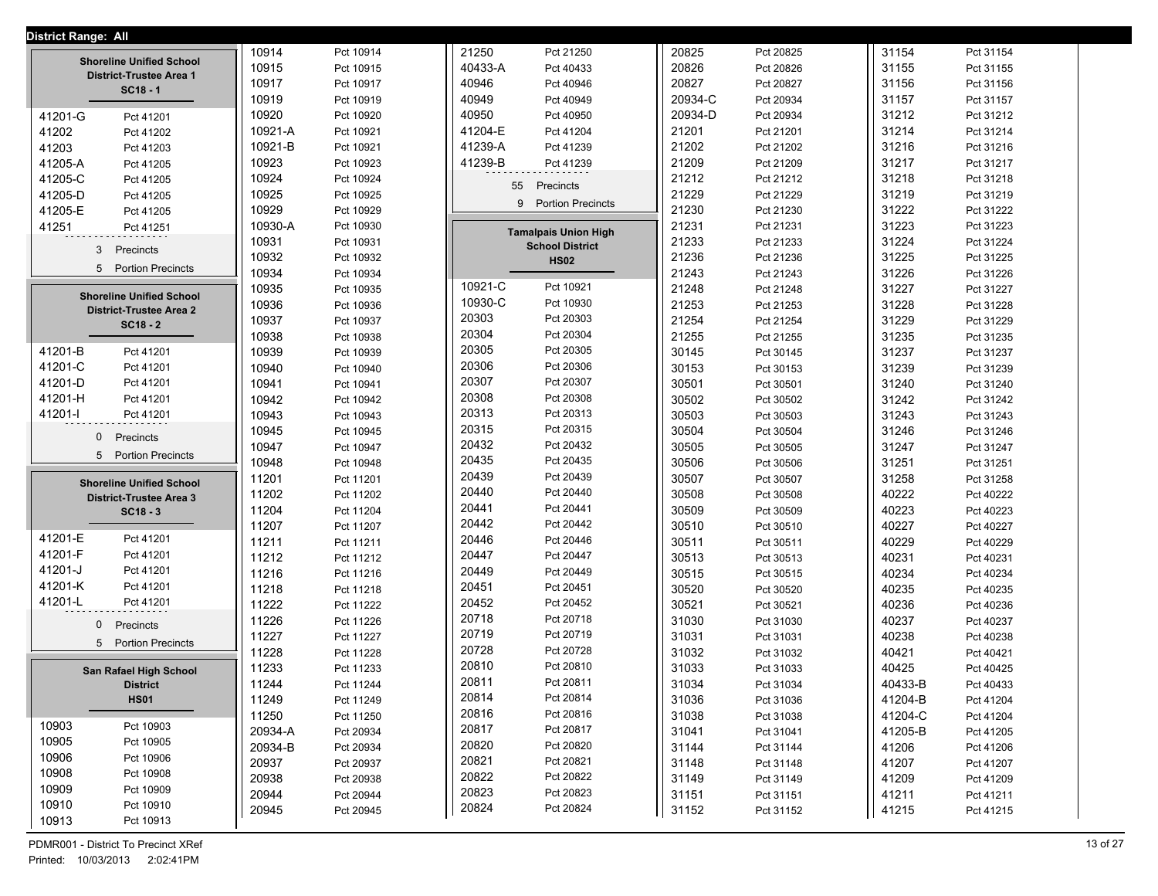| <b>District Range: All</b>                 |         |           |                               |         |           |         |           |
|--------------------------------------------|---------|-----------|-------------------------------|---------|-----------|---------|-----------|
| <b>Shoreline Unified School</b>            | 10914   | Pct 10914 | 21250<br>Pct 21250            | 20825   | Pct 20825 | 31154   | Pct 31154 |
| District-Trustee Area 1                    | 10915   | Pct 10915 | Pct 40433<br>40433-A          | 20826   | Pct 20826 | 31155   | Pct 31155 |
| $SC18 - 1$                                 | 10917   | Pct 10917 | 40946<br>Pct 40946            | 20827   | Pct 20827 | 31156   | Pct 31156 |
|                                            | 10919   | Pct 10919 | 40949<br>Pct 40949            | 20934-C | Pct 20934 | 31157   | Pct 31157 |
| 41201-G<br>Pct 41201                       | 10920   | Pct 10920 | 40950<br>Pct 40950            | 20934-D | Pct 20934 | 31212   | Pct 31212 |
| 41202<br>Pct 41202                         | 10921-A | Pct 10921 | 41204-E<br>Pct 41204          | 21201   | Pct 21201 | 31214   | Pct 31214 |
| 41203<br>Pct 41203                         | 10921-B | Pct 10921 | 41239-A<br>Pct 41239          | 21202   | Pct 21202 | 31216   | Pct 31216 |
| 41205-A<br>Pct 41205                       | 10923   | Pct 10923 | 41239-B<br>Pct 41239          | 21209   | Pct 21209 | 31217   | Pct 31217 |
| 41205-C<br>Pct 41205                       | 10924   | Pct 10924 | 55<br>Precincts               | 21212   | Pct 21212 | 31218   | Pct 31218 |
| 41205-D<br>Pct 41205                       | 10925   | Pct 10925 |                               | 21229   | Pct 21229 | 31219   | Pct 31219 |
| 41205-E<br>Pct 41205                       | 10929   | Pct 10929 | <b>Portion Precincts</b><br>9 | 21230   | Pct 21230 | 31222   | Pct 31222 |
| 41251<br>Pct 41251                         | 10930-A | Pct 10930 | <b>Tamalpais Union High</b>   | 21231   | Pct 21231 | 31223   | Pct 31223 |
| 3<br>Precincts                             | 10931   | Pct 10931 | <b>School District</b>        | 21233   | Pct 21233 | 31224   | Pct 31224 |
|                                            | 10932   | Pct 10932 | <b>HS02</b>                   | 21236   | Pct 21236 | 31225   | Pct 31225 |
| 5 Portion Precincts                        | 10934   | Pct 10934 |                               | 21243   | Pct 21243 | 31226   | Pct 31226 |
| <b>Shoreline Unified School</b>            | 10935   | Pct 10935 | 10921-C<br>Pct 10921          | 21248   | Pct 21248 | 31227   | Pct 31227 |
| <b>District-Trustee Area 2</b>             | 10936   | Pct 10936 | 10930-C<br>Pct 10930          | 21253   | Pct 21253 | 31228   | Pct 31228 |
| $SC18 - 2$                                 | 10937   | Pct 10937 | 20303<br>Pct 20303            | 21254   | Pct 21254 | 31229   | Pct 31229 |
|                                            | 10938   | Pct 10938 | 20304<br>Pct 20304            | 21255   | Pct 21255 | 31235   | Pct 31235 |
| 41201-B<br>Pct 41201                       | 10939   | Pct 10939 | 20305<br>Pct 20305            | 30145   | Pct 30145 | 31237   | Pct 31237 |
| 41201-C<br>Pct 41201                       | 10940   | Pct 10940 | 20306<br>Pct 20306            | 30153   | Pct 30153 | 31239   | Pct 31239 |
| 41201-D<br>Pct 41201                       | 10941   | Pct 10941 | 20307<br>Pct 20307            | 30501   | Pct 30501 | 31240   | Pct 31240 |
| 41201-H<br>Pct 41201                       | 10942   | Pct 10942 | 20308<br>Pct 20308            | 30502   | Pct 30502 | 31242   | Pct 31242 |
| 41201-l<br>Pct 41201                       | 10943   | Pct 10943 | 20313<br>Pct 20313            | 30503   | Pct 30503 | 31243   | Pct 31243 |
| 0<br>Precincts                             | 10945   | Pct 10945 | 20315<br>Pct 20315            | 30504   | Pct 30504 | 31246   | Pct 31246 |
| 5 <sup>5</sup><br><b>Portion Precincts</b> | 10947   | Pct 10947 | 20432<br>Pct 20432            | 30505   | Pct 30505 | 31247   | Pct 31247 |
|                                            | 10948   | Pct 10948 | 20435<br>Pct 20435            | 30506   | Pct 30506 | 31251   | Pct 31251 |
| <b>Shoreline Unified School</b>            | 11201   | Pct 11201 | 20439<br>Pct 20439            | 30507   | Pct 30507 | 31258   | Pct 31258 |
| <b>District-Trustee Area 3</b>             | 11202   | Pct 11202 | 20440<br>Pct 20440            | 30508   | Pct 30508 | 40222   | Pct 40222 |
| $SC18 - 3$                                 | 11204   | Pct 11204 | 20441<br>Pct 20441            | 30509   | Pct 30509 | 40223   | Pct 40223 |
|                                            | 11207   | Pct 11207 | 20442<br>Pct 20442            | 30510   | Pct 30510 | 40227   | Pct 40227 |
| 41201-E<br>Pct 41201                       | 11211   | Pct 11211 | 20446<br>Pct 20446            | 30511   | Pct 30511 | 40229   | Pct 40229 |
| 41201-F<br>Pct 41201                       | 11212   | Pct 11212 | 20447<br>Pct 20447            | 30513   | Pct 30513 | 40231   | Pct 40231 |
| 41201-J<br>Pct 41201                       | 11216   | Pct 11216 | 20449<br>Pct 20449            | 30515   | Pct 30515 | 40234   | Pct 40234 |
| 41201-K<br>Pct 41201                       | 11218   | Pct 11218 | 20451<br>Pct 20451            | 30520   | Pct 30520 | 40235   | Pct 40235 |
| 41201-L<br>Pct 41201                       | 11222   | Pct 11222 | 20452<br>Pct 20452            | 30521   | Pct 30521 | 40236   | Pct 40236 |
| $\mathbf 0$<br>Precincts                   | 11226   | Pct 11226 | 20718<br>Pct 20718            | 31030   | Pct 31030 | 40237   | Pct 40237 |
| <b>Portion Precincts</b><br>5              | 11227   | Pct 11227 | 20719<br>Pct 20719            | 31031   | Pct 31031 | 40238   | Pct 40238 |
|                                            | 11228   | Pct 11228 | 20728<br>Pct 20728            | 31032   | Pct 31032 | 40421   | Pct 40421 |
| San Rafael High School                     | 11233   | Pct 11233 | 20810<br>Pct 20810            | 31033   | Pct 31033 | 40425   | Pct 40425 |
| <b>District</b>                            | 11244   | Pct 11244 | 20811<br>Pct 20811            | 31034   | Pct 31034 | 40433-B | Pct 40433 |
| <b>HS01</b>                                | 11249   | Pct 11249 | 20814<br>Pct 20814            | 31036   | Pct 31036 | 41204-B | Pct 41204 |
| 10903                                      | 11250   | Pct 11250 | 20816<br>Pct 20816            | 31038   | Pct 31038 | 41204-C | Pct 41204 |
| Pct 10903<br>10905                         | 20934-A | Pct 20934 | 20817<br>Pct 20817            | 31041   | Pct 31041 | 41205-B | Pct 41205 |
| Pct 10905                                  | 20934-B | Pct 20934 | 20820<br>Pct 20820            | 31144   | Pct 31144 | 41206   | Pct 41206 |
| 10906<br>Pct 10906<br>10908<br>Pct 10908   | 20937   | Pct 20937 | 20821<br>Pct 20821            | 31148   | Pct 31148 | 41207   | Pct 41207 |
|                                            | 20938   | Pct 20938 | 20822<br>Pct 20822            | 31149   | Pct 31149 | 41209   | Pct 41209 |
| 10909<br>Pct 10909<br>10910                | 20944   | Pct 20944 | 20823<br>Pct 20823            | 31151   | Pct 31151 | 41211   | Pct 41211 |
| Pct 10910<br>10913<br>Pct 10913            | 20945   | Pct 20945 | 20824<br>Pct 20824            | 31152   | Pct 31152 | 41215   | Pct 41215 |
|                                            |         |           |                               |         |           |         |           |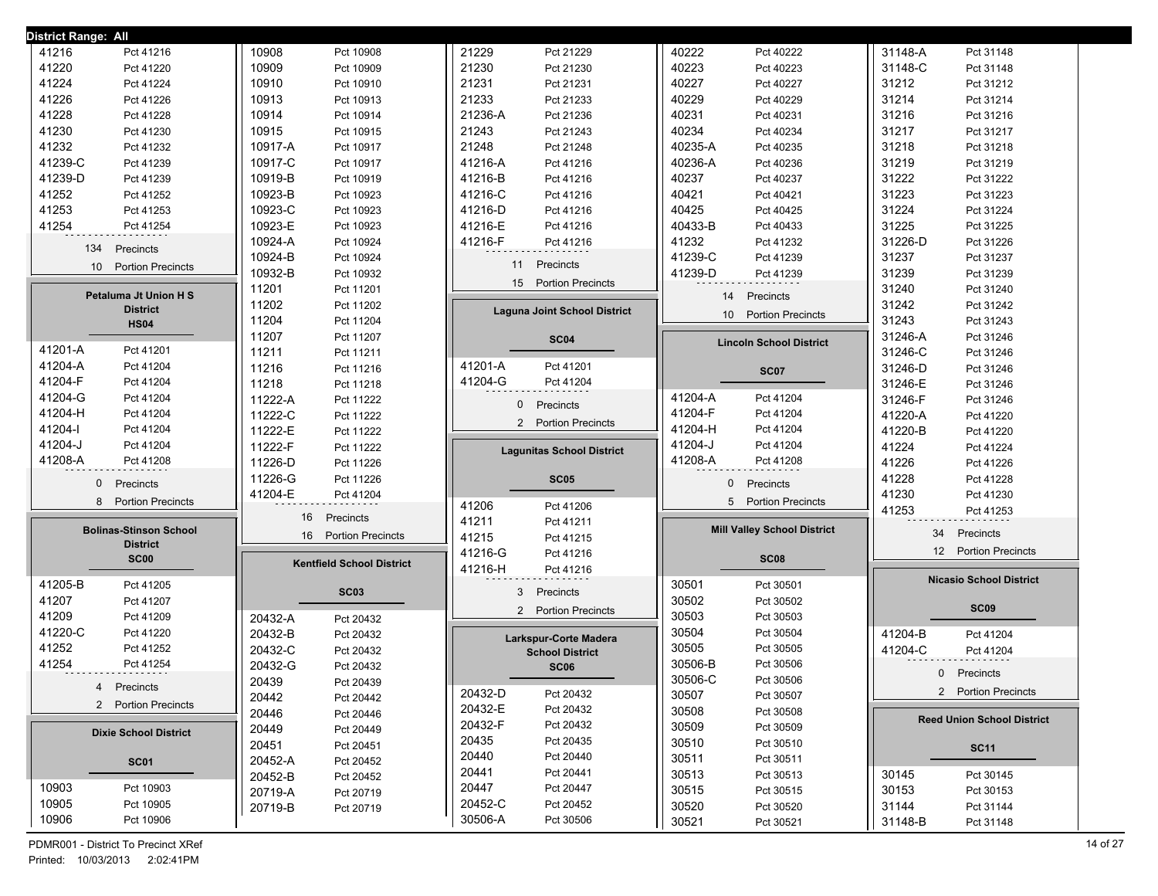| District Range: All           |                                  |                                     |                                             |                                   |
|-------------------------------|----------------------------------|-------------------------------------|---------------------------------------------|-----------------------------------|
| 41216                         | 10908                            | 21229                               | 40222                                       | 31148-A                           |
| Pct 41216                     | Pct 10908                        | Pct 21229                           | Pct 40222                                   | Pct 31148                         |
| Pct 41220                     | 10909                            | 21230                               | 40223                                       | 31148-C                           |
| 41220                         | Pct 10909                        | Pct 21230                           | Pct 40223                                   | Pct 31148                         |
| 41224                         | 10910                            | 21231                               | 40227                                       | 31212                             |
| Pct 41224                     | Pct 10910                        | Pct 21231                           | Pct 40227                                   | Pct 31212                         |
| 41226                         | 10913                            | 21233                               | 40229                                       | 31214                             |
| Pct 41226                     | Pct 10913                        | Pct 21233                           | Pct 40229                                   | Pct 31214                         |
| 41228                         | 10914                            | 21236-A                             | 40231                                       | 31216                             |
| Pct 41228                     | Pct 10914                        | Pct 21236                           | Pct 40231                                   | Pct 31216                         |
| 41230                         | 10915                            | 21243                               | 40234                                       | 31217                             |
| Pct 41230                     | Pct 10915                        | Pct 21243                           | Pct 40234                                   | Pct 31217                         |
| 41232                         | 10917-A                          | 21248                               | 40235-A                                     | 31218                             |
| Pct 41232                     | Pct 10917                        | Pct 21248                           | Pct 40235                                   | Pct 31218                         |
| 41239-C                       | 10917-C                          | 41216-A                             | 40236-A                                     | 31219                             |
| Pct 41239                     | Pct 10917                        | Pct 41216                           | Pct 40236                                   | Pct 31219                         |
| 41239-D                       | 10919-B                          | 41216-B                             | 40237                                       | 31222                             |
| Pct 41239                     | Pct 10919                        | Pct 41216                           | Pct 40237                                   | Pct 31222                         |
|                               |                                  | 41216-C                             |                                             | 31223                             |
| 41252<br>Pct 41252            | 10923-B<br>Pct 10923             | Pct 41216                           | 40421<br>Pct 40421                          | Pct 31223                         |
| 41253                         | 10923-C                          | 41216-D                             | 40425                                       | 31224                             |
| Pct 41253                     | Pct 10923                        | Pct 41216                           | Pct 40425                                   | Pct 31224                         |
| 41254                         | 10923-E                          | 41216-E                             | 40433-B                                     | 31225                             |
| Pct 41254                     | Pct 10923                        | Pct 41216                           | Pct 40433                                   | Pct 31225                         |
| 134                           | 10924-A                          | 41216-F                             | 41232                                       | 31226-D                           |
| Precincts                     | Pct 10924                        | Pct 41216                           | Pct 41232                                   | Pct 31226                         |
| 10 Portion Precincts          | 10924-B                          | 11                                  | 41239-C                                     | 31237                             |
|                               | Pct 10924                        | Precincts                           | Pct 41239                                   | Pct 31237                         |
|                               | 10932-B<br>Pct 10932             | 15 Portion Precincts                | 41239-D<br>Pct 41239                        | 31239<br>Pct 31239                |
| <b>Petaluma Jt Union H S</b>  | 11201<br>Pct 11201               |                                     | 14<br>Precincts                             | 31240<br>Pct 31240                |
| <b>District</b>               | 11202<br>Pct 11202               | <b>Laguna Joint School District</b> | 10 <sup>°</sup><br><b>Portion Precincts</b> | 31242<br>Pct 31242                |
| <b>HS04</b>                   | 11204<br>Pct 11204               |                                     |                                             | 31243<br>Pct 31243                |
|                               | 11207<br>Pct 11207               | <b>SC04</b>                         | <b>Lincoln School District</b>              | 31246-A<br>Pct 31246              |
| 41201-A<br>Pct 41201          | 11211<br>Pct 11211               |                                     |                                             | 31246-C<br>Pct 31246              |
| 41204-A                       | 11216                            | 41201-A                             | <b>SC07</b>                                 | 31246-D                           |
| Pct 41204                     | Pct 11216                        | Pct 41201                           |                                             | Pct 31246                         |
| 41204-F                       | 11218                            | 41204-G                             |                                             | 31246-E                           |
| Pct 41204                     | Pct 11218                        | Pct 41204                           |                                             | Pct 31246                         |
| 41204-G                       | 11222-A                          | 0                                   | 41204-A                                     | 31246-F                           |
| Pct 41204                     | Pct 11222                        | Precincts                           | Pct 41204                                   | Pct 31246                         |
| 41204-H                       | 11222-C                          | 2 Portion Precincts                 | 41204-F                                     | 41220-A                           |
| Pct 41204                     | Pct 11222                        |                                     | Pct 41204                                   | Pct 41220                         |
| 41204-l                       | 11222-E                          |                                     | 41204-H                                     | 41220-B                           |
| Pct 41204                     | Pct 11222                        |                                     | Pct 41204                                   | Pct 41220                         |
| 41204-J                       | 11222-F                          | <b>Lagunitas School District</b>    | 41204-J                                     | 41224                             |
| Pct 41204                     | Pct 11222                        |                                     | Pct 41204                                   | Pct 41224                         |
| 41208-A                       | 11226-D                          |                                     | 41208-A                                     | 41226                             |
| Pct 41208                     | Pct 11226                        |                                     | Pct 41208                                   | Pct 41226                         |
| 0                             | 11226-G                          | <b>SC05</b>                         | 0                                           | 41228                             |
| Precincts                     | Pct 11226                        |                                     | Precincts                                   | Pct 41228                         |
|                               | 41204-E<br>Pct 41204             |                                     |                                             | 41230<br>Pct 41230                |
| <b>Portion Precincts</b>      |                                  | 41206                               | <b>Portion Precincts</b>                    | 41253                             |
| 8                             |                                  | Pct 41206                           | 5                                           | Pct 41253                         |
| <b>Bolinas-Stinson School</b> | 16<br>Precincts                  | 41211<br>Pct 41211                  | <b>Mill Valley School District</b>          |                                   |
| <b>District</b>               | <b>Portion Precincts</b><br>16   | 41215<br>Pct 41215                  |                                             | Precincts<br>34                   |
| <b>SC00</b>                   |                                  | 41216-G<br>Pct 41216                | <b>SC08</b>                                 | 12<br><b>Portion Precincts</b>    |
|                               | <b>Kentfield School District</b> | 41216-H<br>Pct 41216                |                                             |                                   |
| 41205-B<br>Pct 41205          | <b>SC03</b>                      | 3<br>Precincts                      | 30501<br>Pct 30501                          | <b>Nicasio School District</b>    |
| 41207<br>Pct 41207            |                                  |                                     | 30502<br>Pct 30502                          | <b>SC09</b>                       |
| 41209<br>Pct 41209            | 20432-A<br>Pct 20432             | 2 Portion Precincts                 | 30503<br>Pct 30503                          |                                   |
| 41220-C                       | 20432-B                          | Larkspur-Corte Madera               | 30504                                       | 41204-B                           |
| Pct 41220                     | Pct 20432                        |                                     | Pct 30504                                   | Pct 41204                         |
| 41252                         | 20432-C                          | <b>School District</b>              | 30505                                       | 41204-C                           |
| Pct 41252                     | Pct 20432                        |                                     | Pct 30505                                   | Pct 41204                         |
| 41254<br>Pct 41254            | 20432-G<br>Pct 20432             | <b>SC06</b>                         | 30506-B<br>Pct 30506                        |                                   |
|                               | 20439<br>Pct 20439               |                                     | 30506-C<br>Pct 30506                        | $\mathbf{0}$<br>Precincts         |
| Precincts                     | 20442                            | 20432-D                             | 30507                                       | 2 Portion Precincts               |
| 4                             | Pct 20442                        | Pct 20432                           | Pct 30507                                   |                                   |
| 2 Portion Precincts           | 20446<br>Pct 20446               | 20432-E<br>Pct 20432                | 30508<br>Pct 30508                          |                                   |
|                               | 20449<br>Pct 20449               | 20432-F<br>Pct 20432                | 30509<br>Pct 30509                          | <b>Reed Union School District</b> |
| <b>Dixie School District</b>  | 20451<br>Pct 20451               | 20435<br>Pct 20435                  | 30510<br>Pct 30510                          |                                   |
| <b>SC01</b>                   | 20452-A                          | 20440<br>Pct 20440                  | 30511<br>Pct 30511                          | <b>SC11</b>                       |
|                               | Pct 20452                        | 20441<br>Pct 20441                  | 30513<br>Pct 30513                          | 30145<br>Pct 30145                |
| 10903                         | 20452-B                          | 20447                               | 30515                                       | 30153                             |
| Pct 10903                     | Pct 20452                        | Pct 20447                           | Pct 30515                                   | Pct 30153                         |
| 10905                         | 20719-A                          | 20452-C                             | 30520                                       | 31144                             |
| Pct 10905                     | Pct 20719                        | Pct 20452                           |                                             | Pct 31144                         |
|                               |                                  |                                     |                                             |                                   |
| 10906<br>Pct 10906            | 20719-B<br>Pct 20719             | 30506-A<br>Pct 30506                | Pct 30520<br>30521<br>Pct 30521             | 31148-B<br>Pct 31148              |

PDMR001 - District To Precinct XRef 14 of 27 Printed: 10/03/2013 2:02:41PM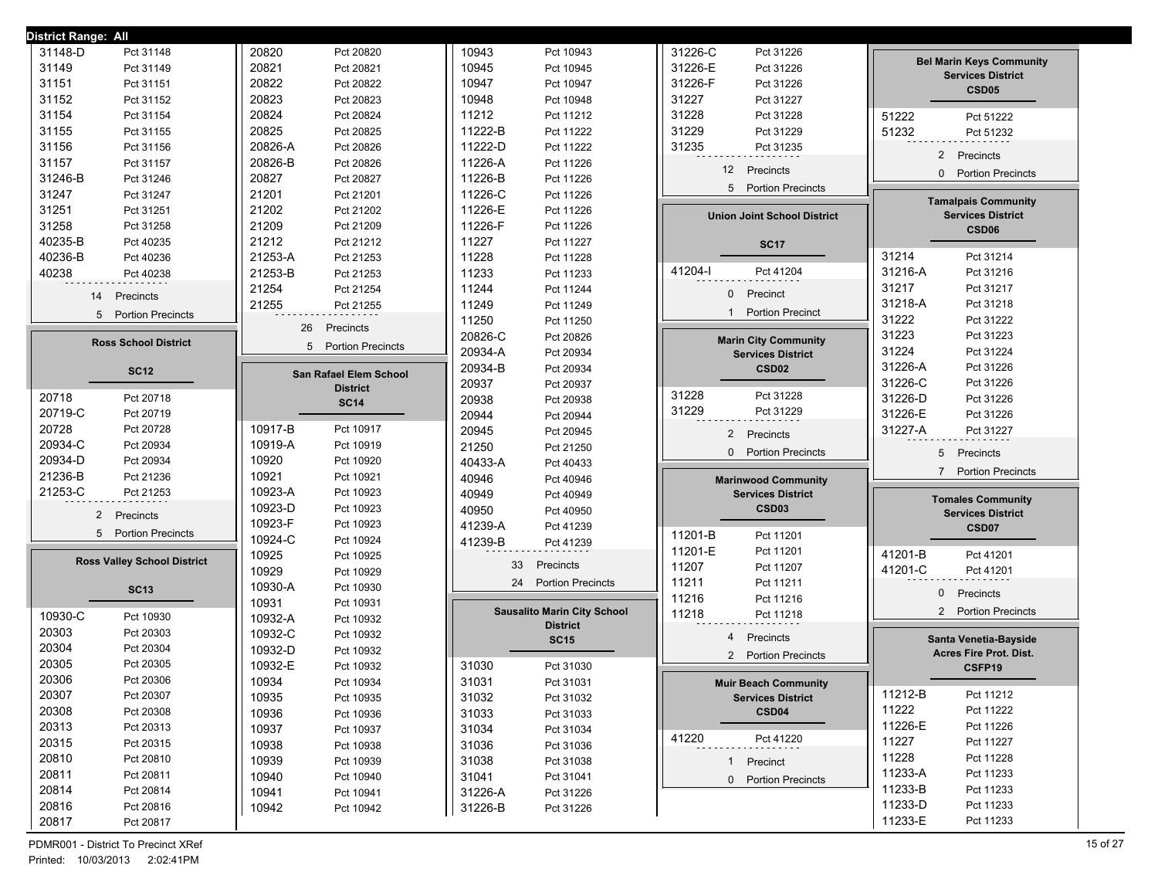| District Range: All                |                               |                                    |                                            |                                 |
|------------------------------------|-------------------------------|------------------------------------|--------------------------------------------|---------------------------------|
| 31148-D                            | 20820                         | 10943                              | 31226-C                                    |                                 |
| Pct 31148                          | Pct 20820                     | Pct 10943                          | Pct 31226                                  |                                 |
| 31149                              | 20821                         | 10945                              | 31226-E                                    | <b>Bel Marin Keys Community</b> |
| Pct 31149                          | Pct 20821                     | Pct 10945                          | Pct 31226                                  |                                 |
| 31151                              | 20822                         | 10947                              | 31226-F                                    | <b>Services District</b>        |
| Pct 31151                          | Pct 20822                     | Pct 10947                          | Pct 31226                                  | CSD <sub>05</sub>               |
| 31152                              | 20823                         | 10948                              | 31227                                      |                                 |
| Pct 31152                          | Pct 20823                     | Pct 10948                          | Pct 31227                                  |                                 |
| 31154                              | 20824                         | 11212                              | 31228                                      | 51222                           |
| Pct 31154                          | Pct 20824                     | Pct 11212                          | Pct 31228                                  | Pct 51222                       |
| 31155                              | 20825                         | 11222-B                            | 31229                                      | 51232                           |
| Pct 31155                          | Pct 20825                     | Pct 11222                          | Pct 31229                                  | Pct 51232                       |
| 31156                              | 20826-A                       | 11222-D                            | 31235                                      |                                 |
| Pct 31156                          | Pct 20826                     | Pct 11222                          | Pct 31235                                  |                                 |
| 31157<br>Pct 31157                 | 20826-B<br>Pct 20826          | 11226-A<br>Pct 11226               |                                            | 2 Precincts                     |
| 31246-B                            | 20827                         | 11226-B                            | 12 <sup>2</sup>                            | $\mathbf{0}$                    |
| Pct 31246                          | Pct 20827                     | Pct 11226                          | Precincts                                  | <b>Portion Precincts</b>        |
| 31247                              | 21201                         | 11226-C                            | 5                                          |                                 |
| Pct 31247                          | Pct 21201                     | Pct 11226                          | <b>Portion Precincts</b>                   |                                 |
| 31251                              | 21202                         | 11226-E                            |                                            | <b>Tamalpais Community</b>      |
| Pct 31251                          | Pct 21202                     | Pct 11226                          |                                            | <b>Services District</b>        |
| 31258<br>Pct 31258                 | 21209<br>Pct 21209            | 11226-F<br>Pct 11226               | <b>Union Joint School District</b>         | CSD <sub>06</sub>               |
| 40235-B<br>Pct 40235               | 21212<br>Pct 21212            | 11227<br>Pct 11227                 | <b>SC17</b>                                |                                 |
| 40236-B                            | 21253-A                       | 11228                              |                                            | 31214                           |
| Pct 40236                          | Pct 21253                     | Pct 11228                          |                                            | Pct 31214                       |
| 40238                              | 21253-B                       | 11233                              | 41204-l                                    | 31216-A                         |
| Pct 40238                          | Pct 21253                     | Pct 11233                          | Pct 41204                                  | Pct 31216                       |
|                                    | 21254<br>Pct 21254            | 11244<br>Pct 11244                 |                                            | 31217<br>Pct 31217              |
| Precincts                          | 21255                         | 11249                              | Precinct                                   | 31218-A                         |
| 14                                 | Pct 21255                     | Pct 11249                          | $\mathbf{0}$                               | Pct 31218                       |
| 5 Portion Precincts                |                               | 11250<br>Pct 11250                 | <b>Portion Precinct</b><br>$\mathbf 1$     | 31222<br>Pct 31222              |
|                                    | 26<br>Precincts               | 20826-C<br>Pct 20826               | <b>Marin City Community</b>                | 31223<br>Pct 31223              |
| <b>Ross School District</b>        | 5<br><b>Portion Precincts</b> | 20934-A<br>Pct 20934               | <b>Services District</b>                   | 31224<br>Pct 31224              |
| <b>SC12</b>                        |                               | 20934-B<br>Pct 20934               | CSD <sub>02</sub>                          | 31226-A<br>Pct 31226            |
|                                    | San Rafael Elem School        | 20937<br>Pct 20937                 |                                            | 31226-C<br>Pct 31226            |
| 20718                              | <b>District</b>               | 20938                              | 31228                                      | 31226-D                         |
| Pct 20718                          | <b>SC14</b>                   | Pct 20938                          | Pct 31228                                  | Pct 31226                       |
| 20719-C                            |                               | 20944                              | 31229                                      | 31226-E                         |
| Pct 20719                          |                               | Pct 20944                          | Pct 31229                                  | Pct 31226                       |
| 20728                              | 10917-B                       | 20945                              | $\overline{2}$                             | 31227-A                         |
| Pct 20728                          | Pct 10917                     | Pct 20945                          | Precincts                                  | Pct 31227                       |
| 20934-C<br>Pct 20934               | 10919-A<br>Pct 10919          | 21250<br>Pct 21250                 | $\mathbf{0}$                               |                                 |
| 20934-D                            | 10920                         | 40433-A                            | <b>Portion Precincts</b>                   | 5                               |
| Pct 20934                          | Pct 10920                     | Pct 40433                          |                                            | Precincts                       |
| 21236-B                            | 10921                         | 40946                              | <b>Marinwood Community</b>                 | <b>Portion Precincts</b>        |
| Pct 21236                          | Pct 10921                     | Pct 40946                          |                                            | $\overline{7}$                  |
| 21253-C<br>Pct 21253               | 10923-A<br>Pct 10923          | 40949<br>Pct 40949                 | <b>Services District</b>                   | <b>Tomales Community</b>        |
| 2 Precincts                        | 10923-D<br>Pct 10923          | 40950<br>Pct 40950                 | CSD <sub>03</sub>                          | <b>Services District</b>        |
|                                    | 10923-F<br>Pct 10923          | 41239-A<br>Pct 41239               |                                            | CSD07                           |
| 5 Portion Precincts                | 10924-C<br>Pct 10924          | 41239-B<br>Pct 41239               | 11201-B<br>Pct 11201                       |                                 |
| <b>Ross Valley School District</b> | 10925<br>Pct 10925            |                                    | 11201-E<br>Pct 11201                       | 41201-B<br>Pct 41201            |
|                                    | 10929                         | 33                                 | 11207                                      | 41201-C                         |
|                                    | Pct 10929                     | Precincts                          | Pct 11207                                  | Pct 41201                       |
| <b>SC13</b>                        | 10930-A<br>Pct 10930          | 24 Portion Precincts               | 11211<br>Pct 11211                         | $\overline{0}$<br>Precincts     |
|                                    | 10931<br>Pct 10931            | <b>Sausalito Marin City School</b> | 11216<br>Pct 11216                         |                                 |
| 10930-C                            | 10932-A                       | <b>District</b>                    | 11218                                      | <b>Portion Precincts</b>        |
| Pct 10930                          | Pct 10932                     |                                    | Pct 11218                                  | $\mathbf{2}^{\prime}$           |
| 20303<br>Pct 20303                 | 10932-C<br>Pct 10932          | <b>SC15</b>                        | $\overline{4}$<br>Precincts                | Santa Venetia-Bayside           |
| 20304<br>Pct 20304                 | 10932-D<br>Pct 10932          |                                    | $\overline{2}$<br><b>Portion Precincts</b> | Acres Fire Prot. Dist.          |
| 20305<br>Pct 20305                 | 10932-E<br>Pct 10932          | 31030<br>Pct 31030                 |                                            | CSFP19                          |
| 20306<br>Pct 20306                 | 10934<br>Pct 10934            | 31031<br>Pct 31031                 | <b>Muir Beach Community</b>                |                                 |
| 20307                              | 10935                         | 31032                              | <b>Services District</b>                   | 11212-B                         |
| Pct 20307                          | Pct 10935                     | Pct 31032                          |                                            | Pct 11212                       |
| 20308                              | 10936                         | 31033                              | CSD <sub>04</sub>                          | 11222                           |
| Pct 20308                          | Pct 10936                     | Pct 31033                          |                                            | Pct 11222                       |
| 20313                              | 10937                         | 31034                              |                                            | 11226-E                         |
| Pct 20313                          | Pct 10937                     | Pct 31034                          |                                            | Pct 11226                       |
| 20315                              | 10938                         | 31036                              | 41220                                      | 11227                           |
| Pct 20315                          | Pct 10938                     | Pct 31036                          | Pct 41220                                  | Pct 11227                       |
| 20810                              | 10939                         | 31038                              | 1 Precinct                                 | 11228                           |
| Pct 20810                          | Pct 10939                     | Pct 31038                          |                                            | Pct 11228                       |
| 20811                              | 10940                         | 31041                              | 0 Portion Precincts                        | 11233-A                         |
| Pct 20811                          | Pct 10940                     | Pct 31041                          |                                            | Pct 11233                       |
| 20814                              | 10941                         | 31226-A                            |                                            | 11233-B                         |
| Pct 20814                          | Pct 10941                     | Pct 31226                          |                                            | Pct 11233                       |
| 20816                              | 10942                         | 31226-B                            |                                            | 11233-D                         |
| Pct 20816                          | Pct 10942                     | Pct 31226                          |                                            | Pct 11233                       |
| 20817<br>Pct 20817                 |                               |                                    |                                            | 11233-E<br>Pct 11233            |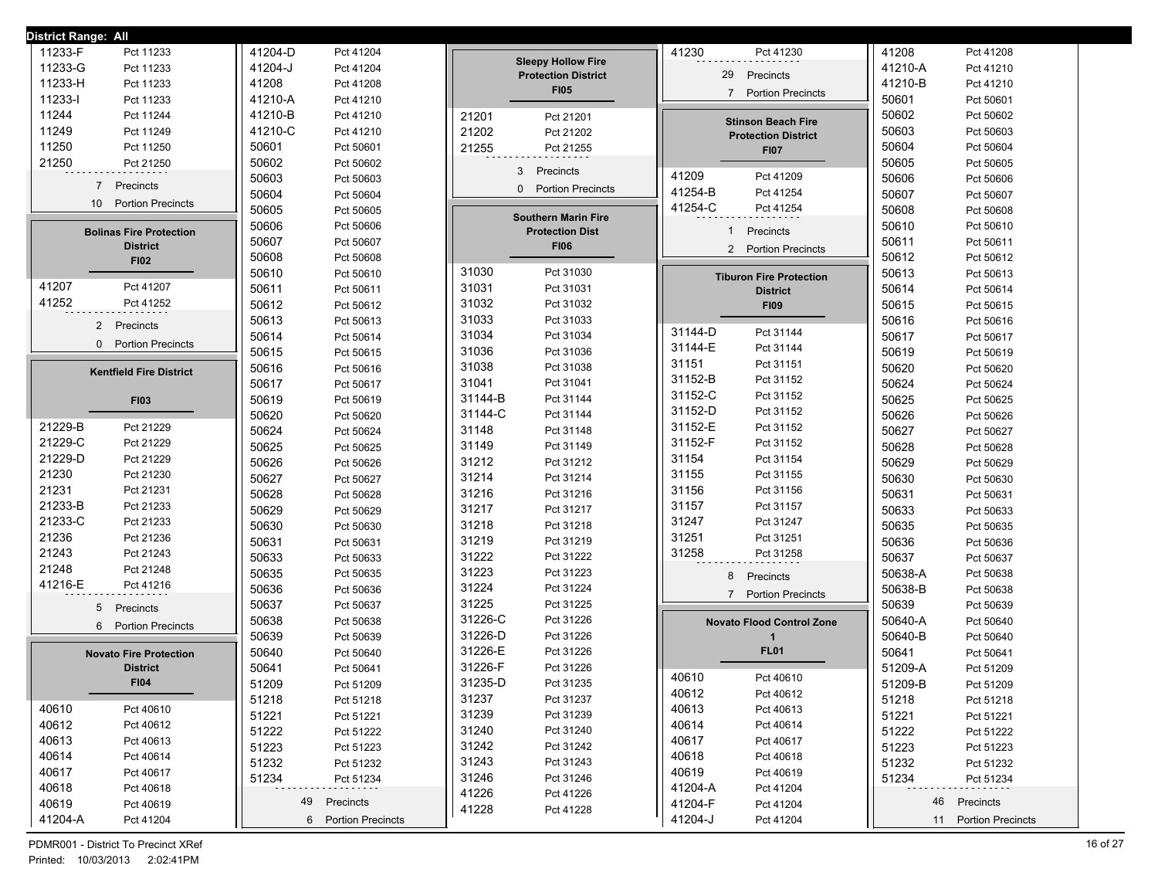| <b>District Range: All</b>     |                     |                            |                                            |                      |
|--------------------------------|---------------------|----------------------------|--------------------------------------------|----------------------|
| 11233-F                        | 41204-D             |                            | 41230                                      | 41208                |
| Pct 11233                      | Pct 41204           |                            | Pct 41230                                  | Pct 41208            |
| 11233-G                        | 41204-J             | <b>Sleepy Hollow Fire</b>  | 29                                         | 41210-A              |
| Pct 11233                      | Pct 41204           | <b>Protection District</b> | Precincts                                  | Pct 41210            |
| 11233-H<br>Pct 11233           | 41208<br>Pct 41208  | <b>FI05</b>                |                                            | 41210-B<br>Pct 41210 |
| 11233-l                        | 41210-A             |                            | <b>Portion Precincts</b>                   | 50601                |
| Pct 11233                      | Pct 41210           |                            | $\overline{7}$                             | Pct 50601            |
| 11244                          | 41210-B             | 21201                      | <b>Stinson Beach Fire</b>                  | 50602                |
| Pct 11244                      | Pct 41210           | Pct 21201                  |                                            | Pct 50602            |
| 11249                          | 41210-C             | 21202                      | <b>Protection District</b>                 | 50603                |
| Pct 11249                      | Pct 41210           | Pct 21202                  |                                            | Pct 50603            |
| 11250                          | 50601               | 21255                      | <b>FI07</b>                                | 50604                |
| Pct 11250                      | Pct 50601           | Pct 21255                  |                                            | Pct 50604            |
| 21250<br>Pct 21250             | 50602<br>Pct 50602  |                            |                                            | 50605<br>Pct 50605   |
|                                | 50603               | 3                          | 41209                                      | 50606                |
|                                | Pct 50603           | Precincts                  | Pct 41209                                  | Pct 50606            |
| 7 Precincts                    | 50604               | <b>Portion Precincts</b>   | 41254-B                                    | 50607                |
|                                | Pct 50604           | $\Omega$                   | Pct 41254                                  | Pct 50607            |
| <b>Portion Precincts</b>       | 50605               |                            | 41254-C                                    | 50608                |
| 10                             | Pct 50605           |                            | Pct 41254                                  | Pct 50608            |
| <b>Bolinas Fire Protection</b> | 50606               | <b>Southern Marin Fire</b> | Precincts                                  | 50610                |
|                                | Pct 50606           | <b>Protection Dist</b>     | -1                                         | Pct 50610            |
| <b>District</b>                | 50607<br>Pct 50607  | <b>FI06</b>                |                                            | 50611<br>Pct 50611   |
| <b>FI02</b>                    | 50608<br>Pct 50608  |                            | <b>Portion Precincts</b><br>$\overline{2}$ | 50612<br>Pct 50612   |
|                                | 50610<br>Pct 50610  | 31030<br>Pct 31030         | <b>Tiburon Fire Protection</b>             | 50613<br>Pct 50613   |
| 41207                          | 50611               | 31031                      | <b>District</b>                            | 50614                |
| Pct 41207                      | Pct 50611           | Pct 31031                  |                                            | Pct 50614            |
| 41252                          | 50612               | 31032                      | <b>FI09</b>                                | 50615                |
| Pct 41252                      | Pct 50612           | Pct 31032                  |                                            | Pct 50615            |
| 2 Precincts                    | 50613<br>Pct 50613  | 31033<br>Pct 31033         |                                            | 50616<br>Pct 50616   |
|                                | 50614               | 31034                      | 31144-D                                    | 50617                |
|                                | Pct 50614           | Pct 31034                  | Pct 31144                                  | Pct 50617            |
| <b>Portion Precincts</b>       | 50615               | 31036                      | 31144-E                                    | 50619                |
| $\mathbf{0}$                   | Pct 50615           | Pct 31036                  | Pct 31144                                  | Pct 50619            |
| <b>Kentfield Fire District</b> | 50616               | 31038                      | 31151                                      | 50620                |
|                                | Pct 50616           | Pct 31038                  | Pct 31151                                  | Pct 50620            |
|                                | 50617               | 31041                      | 31152-B                                    | 50624                |
|                                | Pct 50617           | Pct 31041                  | Pct 31152                                  | Pct 50624            |
| <b>FI03</b>                    | 50619               | 31144-B                    | 31152-C                                    | 50625                |
|                                | Pct 50619           | Pct 31144                  | Pct 31152                                  | Pct 50625            |
|                                | 50620               | 31144-C                    | 31152-D                                    | 50626                |
|                                | Pct 50620           | Pct 31144                  | Pct 31152                                  | Pct 50626            |
| 21229-B                        | 50624               | 31148                      | 31152-E                                    | 50627                |
| Pct 21229                      | Pct 50624           | Pct 31148                  | Pct 31152                                  | Pct 50627            |
| 21229-C                        | 50625               | 31149                      | 31152-F                                    | 50628                |
| Pct 21229                      | Pct 50625           | Pct 31149                  | Pct 31152                                  | Pct 50628            |
| 21229-D                        | 50626               | 31212                      | 31154                                      | 50629                |
| Pct 21229                      | Pct 50626           | Pct 31212                  | Pct 31154                                  | Pct 50629            |
| 21230                          | 50627               | 31214                      | 31155                                      | 50630                |
| Pct 21230                      | Pct 50627           | Pct 31214                  | Pct 31155                                  | Pct 50630            |
| 21231                          | 50628               | 31216                      | 31156                                      | 50631                |
| Pct 21231                      | Pct 50628           | Pct 31216                  | Pct 31156                                  | Pct 50631            |
| 21233-B                        | 50629               | 31217                      | 31157                                      | 50633                |
| Pct 21233                      | Pct 50629           | Pct 31217                  | Pct 31157                                  | Pct 50633            |
| 21233-C                        | 50630               | 31218                      | 31247                                      | 50635                |
| Pct 21233                      | Pct 50630           | Pct 31218                  | Pct 31247                                  | Pct 50635            |
| 21236                          | 50631               | 31219                      | 31251                                      | 50636                |
| Pct 21236                      | Pct 50631           | Pct 31219                  | Pct 31251                                  | Pct 50636            |
| 21243                          | 50633               | 31222                      | 31258                                      | 50637                |
| Pct 21243                      | Pct 50633           | Pct 31222                  | Pct 31258                                  | Pct 50637            |
| 21248                          | 50635               | 31223                      | 8                                          | 50638-A              |
| Pct 21248                      | Pct 50635           | Pct 31223                  | Precincts                                  | Pct 50638            |
| 41216-E                        | 50636               | 31224                      | $\overline{7}$                             | 50638-B              |
| Pct 41216                      | Pct 50636           | Pct 31224                  |                                            | Pct 50638            |
| 5                              | 50637               | 31225                      | <b>Portion Precincts</b>                   | 50639                |
| Precincts                      | Pct 50637           | Pct 31225                  |                                            | Pct 50639            |
| <b>Portion Precincts</b>       | 50638               | 31226-C                    | <b>Novato Flood Control Zone</b>           | 50640-A              |
| 6                              | Pct 50638           | Pct 31226                  |                                            | Pct 50640            |
|                                | 50639<br>Pct 50639  | 31226-D<br>Pct 31226       | -1                                         | 50640-B<br>Pct 50640 |
| <b>Novato Fire Protection</b>  | 50640<br>Pct 50640  | 31226-E<br>Pct 31226       | <b>FL01</b>                                | 50641<br>Pct 50641   |
| <b>District</b>                | 50641<br>Pct 50641  | 31226-F<br>Pct 31226       |                                            | 51209-A<br>Pct 51209 |
| <b>FI04</b>                    | 51209               | 31235-D                    | 40610                                      | 51209-B              |
|                                | Pct 51209           | Pct 31235                  | Pct 40610                                  | Pct 51209            |
|                                | 51218               | 31237                      | 40612                                      | 51218                |
|                                | Pct 51218           | Pct 31237                  | Pct 40612                                  | Pct 51218            |
| 40610                          | 51221               | 31239                      | 40613                                      | 51221                |
| Pct 40610                      | Pct 51221           | Pct 31239                  | Pct 40613                                  | Pct 51221            |
| 40612                          | 51222               | 31240                      | 40614                                      | 51222                |
| Pct 40612                      | Pct 51222           | Pct 31240                  | Pct 40614                                  | Pct 51222            |
| 40613                          | 51223               | 31242                      | 40617                                      | 51223                |
| Pct 40613                      | Pct 51223           | Pct 31242                  | Pct 40617                                  | Pct 51223            |
| 40614                          | 51232               | 31243                      | 40618                                      | 51232                |
| Pct 40614                      | Pct 51232           | Pct 31243                  | Pct 40618                                  | Pct 51232            |
| 40617                          | 51234               | 31246                      | 40619                                      | 51234                |
| Pct 40617                      | Pct 51234           | Pct 31246                  | Pct 40619                                  | Pct 51234            |
| 40618<br>Pct 40618             | 49                  | 41226<br>Pct 41226         | 41204-A<br>Pct 41204                       | 46 Precincts         |
| 40619<br>Pct 40619             | Precincts           | 41228<br>Pct 41228         | 41204-F<br>Pct 41204                       |                      |
| 41204-A<br>Pct 41204           | 6 Portion Precincts |                            | 41204-J<br>Pct 41204                       | 11 Portion Precincts |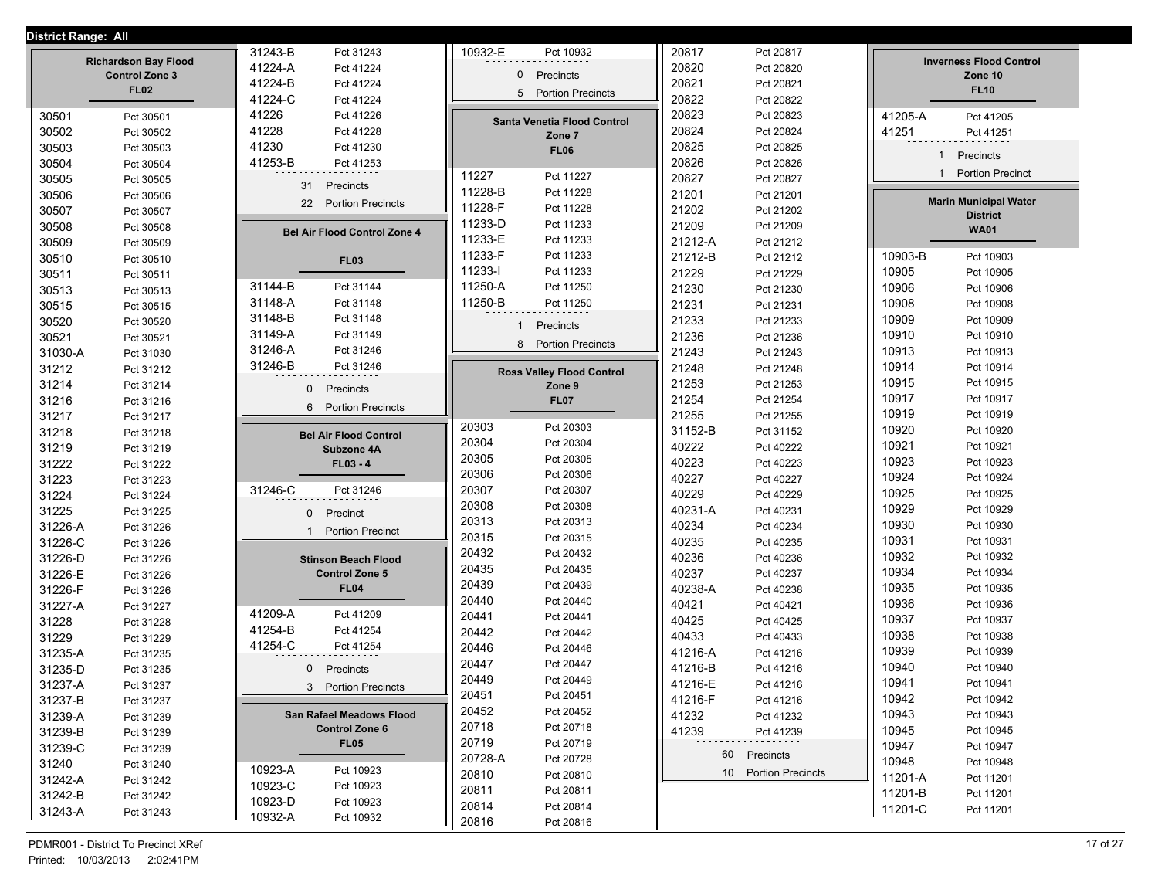## **District Range: All**

| District Range: All |                             |                                              |              |                                  | 20817          |                        |         |                                |
|---------------------|-----------------------------|----------------------------------------------|--------------|----------------------------------|----------------|------------------------|---------|--------------------------------|
|                     | <b>Richardson Bay Flood</b> | 31243-B<br>Pct 31243<br>41224-A<br>Pct 41224 | 10932-E      | Pct 10932                        |                | Pct 20817<br>Pct 20820 |         | <b>Inverness Flood Control</b> |
|                     | <b>Control Zone 3</b>       | 41224-B                                      | 0            | Precincts                        | 20820<br>20821 |                        |         | Zone 10                        |
|                     | <b>FL02</b>                 | Pct 41224                                    | 5            | <b>Portion Precincts</b>         |                | Pct 20821              |         | <b>FL10</b>                    |
|                     |                             | 41224-C<br>Pct 41224                         |              |                                  | 20822          | Pct 20822              |         |                                |
| 30501               | Pct 30501                   | 41226<br>Pct 41226                           |              | Santa Venetia Flood Control      | 20823          | Pct 20823              | 41205-A | Pct 41205                      |
| 30502               | Pct 30502                   | 41228<br>Pct 41228                           |              | Zone 7                           | 20824          | Pct 20824              | 41251   | Pct 41251                      |
| 30503               | Pct 30503                   | 41230<br>Pct 41230                           |              | <b>FL06</b>                      | 20825          | Pct 20825              | 1       | Precincts                      |
| 30504               | Pct 30504                   | 41253-B<br>Pct 41253                         | 11227        | Pct 11227                        | 20826          | Pct 20826              | 1       | <b>Portion Precinct</b>        |
| 30505               | Pct 30505                   | 31<br>Precincts                              | 11228-B      | Pct 11228                        | 20827          | Pct 20827              |         |                                |
| 30506               | Pct 30506                   | 22<br><b>Portion Precincts</b>               | 11228-F      | Pct 11228                        | 21201          | Pct 21201              |         | <b>Marin Municipal Water</b>   |
| 30507               | Pct 30507                   |                                              | 11233-D      | Pct 11233                        | 21202          | Pct 21202              |         | <b>District</b>                |
| 30508               | Pct 30508                   | <b>Bel Air Flood Control Zone 4</b>          | 11233-E      | Pct 11233                        | 21209          | Pct 21209              |         | <b>WA01</b>                    |
| 30509               | Pct 30509                   |                                              | 11233-F      | Pct 11233                        | 21212-A        | Pct 21212              |         |                                |
| 30510               | Pct 30510                   | <b>FL03</b>                                  | 11233-l      |                                  | 21212-B        | Pct 21212              | 10903-B | Pct 10903                      |
| 30511               | Pct 30511                   |                                              | 11250-A      | Pct 11233                        | 21229          | Pct 21229              | 10905   | Pct 10905                      |
| 30513               | Pct 30513                   | 31144-B<br>Pct 31144                         |              | Pct 11250                        | 21230          | Pct 21230              | 10906   | Pct 10906                      |
| 30515               | Pct 30515                   | 31148-A<br>Pct 31148                         | 11250-B      | Pct 11250                        | 21231          | Pct 21231              | 10908   | Pct 10908                      |
| 30520               | Pct 30520                   | 31148-B<br>Pct 31148                         | $\mathbf{1}$ | Precincts                        | 21233          | Pct 21233              | 10909   | Pct 10909                      |
| 30521               | Pct 30521                   | 31149-A<br>Pct 31149                         |              | 8 Portion Precincts              | 21236          | Pct 21236              | 10910   | Pct 10910                      |
| 31030-A             | Pct 31030                   | 31246-A<br>Pct 31246                         |              |                                  | 21243          | Pct 21243              | 10913   | Pct 10913                      |
| 31212               | Pct 31212                   | 31246-B<br>Pct 31246                         |              | <b>Ross Valley Flood Control</b> | 21248          | Pct 21248              | 10914   | Pct 10914                      |
| 31214               | Pct 31214                   | Precincts<br>$\mathbf{0}$                    |              | Zone 9                           | 21253          | Pct 21253              | 10915   | Pct 10915                      |
| 31216               | Pct 31216                   | 6<br><b>Portion Precincts</b>                |              | <b>FL07</b>                      | 21254          | Pct 21254              | 10917   | Pct 10917                      |
| 31217               | Pct 31217                   |                                              |              |                                  | 21255          | Pct 21255              | 10919   | Pct 10919                      |
| 31218               | Pct 31218                   | <b>Bel Air Flood Control</b>                 | 20303        | Pct 20303                        | 31152-B        | Pct 31152              | 10920   | Pct 10920                      |
| 31219               | Pct 31219                   | Subzone 4A                                   | 20304        | Pct 20304                        | 40222          | Pct 40222              | 10921   | Pct 10921                      |
| 31222               | Pct 31222                   | $FL03 - 4$                                   | 20305        | Pct 20305                        | 40223          | Pct 40223              | 10923   | Pct 10923                      |
| 31223               | Pct 31223                   |                                              | 20306        | Pct 20306                        | 40227          | Pct 40227              | 10924   | Pct 10924                      |
| 31224               | Pct 31224                   | 31246-C<br>Pct 31246                         | 20307        | Pct 20307                        | 40229          | Pct 40229              | 10925   | Pct 10925                      |
| 31225               | Pct 31225                   | 0<br>Precinct                                | 20308        | Pct 20308                        | 40231-A        | Pct 40231              | 10929   | Pct 10929                      |
| 31226-A             | Pct 31226                   | <b>Portion Precinct</b><br>$\mathbf{1}$      | 20313        | Pct 20313                        | 40234          | Pct 40234              | 10930   | Pct 10930                      |
| 31226-C             | Pct 31226                   |                                              | 20315        | Pct 20315                        | 40235          | Pct 40235              | 10931   | Pct 10931                      |
| 31226-D             | Pct 31226                   | <b>Stinson Beach Flood</b>                   | 20432        | Pct 20432                        | 40236          | Pct 40236              | 10932   | Pct 10932                      |
| 31226-E             | Pct 31226                   | <b>Control Zone 5</b>                        | 20435        | Pct 20435                        | 40237          | Pct 40237              | 10934   | Pct 10934                      |
| 31226-F             | Pct 31226                   | <b>FL04</b>                                  | 20439        | Pct 20439                        | 40238-A        | Pct 40238              | 10935   | Pct 10935                      |
| 31227-A             | Pct 31227                   |                                              | 20440        | Pct 20440                        | 40421          | Pct 40421              | 10936   | Pct 10936                      |
| 31228               | Pct 31228                   | 41209-A<br>Pct 41209                         | 20441        | Pct 20441                        | 40425          | Pct 40425              | 10937   | Pct 10937                      |
| 31229               | Pct 31229                   | 41254-B<br>Pct 41254                         | 20442        | Pct 20442                        | 40433          | Pct 40433              | 10938   | Pct 10938                      |
| 31235-A             | Pct 31235                   | 41254-C<br>Pct 41254                         | 20446        | Pct 20446                        | 41216-A        | Pct 41216              | 10939   | Pct 10939                      |
| 31235-D             | Pct 31235                   | 0<br>Precincts                               | 20447        | Pct 20447                        | 41216-B        | Pct 41216              | 10940   | Pct 10940                      |
| 31237-A             | Pct 31237                   | 3<br><b>Portion Precincts</b>                | 20449        | Pct 20449                        | 41216-E        | Pct 41216              | 10941   | Pct 10941                      |
| 31237-B             | Pct 31237                   |                                              | 20451        | Pct 20451                        | 41216-F        | Pct 41216              | 10942   | Pct 10942                      |
| 31239-A             | Pct 31239                   | <b>San Rafael Meadows Flood</b>              | 20452        | Pct 20452                        | 41232          | Pct 41232              | 10943   | Pct 10943                      |
| 31239-B             | Pct 31239                   | <b>Control Zone 6</b>                        | 20718        | Pct 20718                        | 41239          | Pct 41239              | 10945   | Pct 10945                      |
| 31239-C             | Pct 31239                   | <b>FL05</b>                                  | 20719        | Pct 20719                        |                |                        | 10947   | Pct 10947                      |
| 31240               | Pct 31240                   |                                              | 20728-A      | Pct 20728                        |                | 60 Precincts           | 10948   | Pct 10948                      |
| 31242-A             | Pct 31242                   | 10923-A<br>Pct 10923                         | 20810        | Pct 20810                        |                | 10 Portion Precincts   | 11201-A | Pct 11201                      |
| 31242-B             | Pct 31242                   | 10923-C<br>Pct 10923                         | 20811        | Pct 20811                        |                |                        | 11201-B | Pct 11201                      |
| 31243-A             | Pct 31243                   | 10923-D<br>Pct 10923                         | 20814        | Pct 20814                        |                |                        | 11201-C | Pct 11201                      |
|                     |                             | 10932-A<br>Pct 10932                         | 20816        | Pct 20816                        |                |                        |         |                                |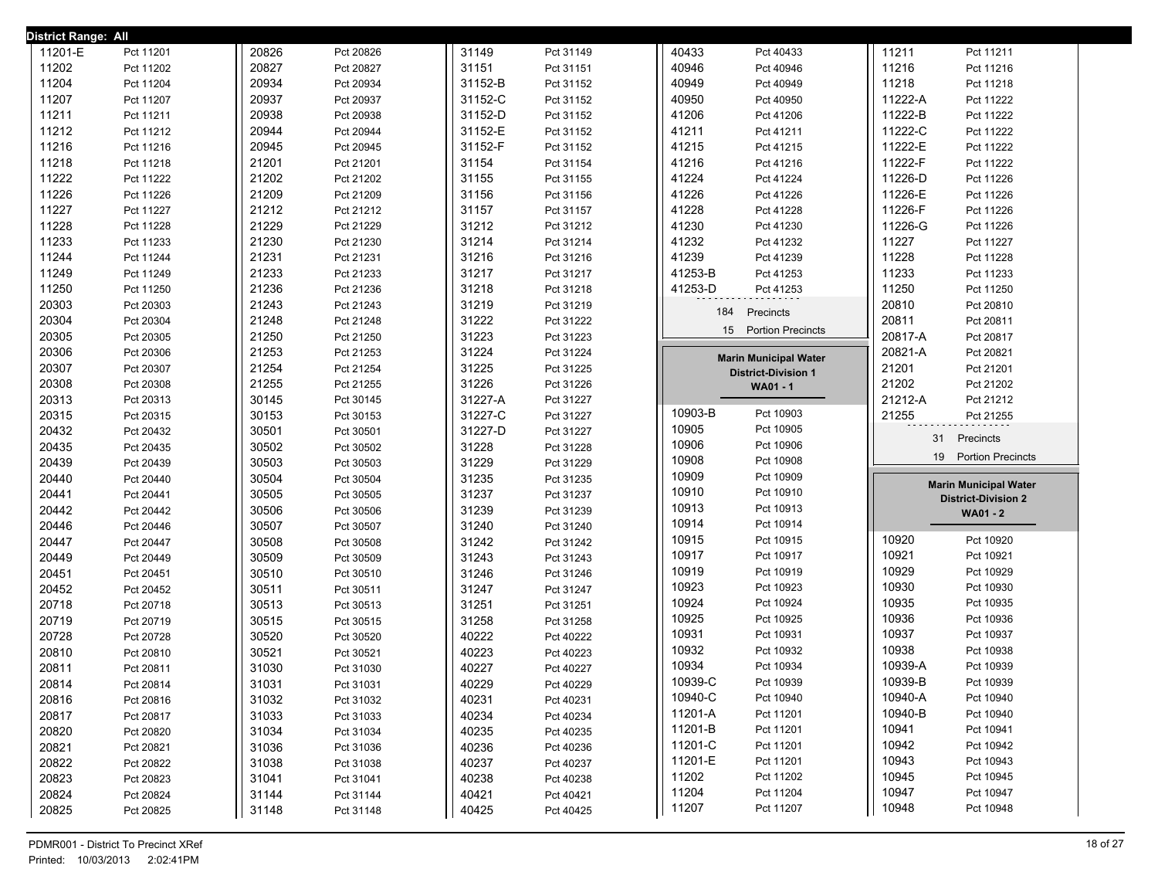| District Range: All |                        |                |                        |                |                        |                                          |                                                            |
|---------------------|------------------------|----------------|------------------------|----------------|------------------------|------------------------------------------|------------------------------------------------------------|
| 11201-E             | Pct 11201              | 20826          | Pct 20826              | 31149          | Pct 31149              | 40433<br>Pct 40433                       | 11211<br>Pct 11211                                         |
| 11202               | Pct 11202              | 20827          | Pct 20827              | 31151          | Pct 31151              | 40946<br>Pct 40946                       | 11216<br>Pct 11216                                         |
| 11204               | Pct 11204              | 20934          | Pct 20934              | 31152-B        | Pct 31152              | 40949<br>Pct 40949                       | 11218<br>Pct 11218                                         |
| 11207               | Pct 11207              | 20937          | Pct 20937              | 31152-C        | Pct 31152              | 40950<br>Pct 40950                       | 11222-A<br>Pct 11222                                       |
| 11211               | Pct 11211              | 20938          | Pct 20938              | 31152-D        | Pct 31152              | 41206<br>Pct 41206                       | 11222-B<br>Pct 11222                                       |
| 11212               | Pct 11212              | 20944          | Pct 20944              | 31152-E        | Pct 31152              | 41211<br>Pct 41211                       | 11222-C<br>Pct 11222                                       |
| 11216               | Pct 11216              | 20945          | Pct 20945              | 31152-F        | Pct 31152              | 41215<br>Pct 41215                       | 11222-E<br>Pct 11222                                       |
| 11218               | Pct 11218              | 21201          | Pct 21201              | 31154          | Pct 31154              | 41216<br>Pct 41216                       | 11222-F<br>Pct 11222                                       |
| 11222               | Pct 11222              | 21202          | Pct 21202              | 31155          | Pct 31155              | 41224<br>Pct 41224                       | 11226-D<br>Pct 11226                                       |
| 11226               | Pct 11226              | 21209          | Pct 21209              | 31156          | Pct 31156              | 41226<br>Pct 41226                       | 11226-E<br>Pct 11226                                       |
| 11227               | Pct 11227              | 21212          | Pct 21212              | 31157          | Pct 31157              | 41228<br>Pct 41228                       | 11226-F<br>Pct 11226                                       |
| 11228               | Pct 11228              | 21229          | Pct 21229              | 31212          | Pct 31212              | 41230<br>Pct 41230                       | 11226-G<br>Pct 11226                                       |
| 11233               | Pct 11233              | 21230          | Pct 21230              | 31214          | Pct 31214              | 41232<br>Pct 41232                       | 11227<br>Pct 11227                                         |
| 11244               | Pct 11244              | 21231          | Pct 21231              | 31216          | Pct 31216              | 41239<br>Pct 41239                       | 11228<br>Pct 11228                                         |
| 11249               | Pct 11249              | 21233          | Pct 21233              | 31217          | Pct 31217              | 41253-B<br>Pct 41253                     | 11233<br>Pct 11233                                         |
| 11250               | Pct 11250              | 21236          | Pct 21236              | 31218          | Pct 31218              | 41253-D<br>Pct 41253                     | 11250<br>Pct 11250                                         |
| 20303               | Pct 20303              | 21243          | Pct 21243              | 31219          | Pct 31219              | 184<br>Precincts                         | 20810<br>Pct 20810                                         |
| 20304               | Pct 20304              | 21248          | Pct 21248              | 31222          | Pct 31222              |                                          | 20811<br>Pct 20811                                         |
| 20305               | Pct 20305              | 21250          | Pct 21250              | 31223          | Pct 31223              | 15 Portion Precincts                     | 20817-A<br>Pct 20817                                       |
| 20306               | Pct 20306              | 21253          | Pct 21253              | 31224          | Pct 31224              | <b>Marin Municipal Water</b>             | 20821-A<br>Pct 20821                                       |
| 20307               | Pct 20307              | 21254          | Pct 21254              | 31225          | Pct 31225              | <b>District-Division 1</b>               | 21201<br>Pct 21201                                         |
| 20308               | Pct 20308              | 21255          | Pct 21255              | 31226          | Pct 31226              | WA01 - 1                                 | 21202<br>Pct 21202                                         |
| 20313               | Pct 20313              | 30145          | Pct 30145              | 31227-A        | Pct 31227              |                                          | 21212-A<br>Pct 21212                                       |
| 20315               | Pct 20315              | 30153          | Pct 30153              | 31227-C        | Pct 31227              | 10903-B<br>Pct 10903                     | 21255<br>Pct 21255                                         |
| 20432               | Pct 20432              | 30501          | Pct 30501              | 31227-D        | Pct 31227              | 10905<br>Pct 10905                       | 31                                                         |
|                     |                        |                |                        |                |                        |                                          |                                                            |
| 20435               | Pct 20435              | 30502          | Pct 30502              | 31228          | Pct 31228              | 10906<br>Pct 10906                       | Precincts                                                  |
| 20439               | Pct 20439              | 30503          | Pct 30503              | 31229          | Pct 31229              | 10908<br>Pct 10908                       | 19<br><b>Portion Precincts</b>                             |
| 20440               | Pct 20440              | 30504          | Pct 30504              | 31235          | Pct 31235              | 10909<br>Pct 10909                       |                                                            |
| 20441               | Pct 20441              | 30505          | Pct 30505              | 31237          | Pct 31237              | 10910<br>Pct 10910                       | <b>Marin Municipal Water</b><br><b>District-Division 2</b> |
| 20442               | Pct 20442              | 30506          | Pct 30506              | 31239          | Pct 31239              | 10913<br>Pct 10913                       | <b>WA01 - 2</b>                                            |
| 20446               | Pct 20446              | 30507          | Pct 30507              | 31240          | Pct 31240              | 10914<br>Pct 10914                       |                                                            |
| 20447               | Pct 20447              | 30508          | Pct 30508              | 31242          | Pct 31242              | 10915<br>Pct 10915                       | 10920<br>Pct 10920                                         |
| 20449               | Pct 20449              | 30509          | Pct 30509              | 31243          | Pct 31243              | 10917<br>Pct 10917                       | 10921<br>Pct 10921                                         |
| 20451               | Pct 20451              | 30510          | Pct 30510              | 31246          | Pct 31246              | 10919<br>Pct 10919                       | 10929<br>Pct 10929                                         |
| 20452               | Pct 20452              | 30511          | Pct 30511              | 31247          | Pct 31247              | 10923<br>Pct 10923                       | 10930<br>Pct 10930                                         |
| 20718               | Pct 20718              | 30513          | Pct 30513              | 31251          | Pct 31251              | 10924<br>Pct 10924                       | 10935<br>Pct 10935                                         |
| 20719               | Pct 20719              | 30515          | Pct 30515              | 31258          | Pct 31258              | 10925<br>Pct 10925                       | 10936<br>Pct 10936                                         |
| 20728               | Pct 20728              | 30520          | Pct 30520              | 40222          | Pct 40222              | 10931<br>Pct 10931                       | 10937<br>Pct 10937                                         |
| 20810               | Pct 20810              | 30521          | Pct 30521              | 40223          | Pct 40223              | 10932<br>Pct 10932                       | 10938<br>Pct 10938                                         |
| 20811               | Pct 20811              | 31030          | Pct 31030              | 40227          | Pct 40227              | 10934<br>Pct 10934                       | 10939-A<br>Pct 10939                                       |
| 20814               | Pct 20814              | 31031          | Pct 31031              | 40229          | Pct 40229              | 10939-C<br>Pct 10939                     | 10939-B<br>Pct 10939                                       |
| 20816               | Pct 20816              | 31032          | Pct 31032              | 40231          | Pct 40231              | 10940-C<br>Pct 10940                     | 10940-A<br>Pct 10940                                       |
| 20817               | Pct 20817              | 31033          | Pct 31033              | 40234          | Pct 40234              | 11201-A<br>Pct 11201                     | 10940-B<br>Pct 10940                                       |
| 20820               | Pct 20820              | 31034          | Pct 31034              | 40235          | Pct 40235              | 11201-B<br>Pct 11201                     | 10941<br>Pct 10941                                         |
| 20821               | Pct 20821              | 31036          | Pct 31036              | 40236          | Pct 40236              | 11201-C<br>Pct 11201                     | 10942<br>Pct 10942                                         |
| 20822               | Pct 20822              | 31038          | Pct 31038              | 40237          | Pct 40237              | 11201-E<br>Pct 11201                     | 10943<br>Pct 10943                                         |
| 20823               | Pct 20823              | 31041          | Pct 31041              | 40238          | Pct 40238              | 11202<br>Pct 11202                       | 10945<br>Pct 10945                                         |
| 20824<br>20825      | Pct 20824<br>Pct 20825 | 31144<br>31148 | Pct 31144<br>Pct 31148 | 40421<br>40425 | Pct 40421<br>Pct 40425 | 11204<br>Pct 11204<br>11207<br>Pct 11207 | 10947<br>Pct 10947<br>10948<br>Pct 10948                   |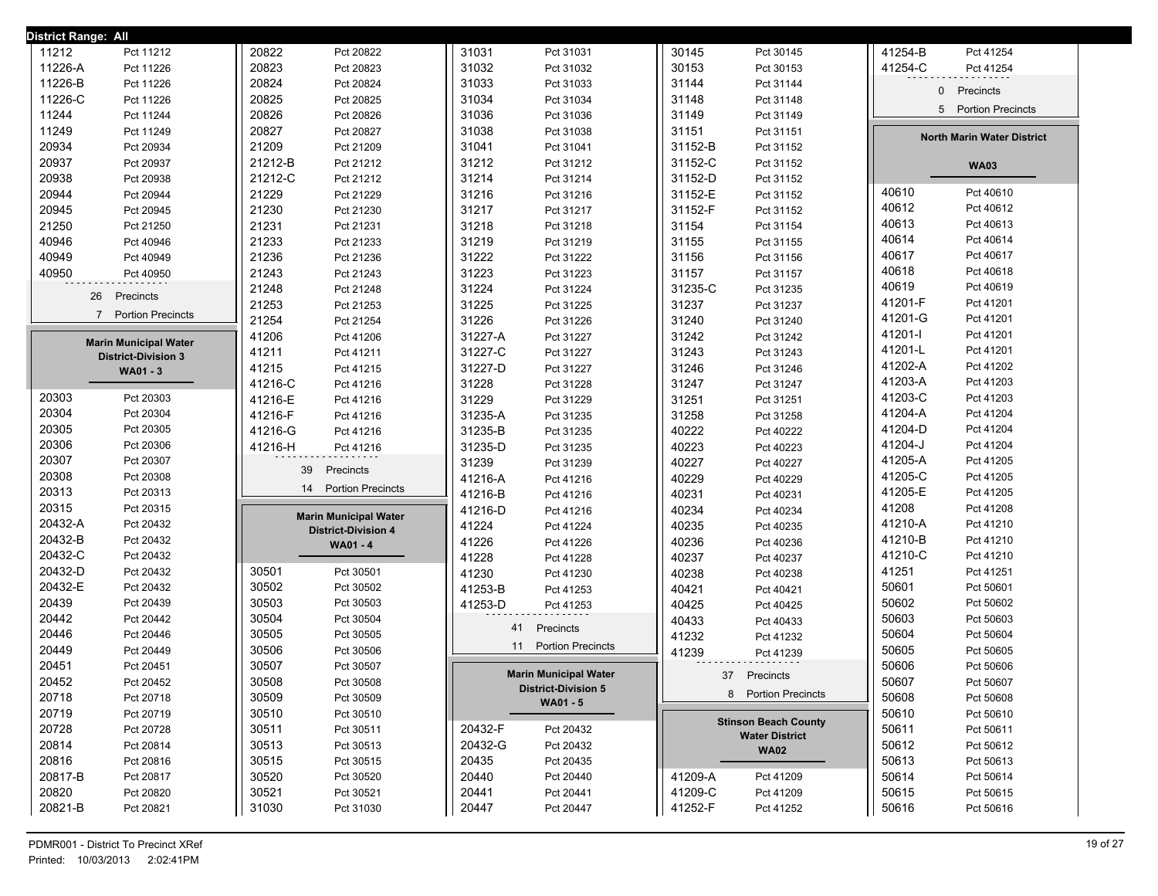| District Range: All          |                              |                              |                             |                                   |
|------------------------------|------------------------------|------------------------------|-----------------------------|-----------------------------------|
| 11212                        | 20822                        | 31031                        | 30145                       | 41254-B                           |
| Pct 11212                    | Pct 20822                    | Pct 31031                    | Pct 30145                   | Pct 41254                         |
| 11226-A                      | 20823                        | 31032                        | 30153                       | 41254-C                           |
| Pct 11226                    | Pct 20823                    | Pct 31032                    | Pct 30153                   | Pct 41254                         |
| 11226-B                      | 20824                        | 31033                        | 31144                       | 0                                 |
| Pct 11226                    | Pct 20824                    | Pct 31033                    | Pct 31144                   |                                   |
| 11226-C                      | 20825                        | 31034                        | 31148                       | Precincts                         |
| Pct 11226                    | Pct 20825                    | Pct 31034                    | Pct 31148                   |                                   |
| 11244                        | 20826                        | 31036                        | 31149                       | 5 Portion Precincts               |
| Pct 11244                    | Pct 20826                    | Pct 31036                    | Pct 31149                   |                                   |
| 11249                        | 20827                        | 31038                        | 31151                       | <b>North Marin Water District</b> |
| Pct 11249                    | Pct 20827                    | Pct 31038                    | Pct 31151                   |                                   |
| 20934                        | 21209                        | 31041                        | 31152-B                     |                                   |
| Pct 20934                    | Pct 21209                    | Pct 31041                    | Pct 31152                   |                                   |
| 20937                        | 21212-B                      | 31212                        | 31152-C                     | <b>WA03</b>                       |
| Pct 20937                    | Pct 21212                    | Pct 31212                    | Pct 31152                   |                                   |
| 20938                        | 21212-C                      | 31214                        | 31152-D                     |                                   |
| Pct 20938                    | Pct 21212                    | Pct 31214                    | Pct 31152                   |                                   |
| 20944                        | 21229                        | 31216                        | 31152-E                     | 40610                             |
| Pct 20944                    | Pct 21229                    | Pct 31216                    | Pct 31152                   | Pct 40610                         |
| 20945                        | 21230                        | 31217                        | 31152-F                     | 40612                             |
| Pct 20945                    | Pct 21230                    | Pct 31217                    | Pct 31152                   | Pct 40612                         |
| 21250                        | 21231                        | 31218                        | 31154                       | 40613                             |
| Pct 21250                    | Pct 21231                    | Pct 31218                    | Pct 31154                   | Pct 40613                         |
| 40946                        | 21233                        | 31219                        | 31155                       | 40614                             |
| Pct 40946                    | Pct 21233                    | Pct 31219                    | Pct 31155                   | Pct 40614                         |
| 40949                        | 21236                        | 31222                        | 31156                       | 40617                             |
| Pct 40949                    | Pct 21236                    | Pct 31222                    | Pct 31156                   | Pct 40617                         |
| 40950                        | 21243                        | 31223                        | 31157                       | 40618                             |
| Pct 40950                    | Pct 21243                    | Pct 31223                    | Pct 31157                   | Pct 40618                         |
| 26                           | 21248                        | 31224                        | 31235-C                     | 40619                             |
|                              | Pct 21248                    | Pct 31224                    | Pct 31235                   | Pct 40619                         |
| Precincts                    | 21253                        | 31225                        | 31237                       | 41201-F                           |
|                              | Pct 21253                    | Pct 31225                    | Pct 31237                   | Pct 41201                         |
| $7^{\circ}$                  | 21254                        | 31226                        | 31240                       | 41201-G                           |
| <b>Portion Precincts</b>     | Pct 21254                    | Pct 31226                    | Pct 31240                   | Pct 41201                         |
| <b>Marin Municipal Water</b> | 41206                        | 31227-A                      | 31242                       | 41201-l                           |
|                              | Pct 41206                    | Pct 31227                    | Pct 31242                   | Pct 41201                         |
| <b>District-Division 3</b>   | 41211                        | 31227-C                      | 31243                       | 41201-L                           |
|                              | Pct 41211                    | Pct 31227                    | Pct 31243                   | Pct 41201                         |
| WA01 - 3                     | 41215                        | 31227-D                      | 31246                       | 41202-A                           |
|                              | Pct 41215                    | Pct 31227                    | Pct 31246                   | Pct 41202                         |
|                              | 41216-C                      | 31228                        | 31247                       | 41203-A                           |
|                              | Pct 41216                    | Pct 31228                    | Pct 31247                   | Pct 41203                         |
| 20303                        | 41216-E                      | 31229                        | 31251                       | 41203-C                           |
| Pct 20303                    | Pct 41216                    | Pct 31229                    | Pct 31251                   | Pct 41203                         |
| 20304                        | 41216-F                      | 31235-A                      | 31258                       | 41204-A                           |
| Pct 20304                    | Pct 41216                    | Pct 31235                    | Pct 31258                   | Pct 41204                         |
| 20305                        | 41216-G                      | 31235-B                      | 40222                       | 41204-D                           |
| Pct 20305                    | Pct 41216                    | Pct 31235                    | Pct 40222                   | Pct 41204                         |
| 20306                        | 41216-H                      | 31235-D                      | 40223                       | 41204-J                           |
| Pct 20306                    | Pct 41216                    | Pct 31235                    | Pct 40223                   | Pct 41204                         |
| 20307                        | Precincts                    | 31239                        | 40227                       | 41205-A                           |
| Pct 20307                    | 39                           | Pct 31239                    | Pct 40227                   | Pct 41205                         |
| 20308                        |                              | 41216-A                      | 40229                       | 41205-C                           |
| Pct 20308                    |                              | Pct 41216                    | Pct 40229                   | Pct 41205                         |
| 20313                        | 14                           | 41216-B                      | 40231                       | 41205-E                           |
| Pct 20313                    | <b>Portion Precincts</b>     | Pct 41216                    | Pct 40231                   | Pct 41205                         |
| 20315                        | <b>Marin Municipal Water</b> | 41216-D                      | 40234                       | 41208                             |
| Pct 20315                    |                              | Pct 41216                    | Pct 40234                   | Pct 41208                         |
| 20432-A                      | <b>District-Division 4</b>   | 41224                        | 40235                       | 41210-A                           |
| Pct 20432                    |                              | Pct 41224                    | Pct 40235                   | Pct 41210                         |
| 20432-B                      | WA01 - 4                     | 41226                        | 40236                       | 41210-B                           |
| Pct 20432                    |                              | Pct 41226                    | Pct 40236                   | Pct 41210                         |
| 20432-C                      |                              | 41228                        | 40237                       | 41210-C                           |
| Pct 20432                    |                              | Pct 41228                    | Pct 40237                   | Pct 41210                         |
| 20432-D                      | 30501                        | 41230                        | 40238                       | 41251                             |
| Pct 20432                    | Pct 30501                    | Pct 41230                    | Pct 40238                   | Pct 41251                         |
| 20432-E                      | 30502                        | 41253-B                      | 40421                       | 50601                             |
| Pct 20432                    | Pct 30502                    | Pct 41253                    | Pct 40421                   | Pct 50601                         |
| 20439                        | 30503                        | 41253-D                      | 40425                       | 50602                             |
| Pct 20439                    | Pct 30503                    | Pct 41253                    | Pct 40425                   | Pct 50602                         |
| 20442                        | 30504                        | Precincts                    | 40433                       | 50603                             |
| Pct 20442                    | Pct 30504                    | 41                           | Pct 40433                   | Pct 50603                         |
| 20446                        | 30505                        |                              | 41232                       | 50604                             |
| Pct 20446                    | Pct 30505                    |                              | Pct 41232                   | Pct 50604                         |
| 20449                        | 30506                        | <b>Portion Precincts</b>     | 41239                       | 50605                             |
| Pct 20449                    | Pct 30506                    | 11                           | Pct 41239                   | Pct 50605                         |
| 20451<br>Pct 20451           | 30507<br>Pct 30507           | <b>Marin Municipal Water</b> |                             | 50606<br>Pct 50606                |
| 20452<br>Pct 20452           | 30508<br>Pct 30508           | <b>District-Division 5</b>   | 37 Precincts                | 50607<br>Pct 50607                |
| 20718<br>Pct 20718           | 30509<br>Pct 30509           | WA01 - 5                     | 8 Portion Precincts         | 50608<br>Pct 50608                |
| 20719<br>Pct 20719           | 30510<br>Pct 30510           |                              | <b>Stinson Beach County</b> | 50610<br>Pct 50610                |
| 20728                        | 30511                        | 20432-F                      | <b>Water District</b>       | 50611                             |
| Pct 20728                    | Pct 30511                    | Pct 20432                    |                             | Pct 50611                         |
| 20814                        | 30513                        | 20432-G                      | <b>WA02</b>                 | 50612                             |
| Pct 20814                    | Pct 30513                    | Pct 20432                    |                             | Pct 50612                         |
| 20816                        | 30515                        | 20435                        |                             | 50613                             |
| Pct 20816                    | Pct 30515                    | Pct 20435                    |                             | Pct 50613                         |
| 20817-B                      | 30520                        | 20440                        | 41209-A                     | 50614                             |
| Pct 20817                    | Pct 30520                    | Pct 20440                    | Pct 41209                   | Pct 50614                         |
| 20820                        | 30521                        | 20441                        | 41209-C                     | 50615                             |
| Pct 20820                    | Pct 30521                    | Pct 20441                    | Pct 41209                   | Pct 50615                         |
| 20821-B                      | 31030                        | 20447                        | 41252-F                     | 50616                             |
| Pct 20821                    | Pct 31030                    | Pct 20447                    | Pct 41252                   | Pct 50616                         |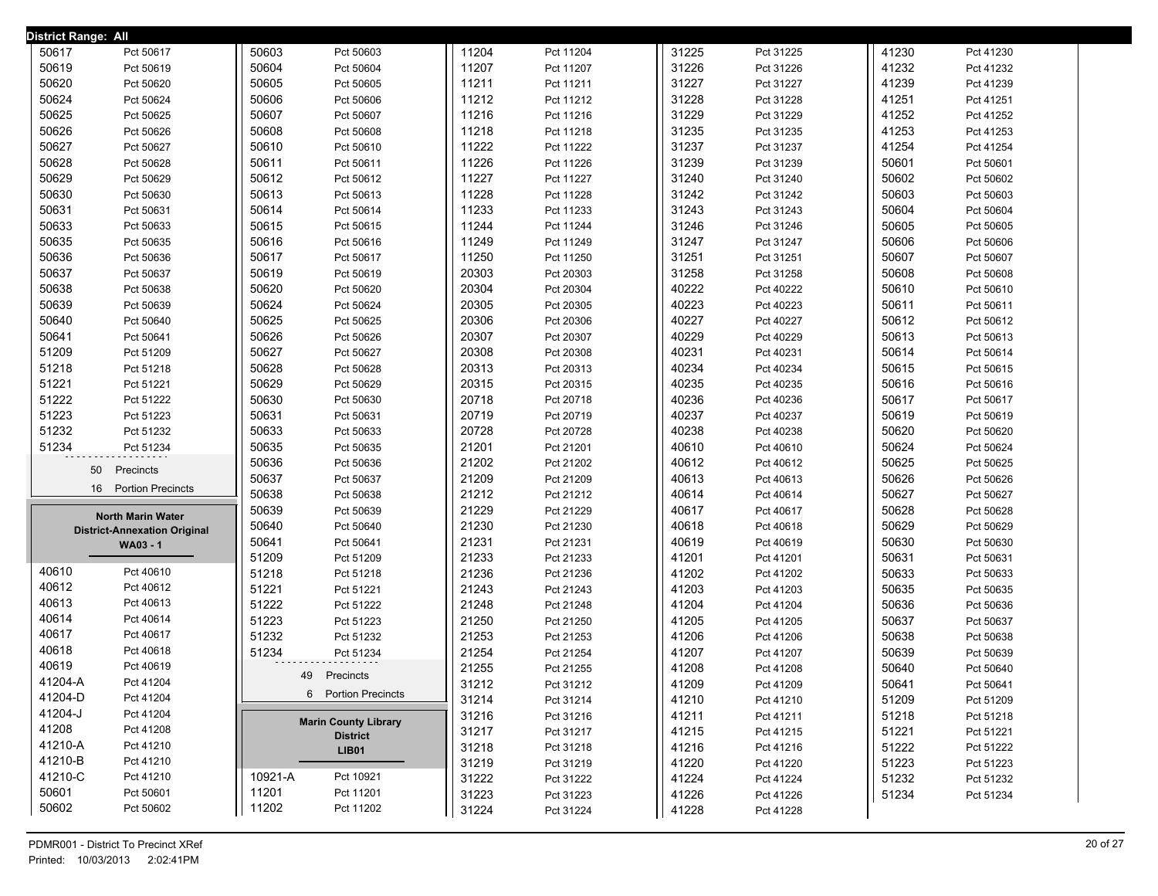| <b>District Range: All</b>          |                             |       |           |       |           |       |           |  |
|-------------------------------------|-----------------------------|-------|-----------|-------|-----------|-------|-----------|--|
| 50617<br>Pct 50617                  | 50603<br>Pct 50603          | 11204 | Pct 11204 | 31225 | Pct 31225 | 41230 | Pct 41230 |  |
| 50619<br>Pct 50619                  | 50604<br>Pct 50604          | 11207 | Pct 11207 | 31226 | Pct 31226 | 41232 | Pct 41232 |  |
| 50620<br>Pct 50620                  | 50605<br>Pct 50605          | 11211 | Pct 11211 | 31227 | Pct 31227 | 41239 | Pct 41239 |  |
| 50624<br>Pct 50624                  | 50606<br>Pct 50606          | 11212 | Pct 11212 | 31228 | Pct 31228 | 41251 | Pct 41251 |  |
| 50625<br>Pct 50625                  | 50607<br>Pct 50607          | 11216 | Pct 11216 | 31229 | Pct 31229 | 41252 | Pct 41252 |  |
| 50626<br>Pct 50626                  | 50608<br>Pct 50608          | 11218 | Pct 11218 | 31235 | Pct 31235 | 41253 | Pct 41253 |  |
| 50627<br>Pct 50627                  | 50610<br>Pct 50610          | 11222 | Pct 11222 | 31237 | Pct 31237 | 41254 | Pct 41254 |  |
| 50628<br>Pct 50628                  | 50611<br>Pct 50611          | 11226 | Pct 11226 | 31239 | Pct 31239 | 50601 | Pct 50601 |  |
| 50629<br>Pct 50629                  | 50612<br>Pct 50612          | 11227 | Pct 11227 | 31240 | Pct 31240 | 50602 | Pct 50602 |  |
| 50630<br>Pct 50630                  | 50613<br>Pct 50613          | 11228 | Pct 11228 | 31242 | Pct 31242 | 50603 | Pct 50603 |  |
| 50631<br>Pct 50631                  | 50614<br>Pct 50614          | 11233 | Pct 11233 | 31243 | Pct 31243 | 50604 | Pct 50604 |  |
| 50633<br>Pct 50633                  | 50615<br>Pct 50615          | 11244 | Pct 11244 | 31246 | Pct 31246 | 50605 | Pct 50605 |  |
| 50635<br>Pct 50635                  | 50616<br>Pct 50616          | 11249 | Pct 11249 | 31247 | Pct 31247 | 50606 | Pct 50606 |  |
| 50636<br>Pct 50636                  | 50617<br>Pct 50617          | 11250 | Pct 11250 | 31251 | Pct 31251 | 50607 | Pct 50607 |  |
| 50637<br>Pct 50637                  | 50619<br>Pct 50619          | 20303 | Pct 20303 | 31258 | Pct 31258 | 50608 | Pct 50608 |  |
| 50638<br>Pct 50638                  | 50620<br>Pct 50620          | 20304 | Pct 20304 | 40222 | Pct 40222 | 50610 | Pct 50610 |  |
| 50639<br>Pct 50639                  | 50624<br>Pct 50624          | 20305 | Pct 20305 | 40223 | Pct 40223 | 50611 | Pct 50611 |  |
| 50640<br>Pct 50640                  | 50625<br>Pct 50625          | 20306 | Pct 20306 | 40227 | Pct 40227 | 50612 | Pct 50612 |  |
| 50641<br>Pct 50641                  | 50626<br>Pct 50626          | 20307 | Pct 20307 | 40229 | Pct 40229 | 50613 | Pct 50613 |  |
| 51209<br>Pct 51209                  | 50627<br>Pct 50627          | 20308 | Pct 20308 | 40231 | Pct 40231 | 50614 | Pct 50614 |  |
| 51218<br>Pct 51218                  | 50628<br>Pct 50628          | 20313 | Pct 20313 | 40234 | Pct 40234 | 50615 | Pct 50615 |  |
| 51221<br>Pct 51221                  | 50629<br>Pct 50629          | 20315 | Pct 20315 | 40235 | Pct 40235 | 50616 | Pct 50616 |  |
| 51222<br>Pct 51222                  | 50630<br>Pct 50630          | 20718 | Pct 20718 | 40236 | Pct 40236 | 50617 | Pct 50617 |  |
| 51223<br>Pct 51223                  | 50631<br>Pct 50631          | 20719 | Pct 20719 | 40237 | Pct 40237 | 50619 | Pct 50619 |  |
| 51232<br>Pct 51232                  | 50633<br>Pct 50633          | 20728 | Pct 20728 | 40238 | Pct 40238 | 50620 | Pct 50620 |  |
| 51234<br>Pct 51234                  | 50635<br>Pct 50635          | 21201 | Pct 21201 | 40610 | Pct 40610 | 50624 | Pct 50624 |  |
| Precincts<br>50                     | 50636<br>Pct 50636          | 21202 | Pct 21202 | 40612 | Pct 40612 | 50625 | Pct 50625 |  |
| <b>Portion Precincts</b>            | 50637<br>Pct 50637          | 21209 | Pct 21209 | 40613 | Pct 40613 | 50626 | Pct 50626 |  |
| 16                                  | 50638<br>Pct 50638          | 21212 | Pct 21212 | 40614 | Pct 40614 | 50627 | Pct 50627 |  |
| North Marin Water                   | 50639<br>Pct 50639          | 21229 | Pct 21229 | 40617 | Pct 40617 | 50628 | Pct 50628 |  |
| <b>District-Annexation Original</b> | 50640<br>Pct 50640          | 21230 | Pct 21230 | 40618 | Pct 40618 | 50629 | Pct 50629 |  |
| <b>WA03 - 1</b>                     | 50641<br>Pct 50641          | 21231 | Pct 21231 | 40619 | Pct 40619 | 50630 | Pct 50630 |  |
|                                     | 51209<br>Pct 51209          | 21233 | Pct 21233 | 41201 | Pct 41201 | 50631 | Pct 50631 |  |
| 40610<br>Pct 40610                  | 51218<br>Pct 51218          | 21236 | Pct 21236 | 41202 | Pct 41202 | 50633 | Pct 50633 |  |
| 40612<br>Pct 40612                  | 51221<br>Pct 51221          | 21243 | Pct 21243 | 41203 | Pct 41203 | 50635 | Pct 50635 |  |
| 40613<br>Pct 40613                  | 51222<br>Pct 51222          | 21248 | Pct 21248 | 41204 | Pct 41204 | 50636 | Pct 50636 |  |
| 40614<br>Pct 40614                  | 51223<br>Pct 51223          | 21250 | Pct 21250 | 41205 | Pct 41205 | 50637 | Pct 50637 |  |
| 40617<br>Pct 40617                  | 51232<br>Pct 51232          | 21253 | Pct 21253 | 41206 | Pct 41206 | 50638 | Pct 50638 |  |
| 40618<br>Pct 40618                  | 51234<br>Pct 51234          | 21254 | Pct 21254 | 41207 | Pct 41207 | 50639 | Pct 50639 |  |
| 40619<br>Pct 40619                  | 49 Precincts                | 21255 | Pct 21255 | 41208 | Pct 41208 | 50640 | Pct 50640 |  |
| 41204-A<br>Pct 41204                | 6 Portion Precincts         | 31212 | Pct 31212 | 41209 | Pct 41209 | 50641 | Pct 50641 |  |
| 41204-D<br>Pct 41204                |                             | 31214 | Pct 31214 | 41210 | Pct 41210 | 51209 | Pct 51209 |  |
| 41204-J<br>Pct 41204                | <b>Marin County Library</b> | 31216 | Pct 31216 | 41211 | Pct 41211 | 51218 | Pct 51218 |  |
| 41208<br>Pct 41208                  | <b>District</b>             | 31217 | Pct 31217 | 41215 | Pct 41215 | 51221 | Pct 51221 |  |
| 41210-A<br>Pct 41210                | <b>LIB01</b>                | 31218 | Pct 31218 | 41216 | Pct 41216 | 51222 | Pct 51222 |  |
| 41210-B<br>Pct 41210                |                             | 31219 | Pct 31219 | 41220 | Pct 41220 | 51223 | Pct 51223 |  |
| 41210-C<br>Pct 41210                | 10921-A<br>Pct 10921        | 31222 | Pct 31222 | 41224 | Pct 41224 | 51232 | Pct 51232 |  |
| 50601<br>Pct 50601                  | 11201<br>Pct 11201          | 31223 | Pct 31223 | 41226 | Pct 41226 | 51234 | Pct 51234 |  |
| 50602<br>Pct 50602                  | 11202<br>Pct 11202          | 31224 | Pct 31224 | 41228 | Pct 41228 |       |           |  |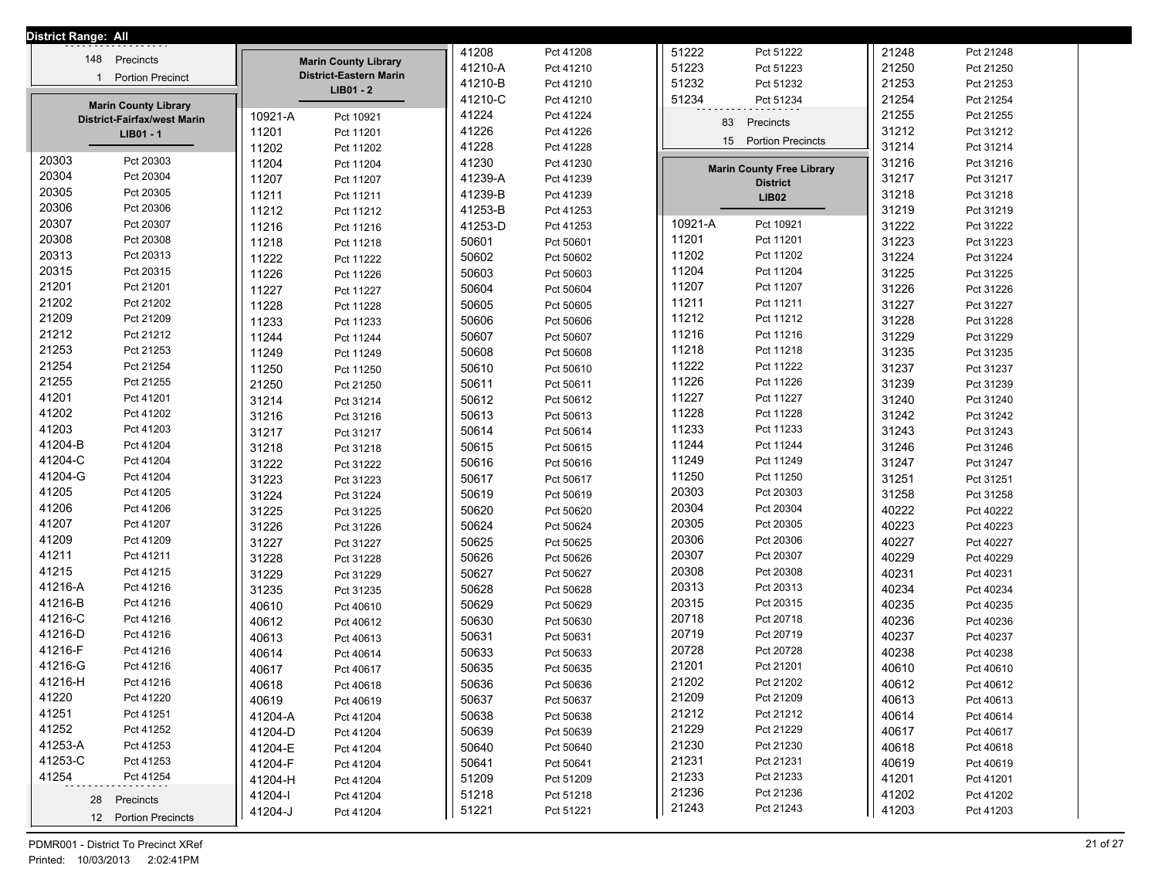| <b>District Range: All</b> |                                    |         |                               |         |           |         |                                  |       |           |
|----------------------------|------------------------------------|---------|-------------------------------|---------|-----------|---------|----------------------------------|-------|-----------|
| 148                        | Precincts                          |         | <b>Marin County Library</b>   | 41208   | Pct 41208 | 51222   | Pct 51222                        | 21248 | Pct 21248 |
| $\mathbf{1}$               | <b>Portion Precinct</b>            |         | <b>District-Eastern Marin</b> | 41210-A | Pct 41210 | 51223   | Pct 51223                        | 21250 | Pct 21250 |
|                            |                                    |         | $LIB01 - 2$                   | 41210-B | Pct 41210 | 51232   | Pct 51232                        | 21253 | Pct 21253 |
|                            | <b>Marin County Library</b>        |         |                               | 41210-C | Pct 41210 | 51234   | Pct 51234                        | 21254 | Pct 21254 |
|                            | <b>District-Fairfax/west Marin</b> | 10921-A | Pct 10921                     | 41224   | Pct 41224 | 83      | Precincts                        | 21255 | Pct 21255 |
|                            | LIB01 - 1                          | 11201   | Pct 11201                     | 41226   | Pct 41226 | 15      | <b>Portion Precincts</b>         | 31212 | Pct 31212 |
|                            |                                    | 11202   | Pct 11202                     | 41228   | Pct 41228 |         |                                  | 31214 | Pct 31214 |
| 20303                      | Pct 20303                          | 11204   | Pct 11204                     | 41230   | Pct 41230 |         | <b>Marin County Free Library</b> | 31216 | Pct 31216 |
| 20304                      | Pct 20304                          | 11207   | Pct 11207                     | 41239-A | Pct 41239 |         | <b>District</b>                  | 31217 | Pct 31217 |
| 20305                      | Pct 20305                          | 11211   | Pct 11211                     | 41239-B | Pct 41239 |         | <b>LIB02</b>                     | 31218 | Pct 31218 |
| 20306                      | Pct 20306                          | 11212   | Pct 11212                     | 41253-B | Pct 41253 |         |                                  | 31219 | Pct 31219 |
| 20307                      | Pct 20307                          | 11216   | Pct 11216                     | 41253-D | Pct 41253 | 10921-A | Pct 10921                        | 31222 | Pct 31222 |
| 20308                      | Pct 20308                          | 11218   | Pct 11218                     | 50601   | Pct 50601 | 11201   | Pct 11201                        | 31223 | Pct 31223 |
| 20313                      | Pct 20313                          | 11222   | Pct 11222                     | 50602   | Pct 50602 | 11202   | Pct 11202                        | 31224 | Pct 31224 |
| 20315                      | Pct 20315                          | 11226   | Pct 11226                     | 50603   | Pct 50603 | 11204   | Pct 11204                        | 31225 | Pct 31225 |
| 21201                      | Pct 21201                          | 11227   | Pct 11227                     | 50604   | Pct 50604 | 11207   | Pct 11207                        | 31226 | Pct 31226 |
| 21202                      | Pct 21202                          | 11228   | Pct 11228                     | 50605   | Pct 50605 | 11211   | Pct 11211                        | 31227 | Pct 31227 |
| 21209                      | Pct 21209                          | 11233   | Pct 11233                     | 50606   | Pct 50606 | 11212   | Pct 11212                        | 31228 | Pct 31228 |
| 21212                      | Pct 21212                          | 11244   | Pct 11244                     | 50607   | Pct 50607 | 11216   | Pct 11216                        | 31229 | Pct 31229 |
| 21253                      | Pct 21253                          | 11249   | Pct 11249                     | 50608   | Pct 50608 | 11218   | Pct 11218                        | 31235 | Pct 31235 |
| 21254                      | Pct 21254                          | 11250   | Pct 11250                     | 50610   | Pct 50610 | 11222   | Pct 11222                        | 31237 | Pct 31237 |
| 21255                      | Pct 21255                          | 21250   | Pct 21250                     | 50611   | Pct 50611 | 11226   | Pct 11226                        | 31239 | Pct 31239 |
| 41201                      | Pct 41201                          | 31214   | Pct 31214                     | 50612   | Pct 50612 | 11227   | Pct 11227                        | 31240 | Pct 31240 |
| 41202                      | Pct 41202                          | 31216   | Pct 31216                     | 50613   | Pct 50613 | 11228   | Pct 11228                        | 31242 | Pct 31242 |
| 41203                      | Pct 41203                          | 31217   | Pct 31217                     | 50614   | Pct 50614 | 11233   | Pct 11233                        | 31243 | Pct 31243 |
| 41204-B                    | Pct 41204                          | 31218   | Pct 31218                     | 50615   | Pct 50615 | 11244   | Pct 11244                        | 31246 | Pct 31246 |
| 41204-C                    | Pct 41204                          | 31222   | Pct 31222                     | 50616   | Pct 50616 | 11249   | Pct 11249                        | 31247 | Pct 31247 |
| 41204-G                    | Pct 41204                          | 31223   | Pct 31223                     | 50617   | Pct 50617 | 11250   | Pct 11250                        | 31251 | Pct 31251 |
| 41205                      | Pct 41205                          | 31224   | Pct 31224                     | 50619   | Pct 50619 | 20303   | Pct 20303                        | 31258 | Pct 31258 |
| 41206                      | Pct 41206                          | 31225   | Pct 31225                     | 50620   | Pct 50620 | 20304   | Pct 20304                        | 40222 | Pct 40222 |
| 41207                      | Pct 41207                          | 31226   | Pct 31226                     | 50624   | Pct 50624 | 20305   | Pct 20305                        | 40223 | Pct 40223 |
| 41209                      | Pct 41209                          | 31227   | Pct 31227                     | 50625   | Pct 50625 | 20306   | Pct 20306                        | 40227 | Pct 40227 |
| 41211                      | Pct 41211                          | 31228   | Pct 31228                     | 50626   | Pct 50626 | 20307   | Pct 20307                        | 40229 | Pct 40229 |
| 41215                      | Pct 41215                          | 31229   | Pct 31229                     | 50627   | Pct 50627 | 20308   | Pct 20308                        | 40231 | Pct 40231 |
| 41216-A                    | Pct 41216                          | 31235   | Pct 31235                     | 50628   | Pct 50628 | 20313   | Pct 20313                        | 40234 | Pct 40234 |
| 41216-B                    | Pct 41216                          | 40610   | Pct 40610                     | 50629   | Pct 50629 | 20315   | Pct 20315                        | 40235 | Pct 40235 |
| 41216-C                    | Pct 41216                          | 40612   | Pct 40612                     | 50630   | Pct 50630 | 20718   | Pct 20718                        | 40236 | Pct 40236 |
| 41216-D                    | Pct 41216                          | 40613   | Pct 40613                     | 50631   | Pct 50631 | 20719   | Pct 20719                        | 40237 | Pct 40237 |
| 41216-F                    | Pct 41216                          | 40614   | Pct 40614                     | 50633   | Pct 50633 | 20728   | Pct 20728                        | 40238 | Pct 40238 |
| 41216-G                    | Pct 41216                          | 40617   | Pct 40617                     | 50635   | Pct 50635 | 21201   | Pct 21201                        | 40610 | Pct 40610 |
| 41216-H                    | Pct 41216                          | 40618   | Pct 40618                     | 50636   | Pct 50636 | 21202   | Pct 21202                        | 40612 | Pct 40612 |
| 41220                      | Pct 41220                          | 40619   | Pct 40619                     | 50637   | Pct 50637 | 21209   | Pct 21209                        | 40613 | Pct 40613 |
| 41251                      | Pct 41251                          | 41204-A | Pct 41204                     | 50638   | Pct 50638 | 21212   | Pct 21212                        | 40614 | Pct 40614 |
| 41252                      | Pct 41252                          | 41204-D | Pct 41204                     | 50639   | Pct 50639 | 21229   | Pct 21229                        | 40617 | Pct 40617 |
| 41253-A                    | Pct 41253                          | 41204-E | Pct 41204                     | 50640   | Pct 50640 | 21230   | Pct 21230                        | 40618 | Pct 40618 |
| 41253-C                    | Pct 41253                          | 41204-F | Pct 41204                     | 50641   | Pct 50641 | 21231   | Pct 21231                        | 40619 | Pct 40619 |
| 41254                      | Pct 41254                          | 41204-H | Pct 41204                     | 51209   | Pct 51209 | 21233   | Pct 21233                        | 41201 | Pct 41201 |
|                            | 28 Precincts                       | 41204-l | Pct 41204                     | 51218   | Pct 51218 | 21236   | Pct 21236                        | 41202 | Pct 41202 |
|                            | 12 Portion Precincts               | 41204-J | Pct 41204                     | 51221   | Pct 51221 | 21243   | Pct 21243                        | 41203 | Pct 41203 |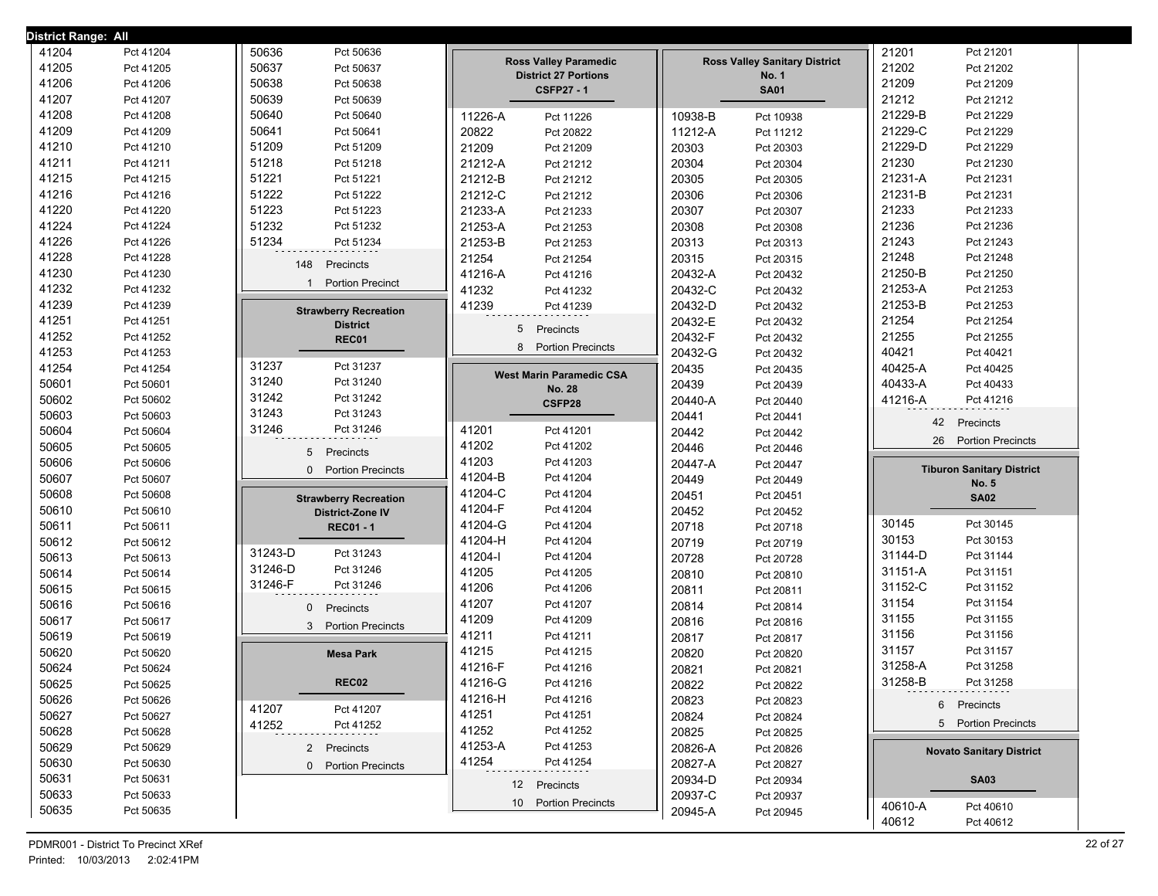| District Range: All |           |                                         |                                                  |                                      |                                            |
|---------------------|-----------|-----------------------------------------|--------------------------------------------------|--------------------------------------|--------------------------------------------|
| 41204               | Pct 41204 | 50636<br>Pct 50636                      |                                                  |                                      | 21201<br>Pct 21201                         |
| 41205               | Pct 41205 | 50637<br>Pct 50637                      | <b>Ross Valley Paramedic</b>                     | <b>Ross Valley Sanitary District</b> | 21202<br>Pct 21202                         |
| 41206               | Pct 41206 | 50638<br>Pct 50638                      | <b>District 27 Portions</b><br><b>CSFP27 - 1</b> | <b>No. 1</b><br><b>SA01</b>          | 21209<br>Pct 21209                         |
| 41207               | Pct 41207 | 50639<br>Pct 50639                      |                                                  |                                      | 21212<br>Pct 21212                         |
| 41208               | Pct 41208 | 50640<br>Pct 50640                      | 11226-A<br>Pct 11226                             | 10938-B<br>Pct 10938                 | 21229-B<br>Pct 21229                       |
| 41209               | Pct 41209 | 50641<br>Pct 50641                      | 20822<br>Pct 20822                               | 11212-A<br>Pct 11212                 | 21229-C<br>Pct 21229                       |
| 41210               | Pct 41210 | 51209<br>Pct 51209                      | 21209<br>Pct 21209                               | 20303<br>Pct 20303                   | 21229-D<br>Pct 21229                       |
| 41211               | Pct 41211 | 51218<br>Pct 51218                      | 21212-A<br>Pct 21212                             | 20304<br>Pct 20304                   | 21230<br>Pct 21230                         |
| 41215               | Pct 41215 | 51221<br>Pct 51221                      | 21212-B<br>Pct 21212                             | 20305<br>Pct 20305                   | 21231-A<br>Pct 21231                       |
| 41216               | Pct 41216 | 51222<br>Pct 51222                      | 21212-C<br>Pct 21212                             | 20306<br>Pct 20306                   | 21231-B<br>Pct 21231                       |
| 41220               | Pct 41220 | 51223<br>Pct 51223                      | 21233-A<br>Pct 21233                             | 20307<br>Pct 20307                   | 21233<br>Pct 21233                         |
| 41224               | Pct 41224 | 51232<br>Pct 51232                      | 21253-A<br>Pct 21253                             | 20308<br>Pct 20308                   | 21236<br>Pct 21236                         |
| 41226               | Pct 41226 | 51234<br>Pct 51234                      | 21253-B<br>Pct 21253                             | 20313<br>Pct 20313                   | 21243<br>Pct 21243                         |
| 41228               | Pct 41228 |                                         | 21254<br>Pct 21254                               | 20315<br>Pct 20315                   | 21248<br>Pct 21248                         |
| 41230               | Pct 41230 | 148<br>Precincts                        | 41216-A<br>Pct 41216                             | 20432-A<br>Pct 20432                 | 21250-B<br>Pct 21250                       |
| 41232               | Pct 41232 | <b>Portion Precinct</b><br>$\mathbf{1}$ | 41232<br>Pct 41232                               | 20432-C<br>Pct 20432                 | 21253-A<br>Pct 21253                       |
| 41239               | Pct 41239 | <b>Strawberry Recreation</b>            | 41239<br>Pct 41239                               | 20432-D<br>Pct 20432                 | 21253-B<br>Pct 21253                       |
| 41251               | Pct 41251 | <b>District</b>                         |                                                  | 20432-E<br>Pct 20432                 | 21254<br>Pct 21254                         |
| 41252               | Pct 41252 | REC01                                   | Precincts<br>5                                   | 20432-F<br>Pct 20432                 | 21255<br>Pct 21255                         |
| 41253               | Pct 41253 |                                         | 8<br><b>Portion Precincts</b>                    | 20432-G<br>Pct 20432                 | 40421<br>Pct 40421                         |
| 41254               | Pct 41254 | 31237<br>Pct 31237                      | <b>West Marin Paramedic CSA</b>                  | 20435<br>Pct 20435                   | 40425-A<br>Pct 40425                       |
| 50601               | Pct 50601 | 31240<br>Pct 31240                      | No. 28                                           | 20439<br>Pct 20439                   | 40433-A<br>Pct 40433                       |
| 50602               | Pct 50602 | 31242<br>Pct 31242                      | CSFP28                                           | 20440-A<br>Pct 20440                 | 41216-A<br>Pct 41216                       |
| 50603               | Pct 50603 | 31243<br>Pct 31243                      |                                                  | 20441<br>Pct 20441                   | 42<br>Precincts                            |
| 50604               | Pct 50604 | 31246<br>Pct 31246                      | 41201<br>Pct 41201                               | 20442<br>Pct 20442                   |                                            |
| 50605               | Pct 50605 | 5<br>Precincts                          | 41202<br>Pct 41202                               | 20446<br>Pct 20446                   | <b>Portion Precincts</b><br>26             |
| 50606               | Pct 50606 | $\Omega$<br><b>Portion Precincts</b>    | 41203<br>Pct 41203                               | 20447-A<br>Pct 20447                 | <b>Tiburon Sanitary District</b>           |
| 50607               | Pct 50607 |                                         | 41204-B<br>Pct 41204                             | 20449<br>Pct 20449                   | <b>No. 5</b>                               |
| 50608               | Pct 50608 | <b>Strawberry Recreation</b>            | 41204-C<br>Pct 41204                             | 20451<br>Pct 20451                   | <b>SA02</b>                                |
| 50610               | Pct 50610 | District-Zone IV                        | 41204-F<br>Pct 41204                             | 20452<br>Pct 20452                   |                                            |
| 50611               | Pct 50611 | <b>REC01 - 1</b>                        | 41204-G<br>Pct 41204                             | 20718<br>Pct 20718                   | 30145<br>Pct 30145                         |
| 50612               | Pct 50612 |                                         | 41204-H<br>Pct 41204                             | 20719<br>Pct 20719                   | 30153<br>Pct 30153                         |
| 50613               | Pct 50613 | 31243-D<br>Pct 31243                    | 41204-l<br>Pct 41204                             | 20728<br>Pct 20728                   | 31144-D<br>Pct 31144                       |
| 50614               | Pct 50614 | 31246-D<br>Pct 31246                    | 41205<br>Pct 41205                               | 20810<br>Pct 20810                   | 31151-A<br>Pct 31151                       |
| 50615               | Pct 50615 | 31246-F<br>Pct 31246                    | 41206<br>Pct 41206                               | 20811<br>Pct 20811                   | 31152-C<br>Pct 31152                       |
| 50616               | Pct 50616 | Precincts<br>$\mathbf{0}$               | 41207<br>Pct 41207                               | 20814<br>Pct 20814                   | 31154<br>Pct 31154                         |
| 50617               | Pct 50617 | <b>Portion Precincts</b><br>3           | 41209<br>Pct 41209                               | 20816<br>Pct 20816                   | 31155<br>Pct 31155                         |
| 50619               | Pct 50619 |                                         | 41211<br>Pct 41211                               | 20817<br>Pct 20817                   | 31156<br>Pct 31156                         |
| 50620               | Pct 50620 | <b>Mesa Park</b>                        | 41215<br>Pct 41215                               | 20820<br>Pct 20820                   | 31157<br>Pct 31157                         |
| 50624               | Pct 50624 |                                         | 41216-F<br>Pct 41216                             | 20821<br>Pct 20821                   | 31258-A<br>Pct 31258                       |
| 50625               | Pct 50625 | <b>REC02</b>                            | 41216-G<br>Pct 41216                             | 20822<br>Pct 20822                   | 31258-B<br>Pct 31258                       |
| 50626               | Pct 50626 | 41207                                   | 41216-H<br>Pct 41216                             | 20823<br>Pct 20823                   | 6 Precincts                                |
| 50627               | Pct 50627 | Pct 41207<br>41252                      | 41251<br>Pct 41251                               | 20824<br>Pct 20824                   | 5 Portion Precincts                        |
| 50628               | Pct 50628 | Pct 41252                               | 41252<br>Pct 41252                               | 20825<br>Pct 20825                   |                                            |
| 50629               | Pct 50629 | 2 Precincts                             | 41253-A<br>Pct 41253                             | 20826-A<br>Pct 20826                 | <b>Novato Sanitary District</b>            |
| 50630               | Pct 50630 | 0 Portion Precincts                     | 41254<br>Pct 41254                               | 20827-A<br>Pct 20827                 |                                            |
| 50631               | Pct 50631 |                                         | 12 Precincts                                     | 20934-D<br>Pct 20934                 | <b>SA03</b>                                |
| 50633               | Pct 50633 |                                         | 10 Portion Precincts                             | 20937-C<br>Pct 20937                 |                                            |
|                     |           |                                         |                                                  |                                      |                                            |
| 50635               | Pct 50635 |                                         |                                                  | 20945-A<br>Pct 20945                 | 40610-A<br>Pct 40610<br>40612<br>Pct 40612 |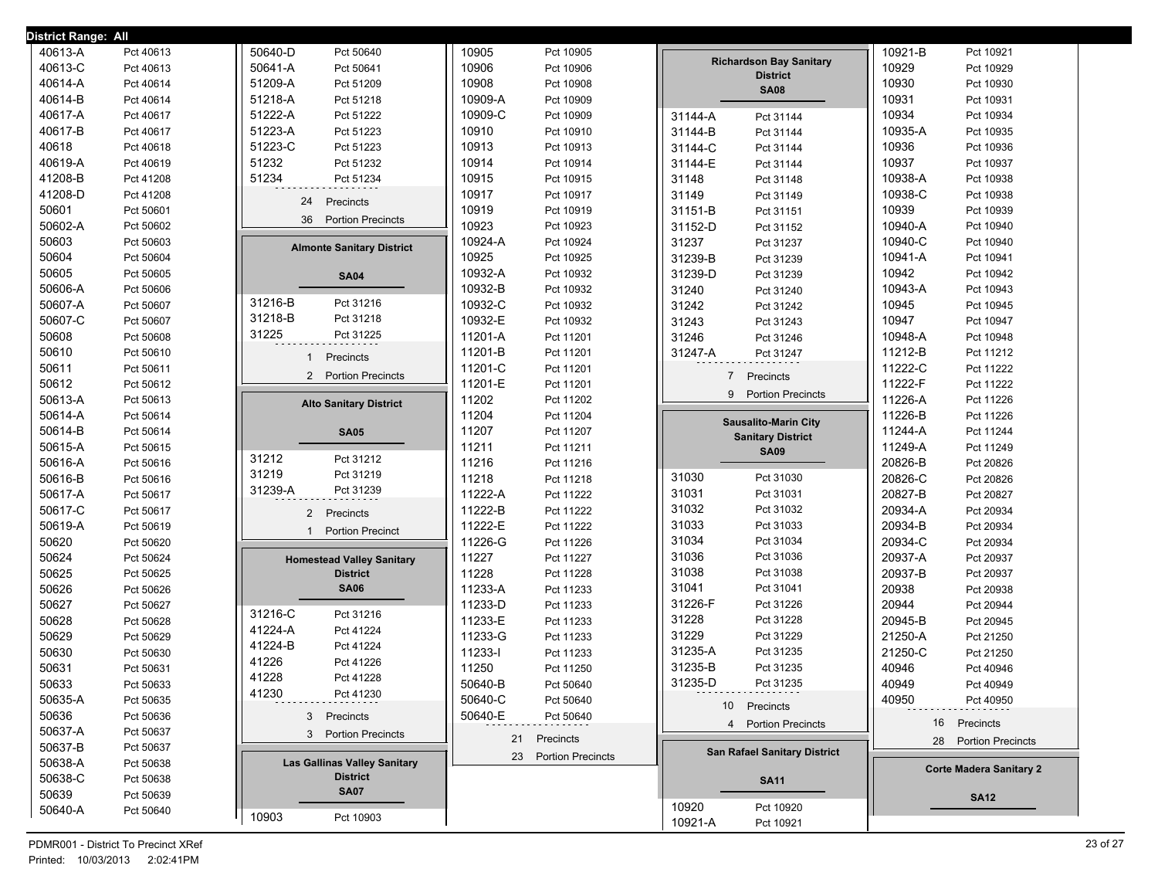| <b>District Range: All</b> |                        |                                     |                    |                        |                |                                                   |                    |                                |
|----------------------------|------------------------|-------------------------------------|--------------------|------------------------|----------------|---------------------------------------------------|--------------------|--------------------------------|
| 40613-A                    | Pct 40613              | 50640-D<br>Pct 50640                | 10905              | Pct 10905              |                |                                                   | 10921-B            | Pct 10921                      |
| 40613-C                    | Pct 40613              | 50641-A<br>Pct 50641                | 10906              | Pct 10906              |                | <b>Richardson Bay Sanitary</b><br><b>District</b> | 10929              | Pct 10929                      |
| 40614-A                    | Pct 40614              | 51209-A<br>Pct 51209                | 10908              | Pct 10908              |                | <b>SA08</b>                                       | 10930              | Pct 10930                      |
| 40614-B                    | Pct 40614              | 51218-A<br>Pct 51218                | 10909-A            | Pct 10909              |                |                                                   | 10931              | Pct 10931                      |
| 40617-A                    | Pct 40617              | 51222-A<br>Pct 51222                | 10909-C            | Pct 10909              | 31144-A        | Pct 31144                                         | 10934              | Pct 10934                      |
| 40617-B                    | Pct 40617              | 51223-A<br>Pct 51223                | 10910              | Pct 10910              | 31144-B        | Pct 31144                                         | 10935-A            | Pct 10935                      |
| 40618                      | Pct 40618              | 51223-C<br>Pct 51223                | 10913              | Pct 10913              | 31144-C        | Pct 31144                                         | 10936              | Pct 10936                      |
| 40619-A                    | Pct 40619              | 51232<br>Pct 51232                  | 10914              | Pct 10914              | 31144-E        | Pct 31144                                         | 10937              | Pct 10937                      |
| 41208-B                    | Pct 41208              | 51234<br>Pct 51234                  | 10915              | Pct 10915              | 31148          | Pct 31148                                         | 10938-A            | Pct 10938                      |
| 41208-D                    | Pct 41208              | 24<br>Precincts                     | 10917              | Pct 10917              | 31149          | Pct 31149                                         | 10938-C            | Pct 10938                      |
| 50601                      | Pct 50601              | 36<br><b>Portion Precincts</b>      | 10919              | Pct 10919              | 31151-B        | Pct 31151                                         | 10939              | Pct 10939                      |
| 50602-A                    | Pct 50602              |                                     | 10923              | Pct 10923              | 31152-D        | Pct 31152                                         | 10940-A            | Pct 10940                      |
| 50603                      | Pct 50603              | <b>Almonte Sanitary District</b>    | 10924-A            | Pct 10924              | 31237          | Pct 31237                                         | 10940-C            | Pct 10940                      |
| 50604                      | Pct 50604              |                                     | 10925              | Pct 10925              | 31239-B        | Pct 31239                                         | 10941-A            | Pct 10941                      |
| 50605                      | Pct 50605              | <b>SA04</b>                         | 10932-A            | Pct 10932              | 31239-D        | Pct 31239                                         | 10942              | Pct 10942                      |
| 50606-A                    | Pct 50606              |                                     | 10932-B            | Pct 10932              | 31240          | Pct 31240                                         | 10943-A            | Pct 10943                      |
| 50607-A                    | Pct 50607              | Pct 31216<br>31216-B                | 10932-C            | Pct 10932              | 31242          | Pct 31242                                         | 10945              | Pct 10945                      |
| 50607-C                    | Pct 50607              | 31218-B<br>Pct 31218                | 10932-E            | Pct 10932              | 31243          | Pct 31243                                         | 10947              | Pct 10947                      |
| 50608                      | Pct 50608              | 31225<br>Pct 31225                  | 11201-A            | Pct 11201              | 31246          | Pct 31246                                         | 10948-A            | Pct 10948                      |
| 50610                      | Pct 50610              | Precincts                           | 11201-B            | Pct 11201              | 31247-A        | Pct 31247                                         | 11212-B            | Pct 11212                      |
| 50611                      | Pct 50611              | 2 Portion Precincts                 | 11201-C            | Pct 11201              | $\overline{7}$ | Precincts                                         | 11222-C            | Pct 11222                      |
| 50612                      | Pct 50612              |                                     | 11201-E            | Pct 11201              | 9              | <b>Portion Precincts</b>                          | 11222-F            | Pct 11222                      |
| 50613-A                    | Pct 50613              | <b>Alto Sanitary District</b>       | 11202              | Pct 11202              |                |                                                   | 11226-A            | Pct 11226                      |
| 50614-A                    | Pct 50614              |                                     | 11204              | Pct 11204              |                | <b>Sausalito-Marin City</b>                       | 11226-B            | Pct 11226                      |
| 50614-B                    | Pct 50614              | <b>SA05</b>                         | 11207              | Pct 11207              |                | <b>Sanitary District</b>                          | 11244-A            | Pct 11244                      |
| 50615-A                    | Pct 50615              | Pct 31212<br>31212                  | 11211              | Pct 11211              |                | <b>SA09</b>                                       | 11249-A            | Pct 11249                      |
| 50616-A                    | Pct 50616              | 31219<br>Pct 31219                  | 11216              | Pct 11216              |                |                                                   | 20826-B            | Pct 20826                      |
| 50616-B                    | Pct 50616              | 31239-A<br>Pct 31239                | 11218              | Pct 11218              | 31030          | Pct 31030                                         | 20826-C            | Pct 20826                      |
| 50617-A                    | Pct 50617              |                                     | 11222-A            | Pct 11222              | 31031          | Pct 31031                                         | 20827-B            | Pct 20827                      |
| 50617-C                    | Pct 50617              | Precincts<br>$\overline{2}$         | 11222-B            | Pct 11222              | 31032          | Pct 31032                                         | 20934-A            | Pct 20934                      |
| 50619-A                    | Pct 50619              | <b>Portion Precinct</b>             | 11222-E            | Pct 11222              | 31033          | Pct 31033                                         | 20934-B            | Pct 20934                      |
| 50620                      | Pct 50620              |                                     | 11226-G            | Pct 11226              | 31034<br>31036 | Pct 31034                                         | 20934-C            | Pct 20934                      |
| 50624                      | Pct 50624              | <b>Homestead Valley Sanitary</b>    | 11227              | Pct 11227              | 31038          | Pct 31036<br>Pct 31038                            | 20937-A<br>20937-B | Pct 20937                      |
| 50625<br>50626             | Pct 50625              | <b>District</b><br><b>SA06</b>      | 11228              | Pct 11228              | 31041          | Pct 31041                                         | 20938              | Pct 20937                      |
| 50627                      | Pct 50626<br>Pct 50627 |                                     | 11233-A<br>11233-D | Pct 11233<br>Pct 11233 | 31226-F        | Pct 31226                                         | 20944              | Pct 20938                      |
| 50628                      | Pct 50628              | Pct 31216<br>31216-C                | 11233-E            | Pct 11233              | 31228          | Pct 31228                                         | 20945-B            | Pct 20944<br>Pct 20945         |
| 50629                      | Pct 50629              | 41224-A<br>Pct 41224                | 11233-G            | Pct 11233              | 31229          | Pct 31229                                         | 21250-A            | Pct 21250                      |
| 50630                      | Pct 50630              | 41224-B<br>Pct 41224                | 11233-l            | Pct 11233              | 31235-A        | Pct 31235                                         | 21250-C            | Pct 21250                      |
| 50631                      | Pct 50631              | 41226<br>Pct 41226                  | 11250              | Pct 11250              | 31235-B        | Pct 31235                                         | 40946              | Pct 40946                      |
| 50633                      | Pct 50633              | 41228<br>Pct 41228                  | 50640-B            | Pct 50640              | 31235-D        | Pct 31235                                         | 40949              | Pct 40949                      |
| 50635-A                    | Pct 50635              | 41230<br>Pct 41230                  | 50640-C            | Pct 50640              |                |                                                   | 40950              | Pct 40950                      |
| 50636                      |                        |                                     | 50640-E            | Pct 50640              |                | 10 Precincts                                      |                    |                                |
| 50637-A                    | Pct 50636<br>Pct 50637 | 3 Precincts                         |                    |                        |                | 4 Portion Precincts                               |                    | 16 Precincts                   |
| 50637-B                    |                        | 3 Portion Precincts                 |                    | 21 Precincts           |                |                                                   |                    | 28 Portion Precincts           |
| 50638-A                    | Pct 50637<br>Pct 50638 | <b>Las Gallinas Valley Sanitary</b> |                    | 23 Portion Precincts   |                | <b>San Rafael Sanitary District</b>               |                    |                                |
| 50638-C                    | Pct 50638              | <b>District</b>                     |                    |                        |                |                                                   |                    | <b>Corte Madera Sanitary 2</b> |
| 50639                      | Pct 50639              | <b>SA07</b>                         |                    |                        |                | <b>SA11</b>                                       |                    |                                |
| 50640-A                    | Pct 50640              |                                     |                    |                        | 10920          | Pct 10920                                         |                    | <b>SA12</b>                    |
|                            |                        | 10903<br>Pct 10903                  |                    |                        | 10921-A        | Pct 10921                                         |                    |                                |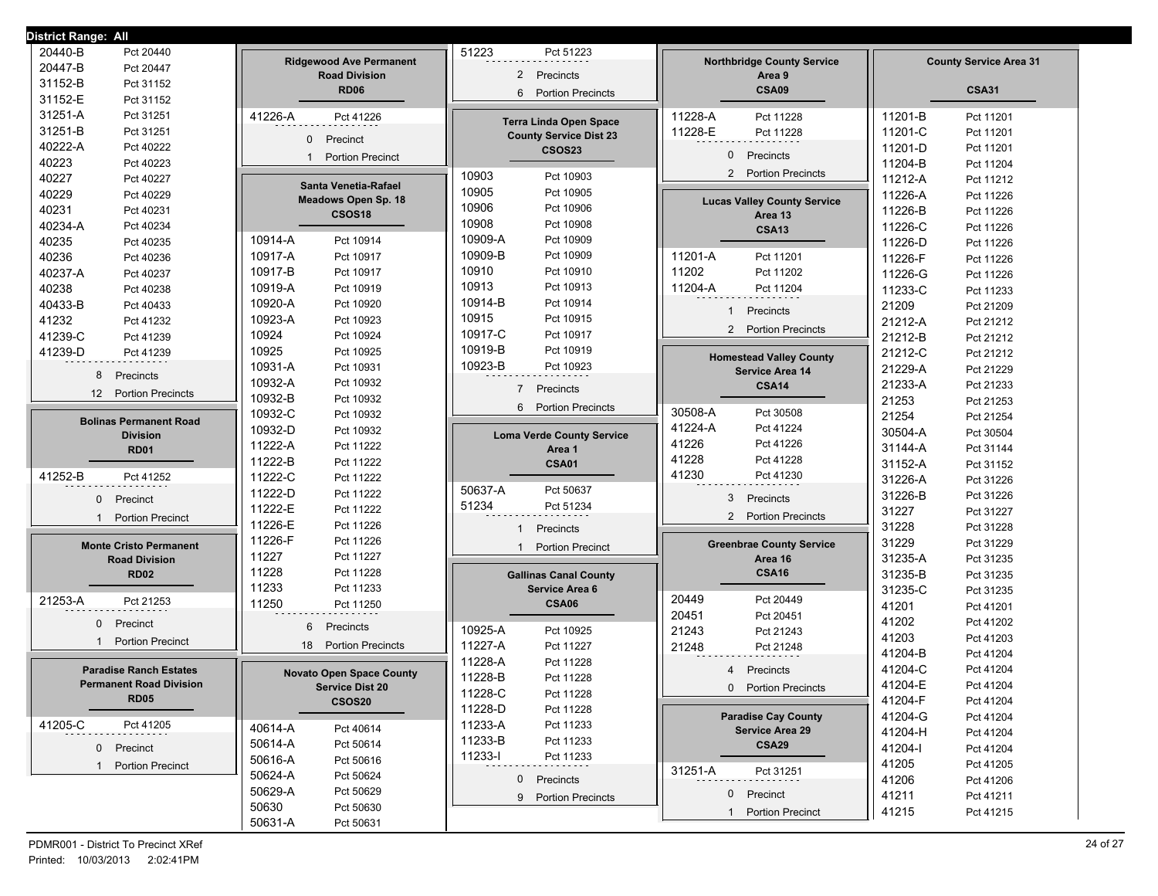| District Range: All                           |                                                        |                                                       |                                             |                                          |  |
|-----------------------------------------------|--------------------------------------------------------|-------------------------------------------------------|---------------------------------------------|------------------------------------------|--|
| 20440-B<br>Pct 20440                          |                                                        | 51223<br>Pct 51223                                    |                                             |                                          |  |
| 20447-B<br>Pct 20447                          | <b>Ridgewood Ave Permanent</b><br><b>Road Division</b> | Precincts<br>$\overline{2}$                           | <b>Northbridge County Service</b><br>Area 9 | <b>County Service Area 31</b>            |  |
| 31152-B<br>Pct 31152                          | <b>RD06</b>                                            | <b>Portion Precincts</b><br>6                         | CSA09                                       | <b>CSA31</b>                             |  |
| 31152-E<br>Pct 31152                          |                                                        |                                                       |                                             |                                          |  |
| 31251-A<br>Pct 31251                          | 41226-A<br>Pct 41226                                   | <b>Terra Linda Open Space</b>                         | 11228-A<br>Pct 11228                        | 11201-B<br>Pct 11201                     |  |
| 31251-B<br>Pct 31251                          | $\mathbf{0}$<br>Precinct                               | <b>County Service Dist 23</b>                         | 11228-E<br>Pct 11228                        | 11201-C<br>Pct 11201                     |  |
| 40222-A<br>Pct 40222                          | <b>Portion Precinct</b>                                | <b>CSOS23</b>                                         | 0<br>Precincts                              | 11201-D<br>Pct 11201                     |  |
| 40223<br>Pct 40223                            |                                                        |                                                       | <b>Portion Precincts</b><br>$\overline{2}$  | 11204-B<br>Pct 11204                     |  |
| 40227<br>Pct 40227                            | Santa Venetia-Rafael                                   | 10903<br>Pct 10903                                    |                                             | 11212-A<br>Pct 11212                     |  |
| 40229<br>Pct 40229                            | <b>Meadows Open Sp. 18</b>                             | 10905<br>Pct 10905                                    | <b>Lucas Valley County Service</b>          | 11226-A<br>Pct 11226                     |  |
| 40231<br>Pct 40231                            | CSOS <sub>18</sub>                                     | 10906<br>Pct 10906                                    | Area 13                                     | 11226-B<br>Pct 11226                     |  |
| 40234-A<br>Pct 40234                          |                                                        | 10908<br>Pct 10908                                    | <b>CSA13</b>                                | 11226-C<br>Pct 11226                     |  |
| 40235<br>Pct 40235                            | 10914-A<br>Pct 10914                                   | 10909-A<br>Pct 10909                                  |                                             | 11226-D<br>Pct 11226                     |  |
| 40236<br>Pct 40236                            | 10917-A<br>Pct 10917                                   | 10909-B<br>Pct 10909                                  | 11201-A<br>Pct 11201                        | 11226-F<br>Pct 11226                     |  |
| 40237-A<br>Pct 40237                          | 10917-B<br>Pct 10917                                   | 10910<br>Pct 10910                                    | 11202<br>Pct 11202                          | 11226-G<br>Pct 11226                     |  |
| 40238<br>Pct 40238                            | 10919-A<br>Pct 10919                                   | 10913<br>Pct 10913                                    | 11204-A<br>Pct 11204                        | 11233-C<br>Pct 11233                     |  |
| 40433-B<br>Pct 40433                          | 10920-A<br>Pct 10920                                   | 10914-B<br>Pct 10914<br>10915                         | Precincts<br>$\mathbf{1}$                   | 21209<br>Pct 21209                       |  |
| 41232<br>Pct 41232                            | 10923-A<br>Pct 10923                                   | Pct 10915                                             | <b>Portion Precincts</b><br>$\overline{2}$  | 21212-A<br>Pct 21212                     |  |
| 41239-C<br>Pct 41239                          | 10924<br>Pct 10924                                     | 10917-C<br>Pct 10917<br>10919-B                       |                                             | 21212-B<br>Pct 21212                     |  |
| 41239-D<br>Pct 41239                          | 10925<br>Pct 10925                                     | Pct 10919<br>10923-B                                  | <b>Homestead Valley County</b>              | 21212-C<br>Pct 21212                     |  |
| 8<br>Precincts                                | 10931-A<br>Pct 10931                                   | Pct 10923                                             | <b>Service Area 14</b>                      | 21229-A<br>Pct 21229                     |  |
| <b>Portion Precincts</b><br>$12 \overline{ }$ | 10932-A<br>Pct 10932                                   | $7^{\circ}$<br>Precincts                              | <b>CSA14</b>                                | 21233-A<br>Pct 21233                     |  |
|                                               | 10932-B<br>Pct 10932                                   | <b>Portion Precincts</b><br>6                         | 30508-A<br>Pct 30508                        | 21253<br>Pct 21253                       |  |
| <b>Bolinas Permanent Road</b>                 | 10932-C<br>Pct 10932<br>10932-D                        |                                                       | 41224-A<br>Pct 41224                        | 21254<br>Pct 21254                       |  |
| <b>Division</b>                               | Pct 10932<br>11222-A                                   | <b>Loma Verde County Service</b>                      | 41226<br>Pct 41226                          | 30504-A<br>Pct 30504                     |  |
| <b>RD01</b>                                   | Pct 11222<br>11222-B<br>Pct 11222                      | Area 1                                                | 41228<br>Pct 41228                          | 31144-A<br>Pct 31144                     |  |
| 41252-B<br>Pct 41252                          | 11222-C<br>Pct 11222                                   | <b>CSA01</b>                                          | 41230<br>Pct 41230                          | 31152-A<br>Pct 31152                     |  |
|                                               | 11222-D<br>Pct 11222                                   | 50637-A<br>Pct 50637                                  |                                             | 31226-A<br>Pct 31226                     |  |
| $\mathbf{0}$<br>Precinct                      | 11222-E<br>Pct 11222                                   | 51234<br>Pct 51234                                    | 3<br>Precincts                              | 31226-B<br>Pct 31226                     |  |
| <b>Portion Precinct</b>                       | 11226-E<br>Pct 11226                                   |                                                       | 2 Portion Precincts                         | 31227<br>Pct 31227                       |  |
|                                               | 11226-F<br>Pct 11226                                   | Precincts<br>1                                        |                                             | 31228<br>Pct 31228<br>31229<br>Pct 31229 |  |
| <b>Monte Cristo Permanent</b>                 | 11227<br>Pct 11227                                     | <b>Portion Precinct</b>                               | <b>Greenbrae County Service</b><br>Area 16  | 31235-A                                  |  |
| <b>Road Division</b><br><b>RD02</b>           | 11228<br>Pct 11228                                     |                                                       | <b>CSA16</b>                                | Pct 31235<br>31235-B                     |  |
|                                               | 11233<br>Pct 11233                                     | <b>Gallinas Canal County</b><br><b>Service Area 6</b> |                                             | Pct 31235<br>31235-C<br>Pct 31235        |  |
| 21253-A<br>Pct 21253                          | 11250<br>Pct 11250                                     | <b>CSA06</b>                                          | 20449<br>Pct 20449                          | 41201<br>Pct 41201                       |  |
| $\mathbf{0}$<br>Precinct                      |                                                        |                                                       | 20451<br>Pct 20451                          | 41202<br>Pct 41202                       |  |
|                                               | 6<br>Precincts                                         | 10925-A<br>Pct 10925                                  | 21243<br>Pct 21243                          | 41203<br>Pct 41203                       |  |
| <b>Portion Precinct</b>                       | <b>Portion Precincts</b><br>18                         | 11227-A<br>Pct 11227                                  | 21248<br>Pct 21248                          | 41204-B<br>Pct 41204                     |  |
| <b>Paradise Ranch Estates</b>                 |                                                        | 11228-A<br>Pct 11228                                  | Precincts<br>4                              | 41204-C<br>Pct 41204                     |  |
| <b>Permanent Road Division</b>                | <b>Novato Open Space County</b>                        | 11228-B<br>Pct 11228                                  | 0 Portion Precincts                         | 41204-E<br>Pct 41204                     |  |
| <b>RD05</b>                                   | <b>Service Dist 20</b><br><b>CSOS20</b>                | 11228-C<br>Pct 11228                                  |                                             | 41204-F<br>Pct 41204                     |  |
|                                               |                                                        | 11228-D<br>Pct 11228                                  | <b>Paradise Cay County</b>                  | 41204-G<br>Pct 41204                     |  |
| 41205-C<br>Pct 41205                          | 40614-A<br>Pct 40614                                   | 11233-A<br>Pct 11233                                  | Service Area 29                             | 41204-H<br>Pct 41204                     |  |
| $\mathbf{0}$<br>Precinct                      | 50614-A<br>Pct 50614                                   | 11233-B<br>Pct 11233                                  | <b>CSA29</b>                                | 41204-l<br>Pct 41204                     |  |
| 1 Portion Precinct                            | 50616-A<br>Pct 50616                                   | 11233-l<br>Pct 11233                                  |                                             | 41205<br>Pct 41205                       |  |
|                                               | 50624-A<br>Pct 50624                                   | $\mathbf{0}$<br>Precincts                             | 31251-A<br>Pct 31251                        | 41206<br>Pct 41206                       |  |
|                                               | 50629-A<br>Pct 50629                                   | 9 Portion Precincts                                   | $\mathbf{0}$<br>Precinct                    | 41211<br>Pct 41211                       |  |
|                                               | 50630<br>Pct 50630                                     |                                                       | <b>Portion Precinct</b>                     | 41215<br>Pct 41215                       |  |
|                                               | 50631-A<br>Pct 50631                                   |                                                       |                                             |                                          |  |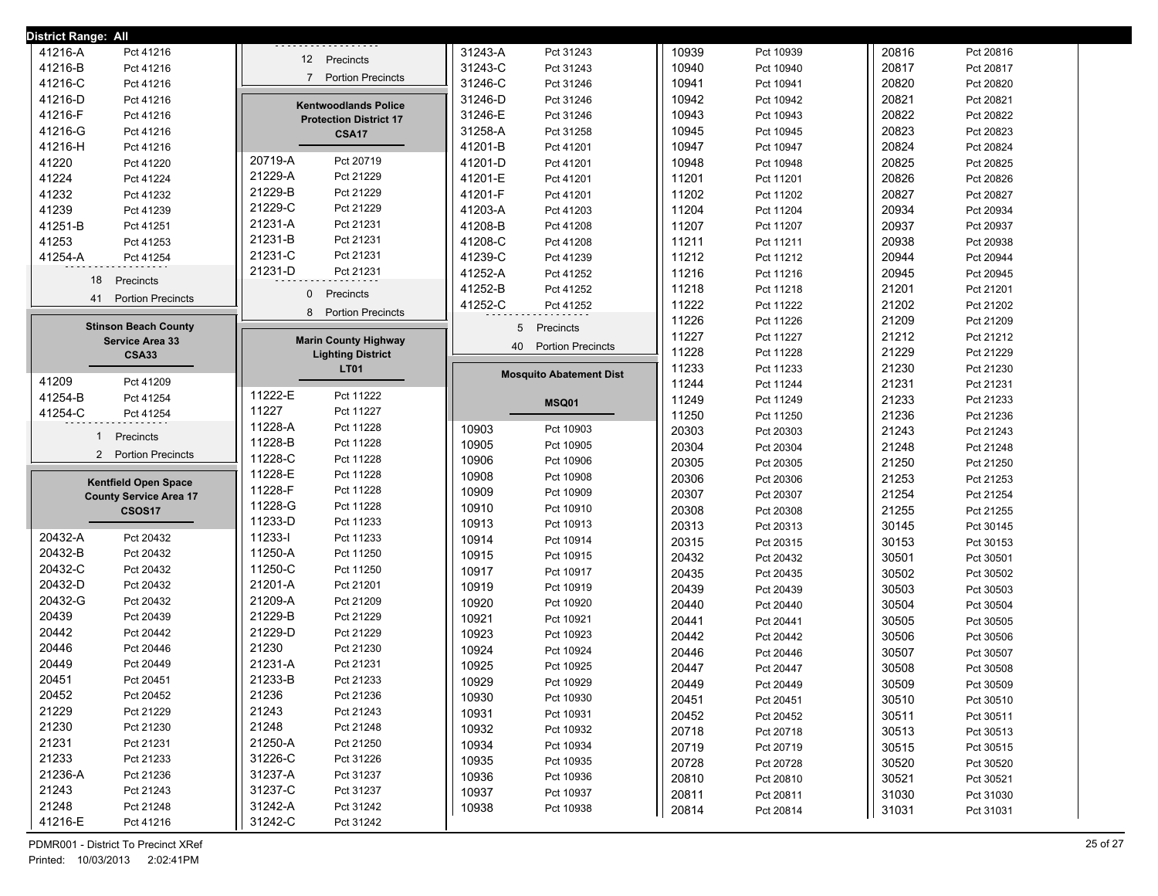| District Range: All             |                                            |                                |       |           |       |           |
|---------------------------------|--------------------------------------------|--------------------------------|-------|-----------|-------|-----------|
| 41216-A<br>Pct 41216            | 12 Precincts                               | 31243-A<br>Pct 31243           | 10939 | Pct 10939 | 20816 | Pct 20816 |
| 41216-B<br>Pct 41216            |                                            | 31243-C<br>Pct 31243           | 10940 | Pct 10940 | 20817 | Pct 20817 |
| 41216-C<br>Pct 41216            | <b>Portion Precincts</b><br>$\overline{7}$ | 31246-C<br>Pct 31246           | 10941 | Pct 10941 | 20820 | Pct 20820 |
| 41216-D<br>Pct 41216            | <b>Kentwoodlands Police</b>                | 31246-D<br>Pct 31246           | 10942 | Pct 10942 | 20821 | Pct 20821 |
| 41216-F<br>Pct 41216            | <b>Protection District 17</b>              | 31246-E<br>Pct 31246           | 10943 | Pct 10943 | 20822 | Pct 20822 |
| 41216-G<br>Pct 41216            | <b>CSA17</b>                               | 31258-A<br>Pct 31258           | 10945 | Pct 10945 | 20823 | Pct 20823 |
| 41216-H<br>Pct 41216            |                                            | 41201-B<br>Pct 41201           | 10947 | Pct 10947 | 20824 | Pct 20824 |
| 41220<br>Pct 41220              | 20719-A<br>Pct 20719                       | 41201-D<br>Pct 41201           | 10948 | Pct 10948 | 20825 | Pct 20825 |
| 41224<br>Pct 41224              | 21229-A<br>Pct 21229                       | 41201-E<br>Pct 41201           | 11201 | Pct 11201 | 20826 | Pct 20826 |
| 41232<br>Pct 41232              | 21229-B<br>Pct 21229                       | 41201-F<br>Pct 41201           | 11202 | Pct 11202 | 20827 | Pct 20827 |
| 41239<br>Pct 41239              | 21229-C<br>Pct 21229                       | 41203-A<br>Pct 41203           | 11204 | Pct 11204 | 20934 | Pct 20934 |
| 41251-B<br>Pct 41251            | 21231-A<br>Pct 21231                       | 41208-B<br>Pct 41208           | 11207 | Pct 11207 | 20937 | Pct 20937 |
| 41253<br>Pct 41253              | 21231-B<br>Pct 21231                       | 41208-C<br>Pct 41208           | 11211 | Pct 11211 | 20938 | Pct 20938 |
| 41254-A<br>Pct 41254            | 21231-C<br>Pct 21231                       | 41239-C<br>Pct 41239           | 11212 | Pct 11212 | 20944 | Pct 20944 |
|                                 | 21231-D<br>Pct 21231                       | 41252-A<br>Pct 41252           | 11216 | Pct 11216 | 20945 | Pct 20945 |
| 18<br>Precincts                 |                                            | 41252-B<br>Pct 41252           | 11218 | Pct 11218 | 21201 | Pct 21201 |
| 41<br><b>Portion Precincts</b>  | $\mathbf{0}$<br>Precincts                  | 41252-C<br>Pct 41252           | 11222 | Pct 11222 | 21202 | Pct 21202 |
|                                 | <b>Portion Precincts</b><br>8              |                                | 11226 | Pct 11226 | 21209 | Pct 21209 |
| <b>Stinson Beach County</b>     | <b>Marin County Highway</b>                | 5<br>Precincts                 | 11227 | Pct 11227 | 21212 | Pct 21212 |
| Service Area 33<br><b>CSA33</b> | <b>Lighting District</b>                   | 40<br><b>Portion Precincts</b> | 11228 | Pct 11228 | 21229 | Pct 21229 |
|                                 | <b>LT01</b>                                |                                | 11233 | Pct 11233 | 21230 | Pct 21230 |
| 41209<br>Pct 41209              |                                            | <b>Mosquito Abatement Dist</b> | 11244 | Pct 11244 | 21231 | Pct 21231 |
| 41254-B<br>Pct 41254            | 11222-E<br>Pct 11222                       | <b>MSQ01</b>                   | 11249 | Pct 11249 | 21233 | Pct 21233 |
| 41254-C<br>Pct 41254            | 11227<br>Pct 11227                         |                                | 11250 | Pct 11250 | 21236 | Pct 21236 |
|                                 | 11228-A<br>Pct 11228                       | 10903<br>Pct 10903             | 20303 | Pct 20303 | 21243 | Pct 21243 |
| Precincts<br>$\mathbf{1}$       | 11228-B<br>Pct 11228                       | 10905<br>Pct 10905             | 20304 | Pct 20304 | 21248 | Pct 21248 |
| 2 Portion Precincts             | 11228-C<br>Pct 11228                       | 10906<br>Pct 10906             | 20305 | Pct 20305 | 21250 | Pct 21250 |
| <b>Kentfield Open Space</b>     | 11228-E<br>Pct 11228                       | 10908<br>Pct 10908             | 20306 | Pct 20306 | 21253 | Pct 21253 |
| <b>County Service Area 17</b>   | 11228-F<br>Pct 11228                       | 10909<br>Pct 10909             | 20307 | Pct 20307 | 21254 | Pct 21254 |
| <b>CSOS17</b>                   | 11228-G<br>Pct 11228                       | 10910<br>Pct 10910             | 20308 | Pct 20308 | 21255 | Pct 21255 |
|                                 | 11233-D<br>Pct 11233                       | 10913<br>Pct 10913             | 20313 | Pct 20313 | 30145 | Pct 30145 |
| 20432-A<br>Pct 20432            | 11233-l<br>Pct 11233                       | 10914<br>Pct 10914             | 20315 | Pct 20315 | 30153 | Pct 30153 |
| 20432-B<br>Pct 20432            | 11250-A<br>Pct 11250                       | 10915<br>Pct 10915             | 20432 | Pct 20432 | 30501 | Pct 30501 |
| 20432-C<br>Pct 20432            | 11250-C<br>Pct 11250                       | 10917<br>Pct 10917             | 20435 | Pct 20435 | 30502 | Pct 30502 |
| 20432-D<br>Pct 20432            | 21201-A<br>Pct 21201                       | 10919<br>Pct 10919             | 20439 | Pct 20439 | 30503 | Pct 30503 |
| 20432-G<br>Pct 20432            | 21209-A<br>Pct 21209                       | 10920<br>Pct 10920             | 20440 | Pct 20440 | 30504 | Pct 30504 |
| 20439<br>Pct 20439              | 21229-B<br>Pct 21229                       | 10921<br>Pct 10921             | 20441 | Pct 20441 | 30505 | Pct 30505 |
| 20442<br>Pct 20442              | 21229-D<br>Pct 21229                       | 10923<br>Pct 10923             | 20442 | Pct 20442 | 30506 | Pct 30506 |
| 20446<br>Pct 20446              | 21230<br>Pct 21230                         | 10924<br>Pct 10924             | 20446 | Pct 20446 | 30507 | Pct 30507 |
| 20449<br>Pct 20449              | 21231-A<br>Pct 21231                       | 10925<br>Pct 10925             | 20447 | Pct 20447 | 30508 | Pct 30508 |
| 20451<br>Pct 20451              | 21233-B<br>Pct 21233                       | 10929<br>Pct 10929             | 20449 | Pct 20449 | 30509 | Pct 30509 |
| 20452<br>Pct 20452              | 21236<br>Pct 21236                         | 10930<br>Pct 10930             | 20451 | Pct 20451 | 30510 | Pct 30510 |
| 21229<br>Pct 21229              | 21243<br>Pct 21243                         | 10931<br>Pct 10931             | 20452 | Pct 20452 | 30511 | Pct 30511 |
| 21230<br>Pct 21230              | 21248<br>Pct 21248                         | 10932<br>Pct 10932             | 20718 | Pct 20718 | 30513 | Pct 30513 |
| 21231<br>Pct 21231              | 21250-A<br>Pct 21250                       | 10934<br>Pct 10934             | 20719 | Pct 20719 | 30515 | Pct 30515 |
| 21233<br>Pct 21233              | 31226-C<br>Pct 31226                       | 10935<br>Pct 10935             | 20728 | Pct 20728 | 30520 | Pct 30520 |
| 21236-A<br>Pct 21236            | 31237-A<br>Pct 31237                       | 10936<br>Pct 10936             | 20810 | Pct 20810 | 30521 | Pct 30521 |
| 21243<br>Pct 21243              | 31237-C<br>Pct 31237                       | 10937<br>Pct 10937             | 20811 | Pct 20811 | 31030 | Pct 31030 |
| 21248<br>Pct 21248              | 31242-A<br>Pct 31242                       | 10938<br>Pct 10938             | 20814 | Pct 20814 | 31031 | Pct 31031 |
|                                 |                                            |                                |       |           |       |           |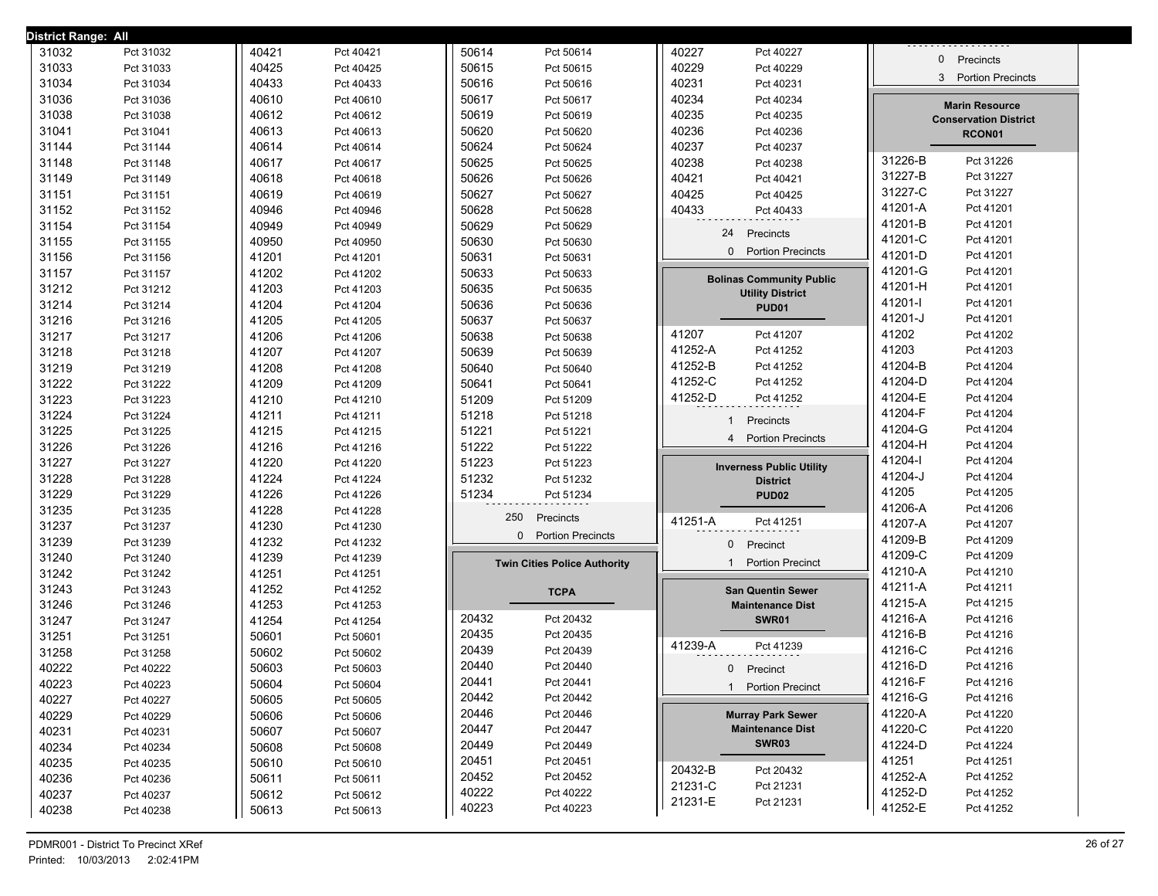| District Range: All |           |       |           |       |                                          |         |                                            |              |                              |
|---------------------|-----------|-------|-----------|-------|------------------------------------------|---------|--------------------------------------------|--------------|------------------------------|
| 31032               | Pct 31032 | 40421 | Pct 40421 | 50614 | Pct 50614                                | 40227   | Pct 40227                                  |              |                              |
| 31033               | Pct 31033 | 40425 | Pct 40425 | 50615 | Pct 50615                                | 40229   | Pct 40229                                  | $\mathbf{0}$ | Precincts                    |
| 31034               | Pct 31034 | 40433 | Pct 40433 | 50616 | Pct 50616                                | 40231   | Pct 40231                                  | 3            | <b>Portion Precincts</b>     |
| 31036               | Pct 31036 | 40610 | Pct 40610 | 50617 | Pct 50617                                | 40234   | Pct 40234                                  |              | <b>Marin Resource</b>        |
| 31038               | Pct 31038 | 40612 | Pct 40612 | 50619 | Pct 50619                                | 40235   | Pct 40235                                  |              | <b>Conservation District</b> |
| 31041               | Pct 31041 | 40613 | Pct 40613 | 50620 | Pct 50620                                | 40236   | Pct 40236                                  |              | RCON01                       |
| 31144               | Pct 31144 | 40614 | Pct 40614 | 50624 | Pct 50624                                | 40237   | Pct 40237                                  |              |                              |
| 31148               | Pct 31148 | 40617 | Pct 40617 | 50625 | Pct 50625                                | 40238   | Pct 40238                                  | 31226-B      | Pct 31226                    |
| 31149               | Pct 31149 | 40618 | Pct 40618 | 50626 | Pct 50626                                | 40421   | Pct 40421                                  | 31227-B      | Pct 31227                    |
| 31151               | Pct 31151 | 40619 | Pct 40619 | 50627 | Pct 50627                                | 40425   | Pct 40425                                  | 31227-C      | Pct 31227                    |
| 31152               | Pct 31152 | 40946 | Pct 40946 | 50628 | Pct 50628                                | 40433   | Pct 40433                                  | 41201-A      | Pct 41201                    |
| 31154               | Pct 31154 | 40949 | Pct 40949 | 50629 | Pct 50629                                |         | Precincts<br>24                            | 41201-B      | Pct 41201                    |
| 31155               | Pct 31155 | 40950 | Pct 40950 | 50630 | Pct 50630                                |         |                                            | 41201-C      | Pct 41201                    |
| 31156               | Pct 31156 | 41201 | Pct 41201 | 50631 | Pct 50631                                |         | <b>Portion Precincts</b><br>$\mathbf{0}$   | 41201-D      | Pct 41201                    |
| 31157               | Pct 31157 | 41202 | Pct 41202 | 50633 | Pct 50633                                |         | <b>Bolinas Community Public</b>            | 41201-G      | Pct 41201                    |
| 31212               | Pct 31212 | 41203 | Pct 41203 | 50635 | Pct 50635                                |         | <b>Utility District</b>                    | 41201-H      | Pct 41201                    |
| 31214               | Pct 31214 | 41204 | Pct 41204 | 50636 | Pct 50636                                |         | PUD01                                      | 41201-l      | Pct 41201                    |
| 31216               | Pct 31216 | 41205 | Pct 41205 | 50637 | Pct 50637                                |         |                                            | 41201-J      | Pct 41201                    |
| 31217               | Pct 31217 | 41206 | Pct 41206 | 50638 | Pct 50638                                | 41207   | Pct 41207                                  | 41202        | Pct 41202                    |
| 31218               | Pct 31218 | 41207 | Pct 41207 | 50639 | Pct 50639                                | 41252-A | Pct 41252                                  | 41203        | Pct 41203                    |
| 31219               | Pct 31219 | 41208 | Pct 41208 | 50640 | Pct 50640                                | 41252-B | Pct 41252                                  | 41204-B      | Pct 41204                    |
| 31222               | Pct 31222 | 41209 | Pct 41209 | 50641 | Pct 50641                                | 41252-C | Pct 41252                                  | 41204-D      | Pct 41204                    |
| 31223               | Pct 31223 | 41210 | Pct 41210 | 51209 | Pct 51209                                | 41252-D | Pct 41252                                  | 41204-E      | Pct 41204                    |
| 31224               | Pct 31224 | 41211 | Pct 41211 | 51218 | Pct 51218                                |         | Precincts<br>1                             | 41204-F      | Pct 41204                    |
| 31225               | Pct 31225 | 41215 | Pct 41215 | 51221 | Pct 51221                                |         | <b>Portion Precincts</b><br>$\overline{4}$ | 41204-G      | Pct 41204                    |
| 31226               | Pct 31226 | 41216 | Pct 41216 | 51222 | Pct 51222                                |         |                                            | 41204-H      | Pct 41204                    |
| 31227               | Pct 31227 | 41220 | Pct 41220 | 51223 | Pct 51223                                |         | <b>Inverness Public Utility</b>            | 41204-l      | Pct 41204                    |
| 31228               | Pct 31228 | 41224 | Pct 41224 | 51232 | Pct 51232                                |         | <b>District</b>                            | 41204-J      | Pct 41204                    |
| 31229               | Pct 31229 | 41226 | Pct 41226 | 51234 | Pct 51234                                |         | PUD <sub>02</sub>                          | 41205        | Pct 41205                    |
| 31235               | Pct 31235 | 41228 | Pct 41228 |       | 250<br>Precincts                         |         |                                            | 41206-A      | Pct 41206                    |
| 31237               | Pct 31237 | 41230 | Pct 41230 |       | <b>Portion Precincts</b><br>$\mathbf{0}$ | 41251-A | Pct 41251                                  | 41207-A      | Pct 41207                    |
| 31239               | Pct 31239 | 41232 | Pct 41232 |       |                                          |         | Precinct<br>0                              | 41209-B      | Pct 41209                    |
| 31240               | Pct 31240 | 41239 | Pct 41239 |       | <b>Twin Cities Police Authority</b>      |         | <b>Portion Precinct</b><br>$\mathbf 1$     | 41209-C      | Pct 41209                    |
| 31242               | Pct 31242 | 41251 | Pct 41251 |       |                                          |         |                                            | 41210-A      | Pct 41210                    |
| 31243               | Pct 31243 | 41252 | Pct 41252 |       | <b>TCPA</b>                              |         | <b>San Quentin Sewer</b>                   | 41211-A      | Pct 41211                    |
| 31246               | Pct 31246 | 41253 | Pct 41253 |       |                                          |         | <b>Maintenance Dist</b>                    | 41215-A      | Pct 41215                    |
| 31247               | Pct 31247 | 41254 | Pct 41254 | 20432 | Pct 20432                                |         | <b>SWR01</b>                               | 41216-A      | Pct 41216                    |
| 31251               | Pct 31251 | 50601 | Pct 50601 | 20435 | Pct 20435                                | 41239-A | Pct 41239                                  | 41216-B      | Pct 41216                    |
| 31258               | Pct 31258 | 50602 | Pct 50602 | 20439 | Pct 20439                                |         |                                            | 41216-C      | Pct 41216                    |
| 40222               | Pct 40222 | 50603 | Pct 50603 | 20440 | Pct 20440                                |         | 0<br>Precinct                              | 41216-D      | Pct 41216                    |
| 40223               | Pct 40223 | 50604 | Pct 50604 | 20441 | Pct 20441                                |         | 1 Portion Precinct                         | 41216-F      | Pct 41216                    |
| 40227               | Pct 40227 | 50605 | Pct 50605 | 20442 | Pct 20442                                |         |                                            | 41216-G      | Pct 41216                    |
| 40229               | Pct 40229 | 50606 | Pct 50606 | 20446 | Pct 20446                                |         | <b>Murray Park Sewer</b>                   | 41220-A      | Pct 41220                    |
| 40231               | Pct 40231 | 50607 | Pct 50607 | 20447 | Pct 20447                                |         | <b>Maintenance Dist</b>                    | 41220-C      | Pct 41220                    |
| 40234               | Pct 40234 | 50608 | Pct 50608 | 20449 | Pct 20449                                |         | SWR03                                      | 41224-D      | Pct 41224                    |
| 40235               | Pct 40235 | 50610 | Pct 50610 | 20451 | Pct 20451                                | 20432-B | Pct 20432                                  | 41251        | Pct 41251                    |
| 40236               | Pct 40236 | 50611 | Pct 50611 | 20452 | Pct 20452                                | 21231-C | Pct 21231                                  | 41252-A      | Pct 41252                    |
| 40237               | Pct 40237 | 50612 | Pct 50612 | 40222 | Pct 40222                                | 21231-E | Pct 21231                                  | 41252-D      | Pct 41252                    |
| 40238               | Pct 40238 | 50613 | Pct 50613 | 40223 | Pct 40223                                |         |                                            | 41252-E      | Pct 41252                    |